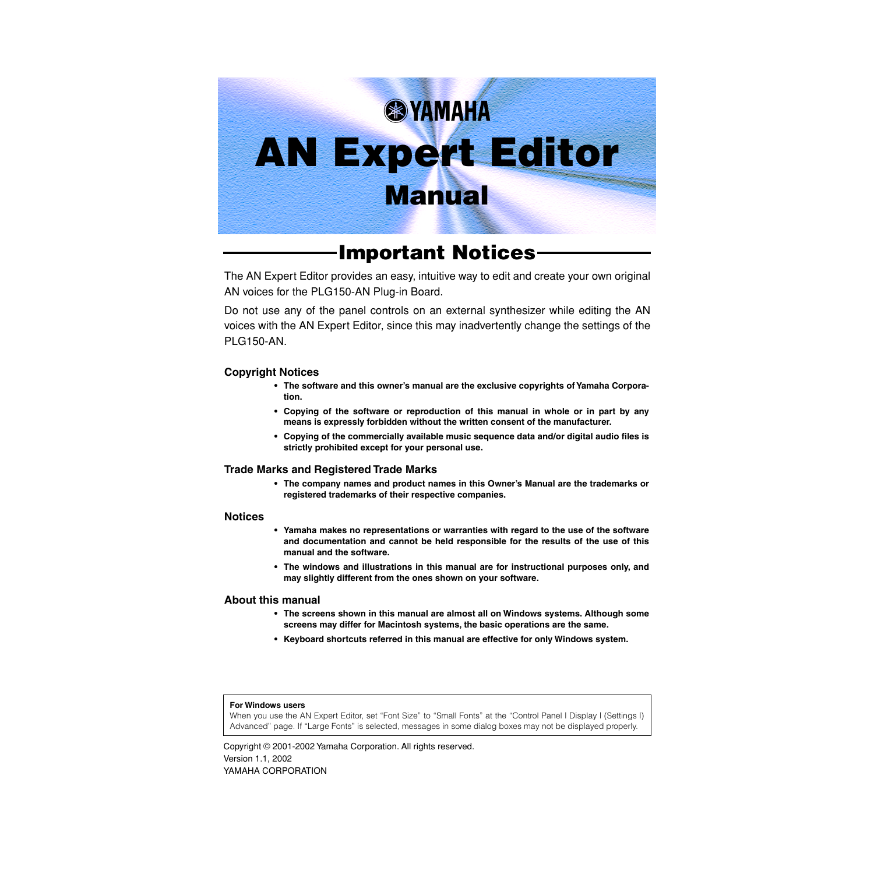# **& YAMAHA AN Expert Editor Manual**

**Important Notices**

The AN Expert Editor provides an easy, intuitive way to edit and create your own original AN voices for the PLG150-AN Plug-in Board.

Do not use any of the panel controls on an external synthesizer while editing the AN voices with the AN Expert Editor, since this may inadvertently change the settings of the **PLG150-AN.** 

#### **Copyright Notices**

- **The software and this owner's manual are the exclusive copyrights of Yamaha Corporation.**
- **Copying of the software or reproduction of this manual in whole or in part by any means is expressly forbidden without the written consent of the manufacturer.**
- **Copying of the commercially available music sequence data and/or digital audio files is strictly prohibited except for your personal use.**

#### **Trade Marks and Registered Trade Marks**

**• The company names and product names in this Owner's Manual are the trademarks or registered trademarks of their respective companies.**

#### **Notices**

- **Yamaha makes no representations or warranties with regard to the use of the software and documentation and cannot be held responsible for the results of the use of this manual and the software.**
- **The windows and illustrations in this manual are for instructional purposes only, and may slightly different from the ones shown on your software.**

#### **About this manual**

- **The screens shown in this manual are almost all on Windows systems. Although some screens may differ for Macintosh systems, the basic operations are the same.**
- **Keyboard shortcuts referred in this manual are effective for only Windows system.**

#### **For Windows users**

When you use the AN Expert Editor, set "Font Size" to "Small Fonts" at the "Control Panel | Display | (Settings |) Advanced" page. If "Large Fonts" is selected, messages in some dialog boxes may not be displayed properly.

Copyright © 2001-2002 Yamaha Corporation. All rights reserved. Version 1.1, 2002 YAMAHA CORPORATION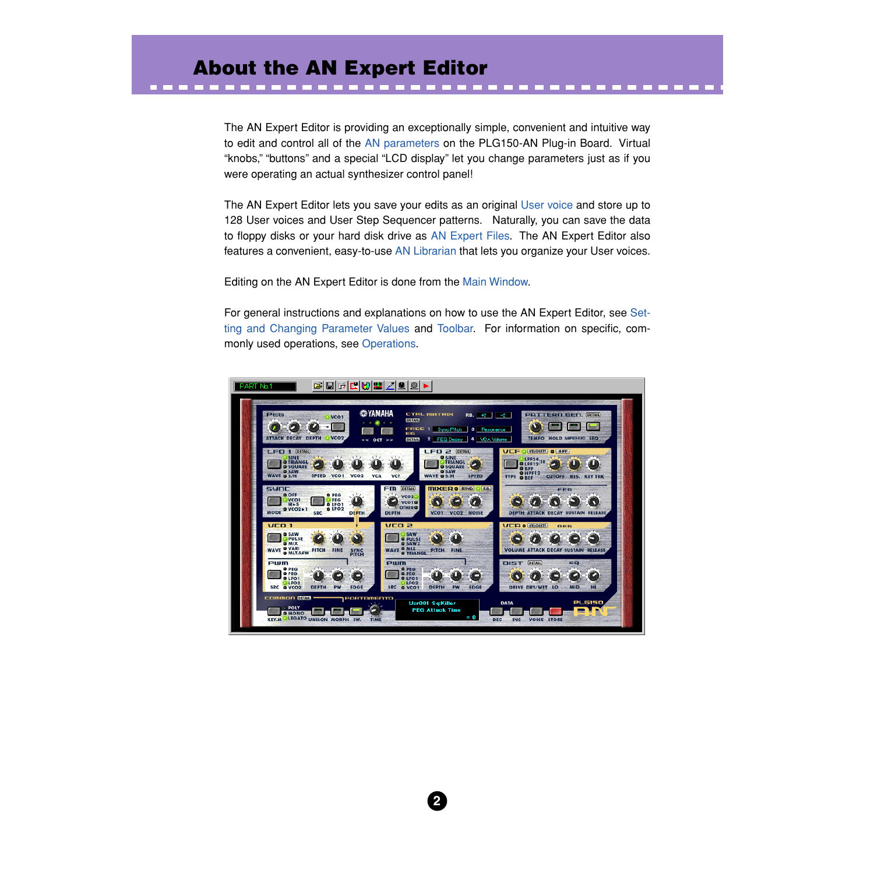# **About the AN Expert Editor**

. . . . . . . . . . . . . . . . .

The AN Expert Editor is providing an exceptionally simple, convenient and intuitive way to edit and control all of the [AN parameters](#page-20-0) on the PLG150-AN Plug-in Board. Virtual "knobs," "buttons" and a special "LCD display" let you change parameters just as if you were operating an actual synthesizer control panel!

The AN Expert Editor lets you save your edits as an original [User voice](#page-7-0) and store up to 128 User voices and User Step Sequencer patterns. Naturally, you can save the data to floppy disks or your hard disk drive as [AN Expert Files](#page-73-0). The AN Expert Editor also features a convenient, easy-to-use [AN Librarian](#page-76-0) that lets you organize your User voices.

Editing on the AN Expert Editor is done from the [Main Window](#page-13-0).

For general instructions and explanations on how to use the AN Expert Editor, see [Set](#page-18-0)[ting and Changing Parameter](#page-18-0) Values and [Toolbar.](#page-14-0) For information on specific, commonly used operations, see [Operations.](#page-2-0)

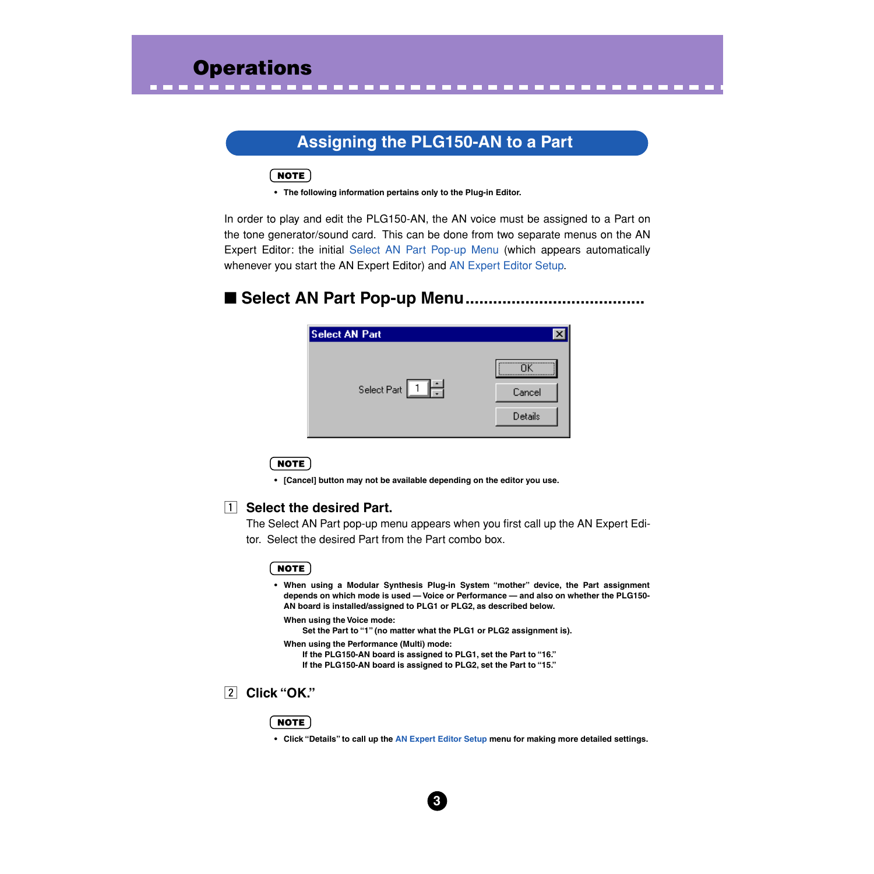# **Assigning the PLG150-AN to a Part**

<span id="page-2-0"></span>---------------------------

# $NOTE$

**• The following information pertains only to the Plug-in Editor.**

In order to play and edit the PLG150-AN, the AN voice must be assigned to a Part on the tone generator/sound card. This can be done from two separate menus on the AN Expert Editor: the initial Select AN Part Pop-up Menu (which appears automatically whenever you start the AN Expert Editor) and [AN Expert Editor Setup](#page-78-0).

# ■ Select AN Part Pop-up Menu..............

| <b>Select AN Part</b> |         |
|-----------------------|---------|
|                       |         |
| Select Part 1         | Cancel  |
|                       | Details |
|                       |         |

#### **NOTE**

**• [Cancel] button may not be available depending on the editor you use.**

# **T** Select the desired Part.

The Select AN Part pop-up menu appears when you first call up the AN Expert Editor. Select the desired Part from the Part combo box.

### **NOTE**

**• When using a Modular Synthesis Plug-in System "mother" device, the Part assignment depends on which mode is used — Voice or Performance — and also on whether the PLG150- AN board is installed/assigned to PLG1 or PLG2, as described below.**

**When using the Voice mode:**

**Set the Part to "1" (no matter what the PLG1 or PLG2 assignment is).**

- **When using the Performance (Multi) mode:**
	- **If the PLG150-AN board is assigned to PLG1, set the Part to "16." If the PLG150-AN board is assigned to PLG2, set the Part to "15."**

# x **Click "OK."**

# NOTE

**• Click "Details" to call up the [AN Expert Editor Setup](#page-78-0) menu for making more detailed settings.**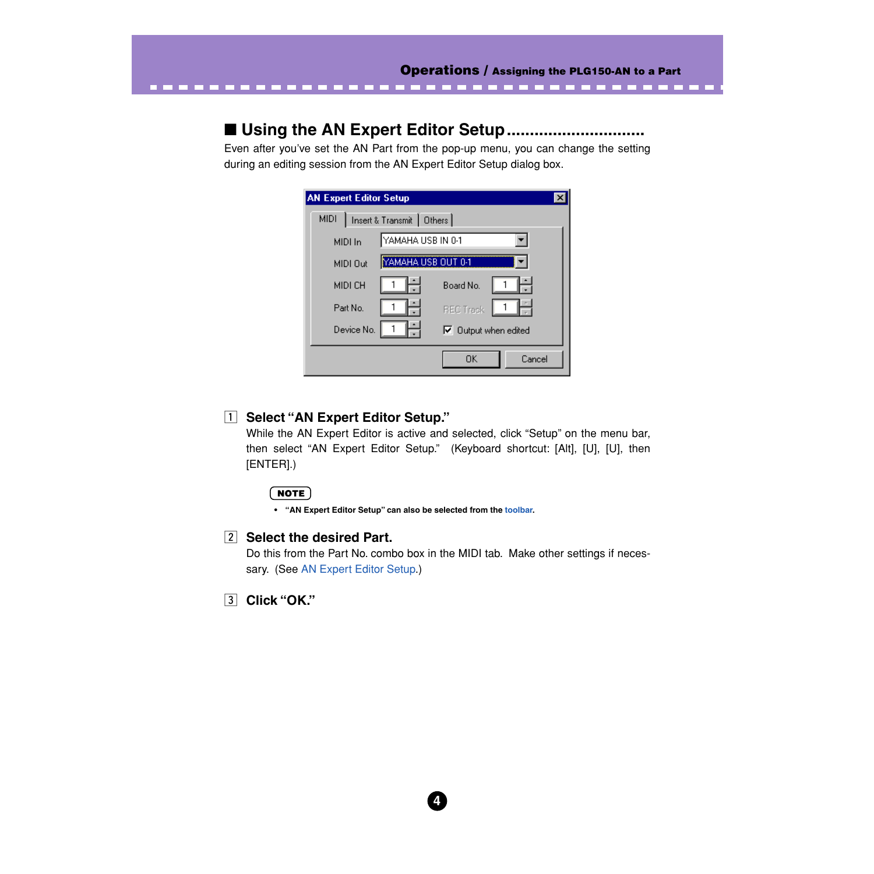# ■ **Using the AN Expert Editor Setup..............................**

Even after you've set the AN Part from the pop-up menu, you can change the setting during an editing session from the AN Expert Editor Setup dialog box.

| <b>AN Expert Editor Setup</b>           |                             |  |  |  |  |
|-----------------------------------------|-----------------------------|--|--|--|--|
| Insert & Transmit Dthers<br><b>MIDI</b> |                             |  |  |  |  |
| YAMAHA USB IN 0-1<br>MIDI In            |                             |  |  |  |  |
| YAMAHA USB OUT 0-1<br>MIDI Out          |                             |  |  |  |  |
| MIDI CH                                 | Board No.                   |  |  |  |  |
| Part No.                                | <b>REC Track</b>            |  |  |  |  |
| Device No.                              | $\nabla$ Output when edited |  |  |  |  |
|                                         | OK<br>Cancel                |  |  |  |  |

# **1** Select "AN Expert Editor Setup."

While the AN Expert Editor is active and selected, click "Setup" on the menu bar, then select "AN Expert Editor Setup." (Keyboard shortcut: [Alt], [U], [U], then [ENTER].)

# NOTE

**• "AN Expert Editor Setup" can also be selected from the [toolbar.](#page-14-0)**

**Z** Select the desired Part.

Do this from the Part No. combo box in the MIDI tab. Make other settings if necessary. (See [AN Expert Editor Setup](#page-78-0).)

c **Click "OK."**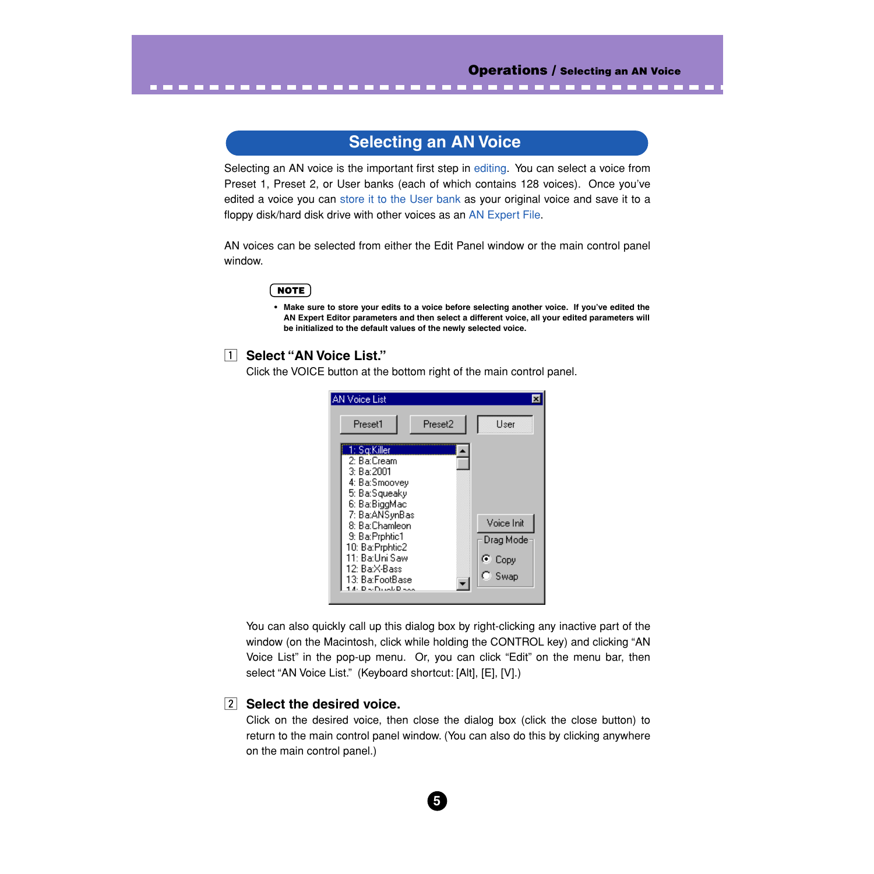---------

# **Selecting an AN Voice**

<span id="page-4-0"></span>--------------

Selecting an AN voice is the important first step in [editing](#page-5-0). You can select a voice from Preset 1, Preset 2, or User banks (each of which contains 128 voices). Once you've edited a voice you can [store it to the User bank](#page-7-0) as your original voice and save it to a floppy disk/hard disk drive with other voices as an [AN Expert File](#page-8-0).

AN voices can be selected from either the Edit Panel window or the main control panel window.

# NOTE

**• Make sure to store your edits to a voice before selecting another voice. If you've edited the AN Expert Editor parameters and then select a different voice, all your edited parameters will be initialized to the default values of the newly selected voice.** 

# **T** Select "AN Voice List."

Click the VOICE button at the bottom right of the main control panel.



You can also quickly call up this dialog box by right-clicking any inactive part of the window (on the Macintosh, click while holding the CONTROL key) and clicking "AN Voice List" in the pop-up menu. Or, you can click "Edit" on the menu bar, then select "AN Voice List." (Keyboard shortcut: [Alt], [E], [V].)

# **z** Select the desired voice.

Click on the desired voice, then close the dialog box (click the close button) to return to the main control panel window. (You can also do this by clicking anywhere on the main control panel.)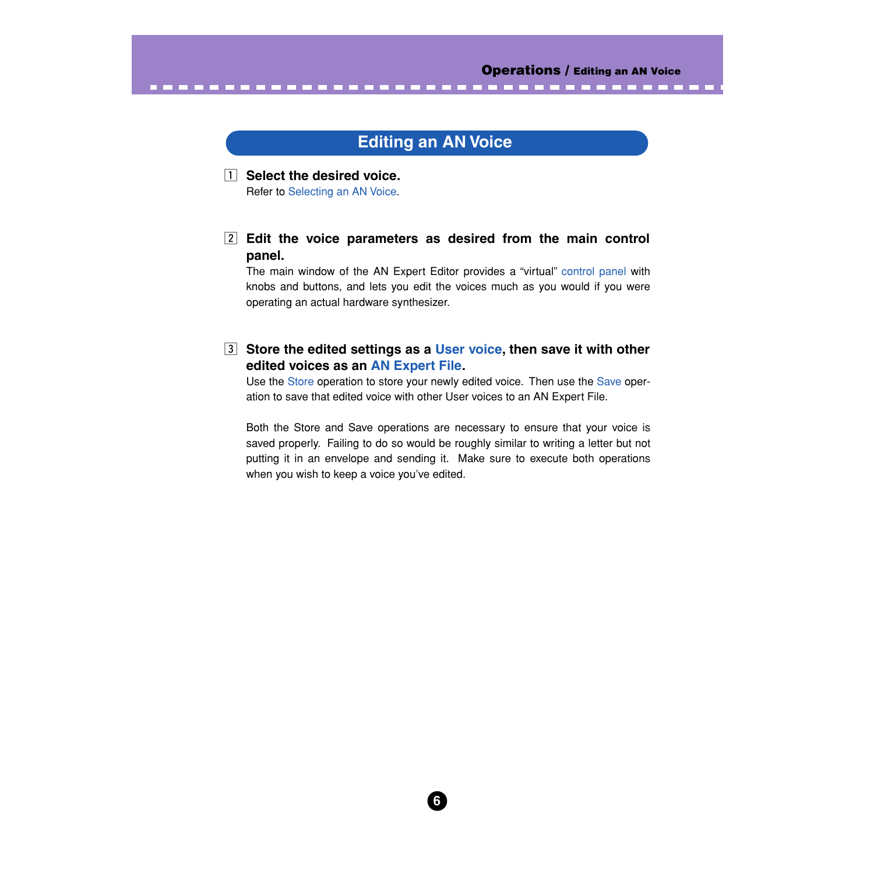# **Editing an AN Voice**

<span id="page-5-0"></span>---------------------------------

 $\boxed{1}$  Select the desired voice. Refer to [Selecting an AN Voice](#page-4-0).

# **Edit the voice parameters as desired from the main control panel.**

The main window of the AN Expert Editor provides a "virtual" [control panel](#page-13-0) with knobs and buttons, and lets you edit the voices much as you would if you were operating an actual hardware synthesizer.

**B** Store the edited settings as a [User voice](#page-7-0), then save it with other **edited voices as an [AN Expert File](#page-8-0).**

Use the [Store](#page-7-0) operation to store your newly edited voice. Then use the [Save](#page-8-0) operation to save that edited voice with other User voices to an AN Expert File.

Both the Store and Save operations are necessary to ensure that your voice is saved properly. Failing to do so would be roughly similar to writing a letter but not putting it in an envelope and sending it. Make sure to execute both operations when you wish to keep a voice you've edited.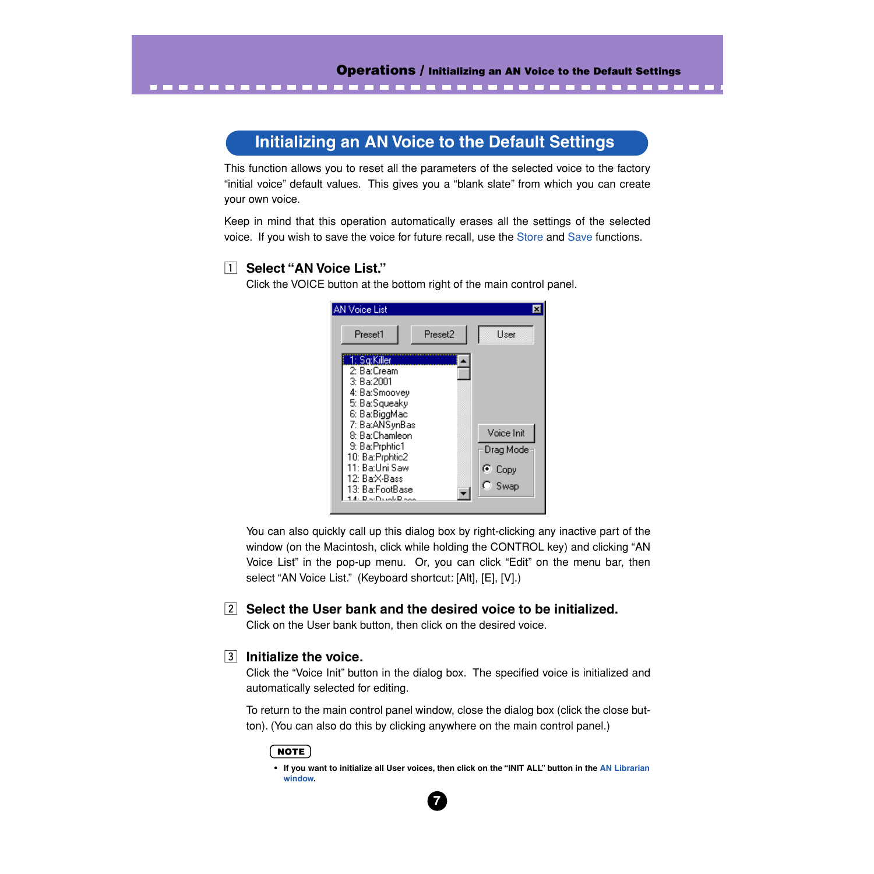-----------------------

# **Initializing an AN Voice to the Default Settings**

This function allows you to reset all the parameters of the selected voice to the factory "initial voice" default values. This gives you a "blank slate" from which you can create your own voice.

Keep in mind that this operation automatically erases all the settings of the selected voice. If you wish to save the voice for future recall, use the [Store](#page-7-0) and [Save](#page-8-0) functions.

# z **Select "AN Voice List."**

Click the VOICE button at the bottom right of the main control panel.

| <b>AN Voice List</b>                                                                                                                                                                                                                          |                                                   |
|-----------------------------------------------------------------------------------------------------------------------------------------------------------------------------------------------------------------------------------------------|---------------------------------------------------|
| Preset2<br>Preset1                                                                                                                                                                                                                            | <b>H</b> ser                                      |
| 1: Sa:Killer<br>2: Ba:Cream<br>3: Ba:2001<br>4: Ba:Smoovey<br>5: Ba:Squeaky<br>6: Ba:BiggMac<br>7: Ba:ANSynBas<br>8: Ba:Chamleon<br>9: Ba:Prphtic1<br>10: Ba:Prphtic2<br>11: Ba:Uni Saw<br>12: Ba:X-Bass<br>13: Ba:FootBase<br>- De-Duct-Dess | Voice Init<br>Drag Mode<br>় Copy<br>$\circ$ Swap |

You can also quickly call up this dialog box by right-clicking any inactive part of the window (on the Macintosh, click while holding the CONTROL key) and clicking "AN Voice List" in the pop-up menu. Or, you can click "Edit" on the menu bar, then select "AN Voice List." (Keyboard shortcut: [Alt], [E], [V].)

# x **Select the User bank and the desired voice to be initialized.**

Click on the User bank button, then click on the desired voice.

# $\overline{3}$  Initialize the voice.

Click the "Voice Init" button in the dialog box. The specified voice is initialized and automatically selected for editing.

To return to the main control panel window, close the dialog box (click the close button). (You can also do this by clicking anywhere on the main control panel.)

# **NOTE**

**• If you want to initialize all User voices, then click on the "INIT ALL" button in the [AN Librarian](#page-76-0) [window](#page-76-0).**

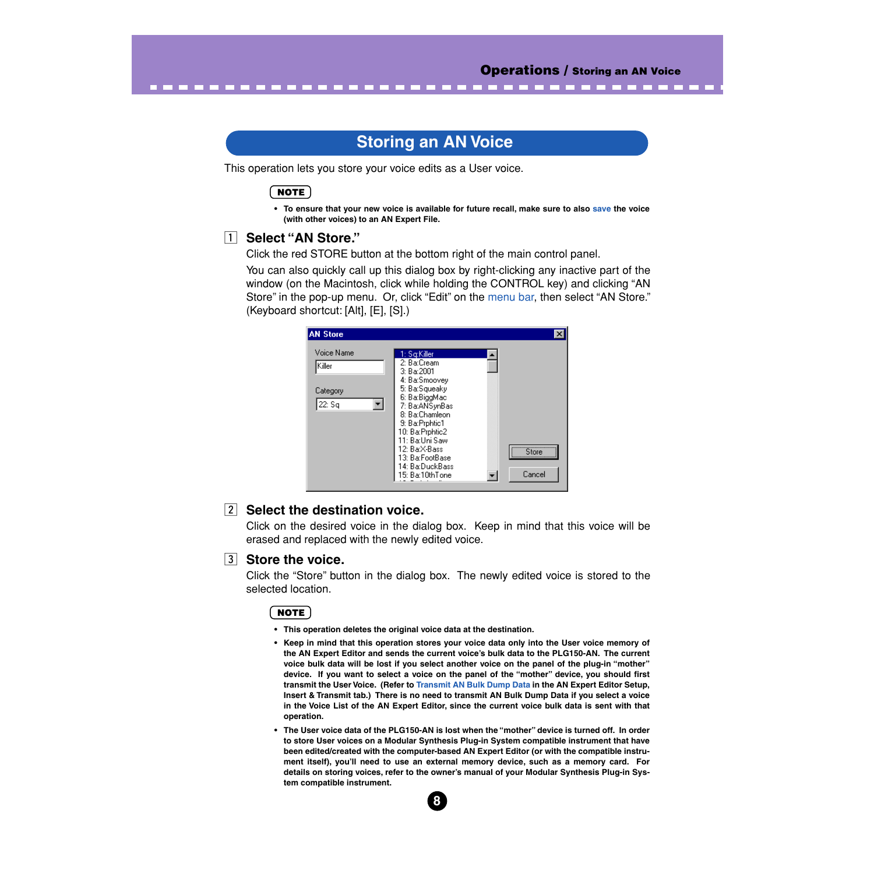# **Storing an AN Voice**

This operation lets you store your voice edits as a User voice.

------

**NOTE** 

<span id="page-7-0"></span>------

**• To ensure that your new voice is available for future recall, make sure to also [save](#page-8-0) the voice (with other voices) to an AN Expert File.**

### z **Select "AN Store."**

Click the red STORE button at the bottom right of the main control panel.

You can also quickly call up this dialog box by right-clicking any inactive part of the window (on the Macintosh, click while holding the CONTROL key) and clicking "AN Store" in the pop-up menu. Or, click "Edit" on the [menu bar,](#page-74-0) then select "AN Store." (Keyboard shortcut: [Alt], [E], [S].)

| <b>AN Store</b>                            |                                                                                                                                                                                                           |           |
|--------------------------------------------|-----------------------------------------------------------------------------------------------------------------------------------------------------------------------------------------------------------|-----------|
| Voice Name<br>Killer<br>Category<br>22: Sq | 1: Sq:Killer<br>2: Ba:Cream<br>3: Ba:2001<br>4: Ba:Smoovey<br>5: Ba:Squeaky<br>6: Ba:BiggMac<br>7: Ba:ANSynBas<br>8: Ba:Chamleon<br>9: Ba: Prphtic1<br>10: Ba:Prphtic2<br>11: Ba:Uni Saw<br>12: Ba:X-Bass | <br>Store |
|                                            | 13: Ba:FootBase<br>14: Ba:DuckBass<br>15: Ba:10thTone                                                                                                                                                     | Cancel    |

# **<u>[2]</u>** Select the destination voice.

Click on the desired voice in the dialog box. Keep in mind that this voice will be erased and replaced with the newly edited voice.

# **3** Store the voice.

Click the "Store" button in the dialog box. The newly edited voice is stored to the selected location.

#### NOTE

- **This operation deletes the original voice data at the destination.**
- **Keep in mind that this operation stores your voice data only into the User voice memory of the AN Expert Editor and sends the current voice's bulk data to the PLG150-AN. The current voice bulk data will be lost if you select another voice on the panel of the plug-in "mother" device. If you want to select a voice on the panel of the "mother" device, you should first transmit the User Voice. (Refer to [Transmit AN Bulk Dump Data](#page-89-0) in the AN Expert Editor Setup, Insert & Transmit tab.) There is no need to transmit AN Bulk Dump Data if you select a voice in the Voice List of the AN Expert Editor, since the current voice bulk data is sent with that operation.**
- **The User voice data of the PLG150-AN is lost when the "mother" device is turned off. In order to store User voices on a Modular Synthesis Plug-in System compatible instrument that have been edited/created with the computer-based AN Expert Editor (or with the compatible instrument itself), you'll need to use an external memory device, such as a memory card. For details on storing voices, refer to the owner's manual of your Modular Synthesis Plug-in System compatible instrument.**

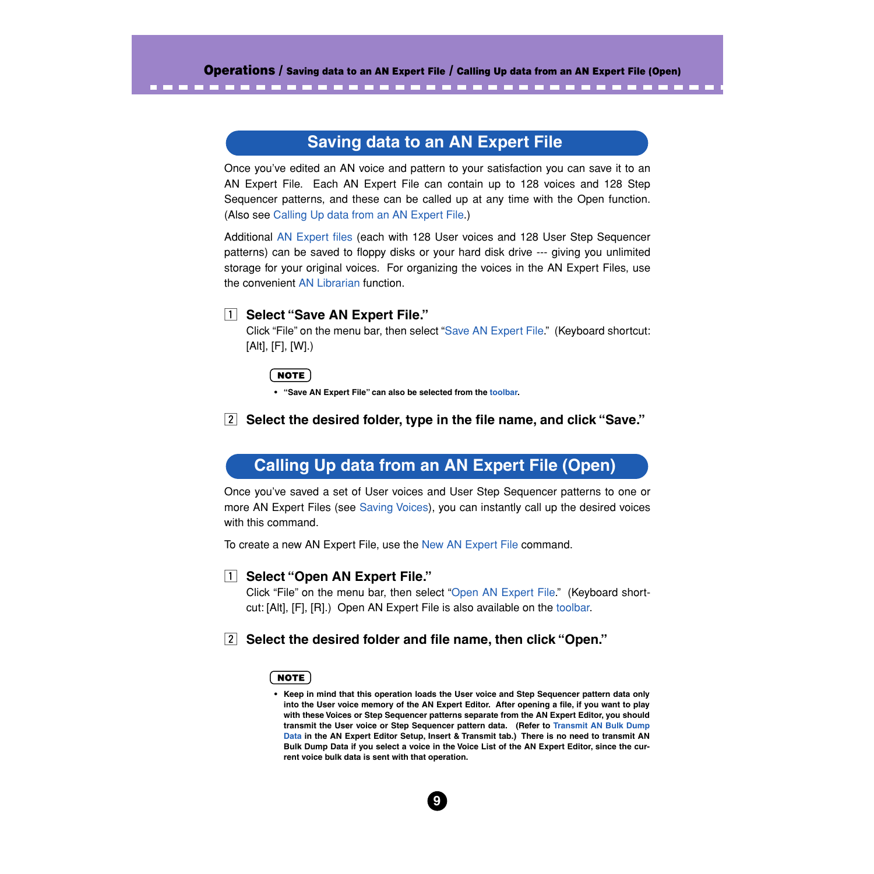# **Saving data to an AN Expert File**

<span id="page-8-0"></span>Once you've edited an AN voice and pattern to your satisfaction you can save it to an AN Expert File. Each AN Expert File can contain up to 128 voices and 128 Step Sequencer patterns, and these can be called up at any time with the Open function. (Also see Calling Up data from an AN Expert File.)

Additional [AN Expert files](#page-73-0) (each with 128 User voices and 128 User Step Sequencer patterns) can be saved to floppy disks or your hard disk drive --- giving you unlimited storage for your original voices. For organizing the voices in the AN Expert Files, use the convenient [AN Librarian](#page-76-0) function.

# **T** Select "Save AN Expert File."

Click "File" on the menu bar, then select ["Save AN Expert File](#page-73-0)." (Keyboard shortcut: [Alt], [F], [W].)

### $NOTE$

**• "Save AN Expert File" can also be selected from the [toolbar.](#page-14-0)**

# x **Select the desired folder, type in the file name, and click "Save."**

# **Calling Up data from an AN Expert File (Open)**

Once you've saved a set of User voices and User Step Sequencer patterns to one or more AN Expert Files (see Saving Voices), you can instantly call up the desired voices with this command.

To create a new AN Expert File, use the [New AN Expert File](#page-71-0) command.

# **T** Select "Open AN Expert File."

Click "File" on the menu bar, then select ["Open AN Expert File.](#page-72-0)" (Keyboard shortcut: [Alt], [F], [R].) Open AN Expert File is also available on the [toolbar](#page-14-0).

# x **Select the desired folder and file name, then click "Open."**

#### NOTE

**• Keep in mind that this operation loads the User voice and Step Sequencer pattern data only into the User voice memory of the AN Expert Editor. After opening a file, if you want to play with these Voices or Step Sequencer patterns separate from the AN Expert Editor, you should transmit the User voice or Step Sequencer pattern data. (Refer to [Transmit AN Bulk Dump](#page-89-0) [Data](#page-89-0) in the AN Expert Editor Setup, Insert & Transmit tab.) There is no need to transmit AN Bulk Dump Data if you select a voice in the Voice List of the AN Expert Editor, since the current voice bulk data is sent with that operation.**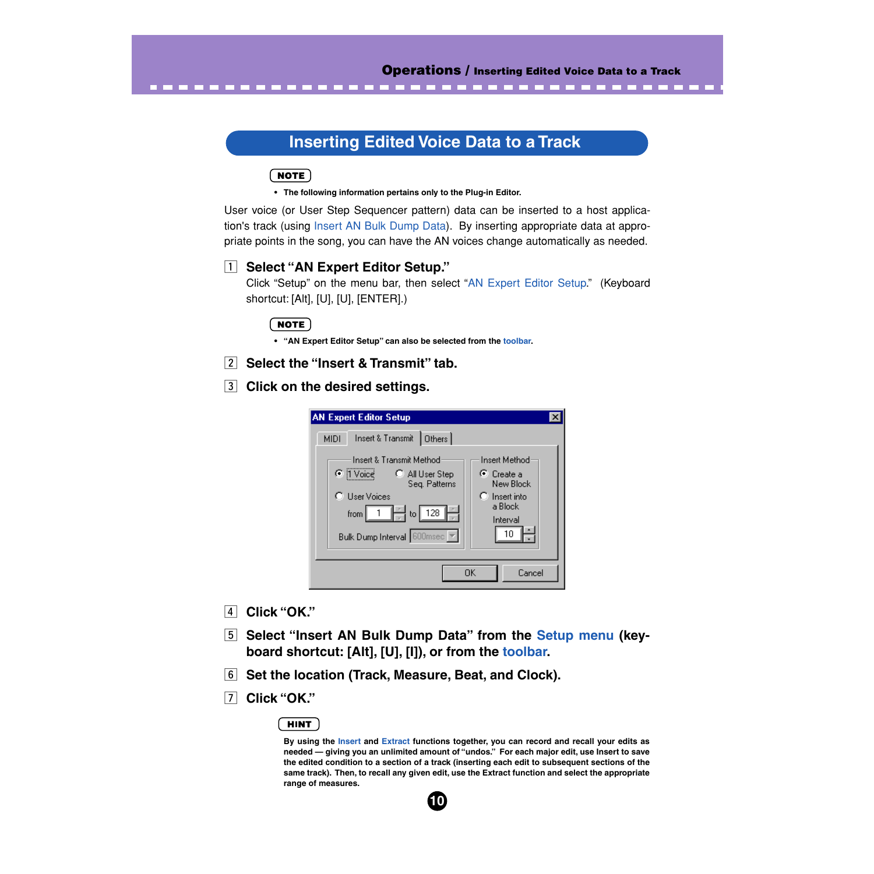# **Inserting Edited Voice Data to a Track**

# **NOTE**

**• The following information pertains only to the Plug-in Editor.**

User voice (or User Step Sequencer pattern) data can be inserted to a host application's track (using [Insert AN Bulk Dump Data](#page-87-0)). By inserting appropriate data at appropriate points in the song, you can have the AN voices change automatically as needed.

# **1** Select "AN Expert Editor Setup."

Click "Setup" on the menu bar, then select ["AN Expert Editor Setup](#page-78-0)." (Keyboard shortcut: [Alt], [U], [U], [ENTER].)

# NOTE

- **"AN Expert Editor Setup" can also be selected from the [toolbar](#page-14-0).**
- **<u>[2]</u>** Select the "Insert & Transmit" tab.

**13 Click on the desired settings.** 

| <b>AN Expert Editor Setup</b>                                                                                                                                                                                                                                     |                                                                                                            |  |  |  |  |
|-------------------------------------------------------------------------------------------------------------------------------------------------------------------------------------------------------------------------------------------------------------------|------------------------------------------------------------------------------------------------------------|--|--|--|--|
| Insert & Transmit<br>$ $ Others $ $<br><b>MIDI</b><br><b>Insert &amp; Transmit Method</b><br>C  1 Voice<br>C All User Step<br>Seg. Patterns<br><b>User Voices</b><br>$\left \frac{p}{q}\right $ to 128<br>from<br>Bulk Dump Interval 600msec $\blacktriangledown$ | <b>Insert Method</b><br>$\odot$ Create a<br>New Block<br>$\Gamma$ Insert into<br>a Block<br>Interval<br>10 |  |  |  |  |
| OΚ<br>Cancel                                                                                                                                                                                                                                                      |                                                                                                            |  |  |  |  |

- v **Click "OK."**
- **5** Select "Insert AN Bulk Dump Data" from the [Setup menu](#page-78-0) (key**board shortcut: [Alt], [U], [I]), or from the [toolbar.](#page-14-0)**
- **6** Set the location (Track, Measure, Beat, and Clock).
- m **Click "OK."**

#### **HINT**

**By using the [Insert](#page-87-0) and [Extract](#page-88-0) functions together, you can record and recall your edits as needed — giving you an unlimited amount of "undos." For each major edit, use Insert to save the edited condition to a section of a track (inserting each edit to subsequent sections of the same track). Then, to recall any given edit, use the Extract function and select the appropriate range of measures.**

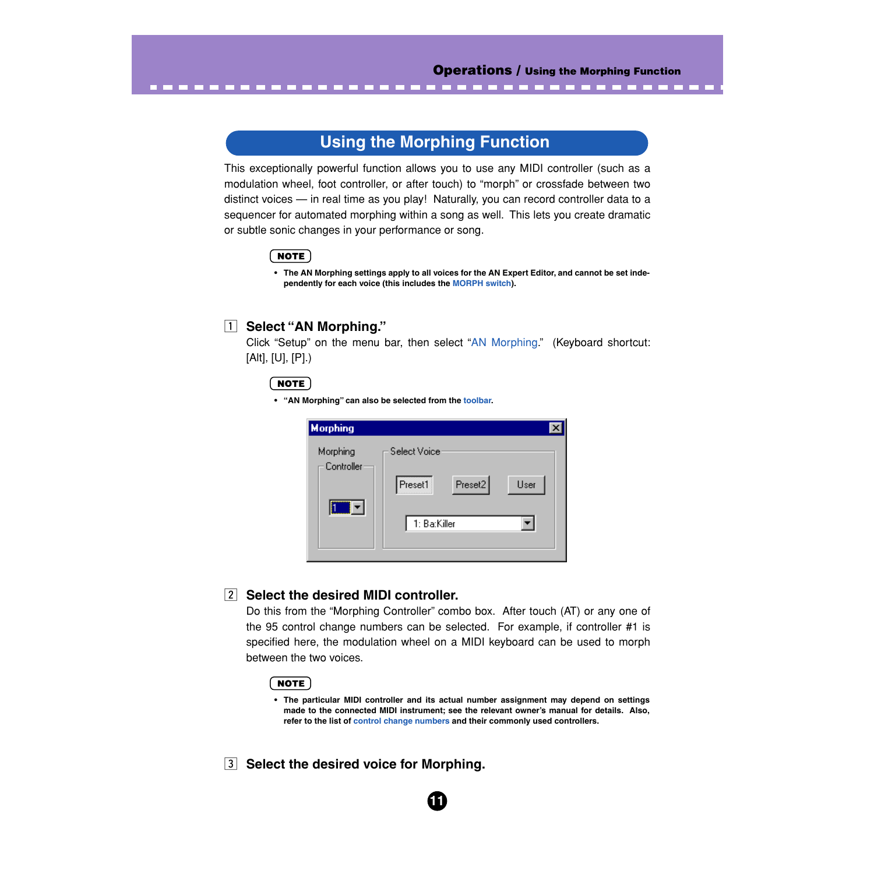------

# **Using the Morphing Function**

This exceptionally powerful function allows you to use any MIDI controller (such as a modulation wheel, foot controller, or after touch) to "morph" or crossfade between two distinct voices — in real time as you play! Naturally, you can record controller data to a sequencer for automated morphing within a song as well. This lets you create dramatic or subtle sonic changes in your performance or song.

# NOTE

**• The AN Morphing settings apply to all voices for the AN Expert Editor, and cannot be set independently for each voice (this includes the [MORPH switch](#page-44-0)).**

--------

# **1** Select "AN Morphing."

. . . . . . . . . . . . .

Click "Setup" on the menu bar, then select ["AN Morphing](#page-84-0)." (Keyboard shortcut: [Alt], [U], [P].)

### NOTE

**• "AN Morphing" can also be selected from the [toolbar.](#page-14-0)**

| <b>Morphing</b>        |                    |      |
|------------------------|--------------------|------|
| Morphing<br>Controller | Select Voice       |      |
|                        | Preset2<br>Preset1 | User |
|                        | 1: Ba:Killer       |      |

# **z** Select the desired MIDI controller.

Do this from the "Morphing Controller" combo box. After touch (AT) or any one of the 95 control change numbers can be selected. For example, if controller #1 is specified here, the modulation wheel on a MIDI keyboard can be used to morph between the two voices.

### ( NOTE )

**• The particular MIDI controller and its actual number assignment may depend on settings made to the connected MIDI instrument; see the relevant owner's manual for details. Also, refer to the list of [control change numbers](#page-85-0) and their commonly used controllers.**

**11**

**3** Select the desired voice for Morphing.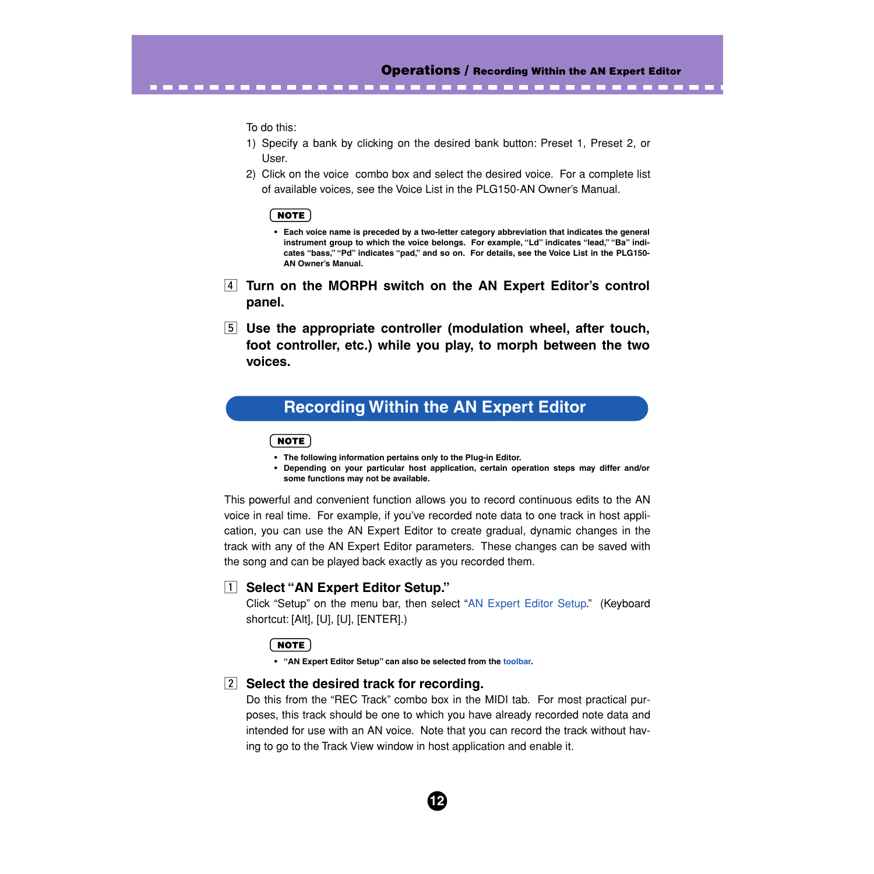--------------

To do this:

<span id="page-11-0"></span>. . . . . . . .

- 1) Specify a bank by clicking on the desired bank button: Preset 1, Preset 2, or User.
- 2) Click on the voice combo box and select the desired voice. For a complete list of available voices, see the Voice List in the PLG150-AN Owner's Manual.

#### NOTE

**• Each voice name is preceded by a two-letter category abbreviation that indicates the general instrument group to which the voice belongs. For example, "Ld" indicates "lead," "Ba" indicates "bass," "Pd" indicates "pad," and so on. For details, see the Voice List in the PLG150- AN Owner's Manual.**

- **4 Turn on the MORPH switch on the AN Expert Editor's control panel.**
- b **Use the appropriate controller (modulation wheel, after touch, foot controller, etc.) while you play, to morph between the two voices.**

# **Recording Within the AN Expert Editor**

#### **NOTE**

- **The following information pertains only to the Plug-in Editor.**
- **Depending on your particular host application, certain operation steps may differ and/or some functions may not be available.**

This powerful and convenient function allows you to record continuous edits to the AN voice in real time. For example, if you've recorded note data to one track in host application, you can use the AN Expert Editor to create gradual, dynamic changes in the track with any of the AN Expert Editor parameters. These changes can be saved with the song and can be played back exactly as you recorded them.

# **T** Select "AN Expert Editor Setup."

Click "Setup" on the menu bar, then select ["AN Expert Editor Setup](#page-78-0)." (Keyboard shortcut: [Alt], [U], [U], [ENTER].)

#### NOTE)

- **"AN Expert Editor Setup" can also be selected from the [toolbar](#page-14-0).**
- 

# **<u>[2]</u>** Select the desired track for recording.

Do this from the "REC Track" combo box in the MIDI tab. For most practical purposes, this track should be one to which you have already recorded note data and intended for use with an AN voice. Note that you can record the track without having to go to the Track View window in host application and enable it.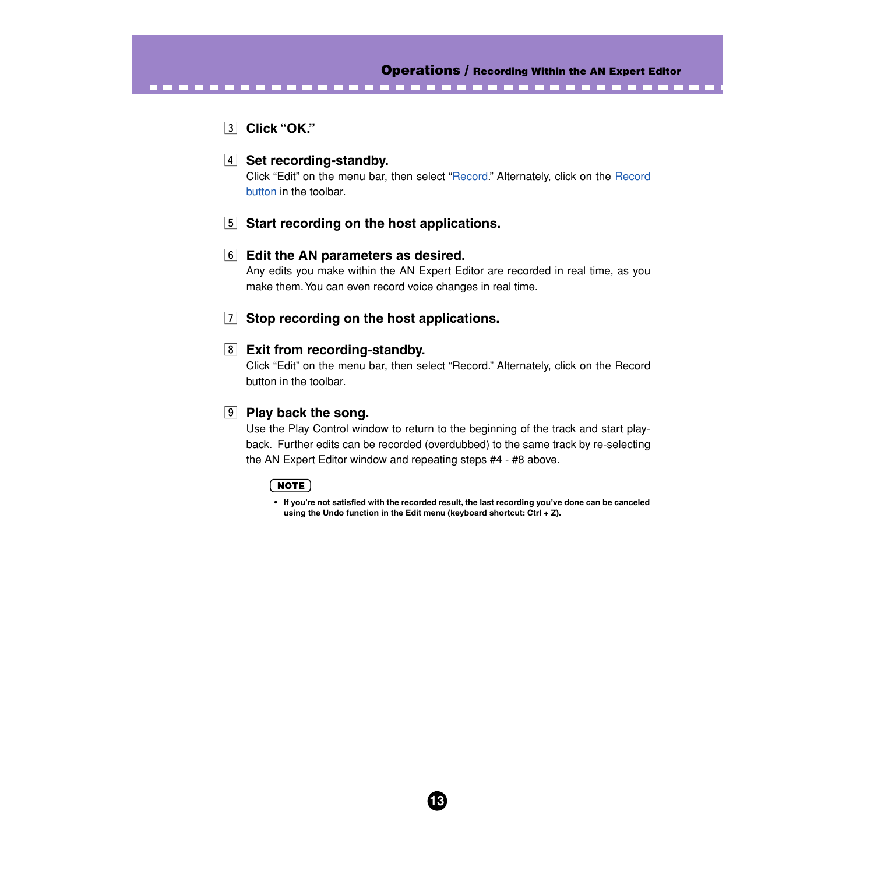# c **Click "OK."**

. . . . . . . .

# **4** Set recording-standby.

Click "Edit" on the menu bar, then select "[Record](#page-76-0)." Alternately, click on the [Record](#page-14-0) [button](#page-14-0) in the toolbar.

# **5** Start recording on the host applications.

# **6** Edit the AN parameters as desired.

Any edits you make within the AN Expert Editor are recorded in real time, as you make them. You can even record voice changes in real time.

# **F** Stop recording on the host applications.

# **8** Exit from recording-standby.

Click "Edit" on the menu bar, then select "Record." Alternately, click on the Record button in the toolbar.

# **9** Play back the song.

Use the Play Control window to return to the beginning of the track and start playback. Further edits can be recorded (overdubbed) to the same track by re-selecting the AN Expert Editor window and repeating steps #4 - #8 above.

# ( NOTE )

**• If you're not satisfied with the recorded result, the last recording you've done can be canceled using the Undo function in the Edit menu (keyboard shortcut: Ctrl + Z).**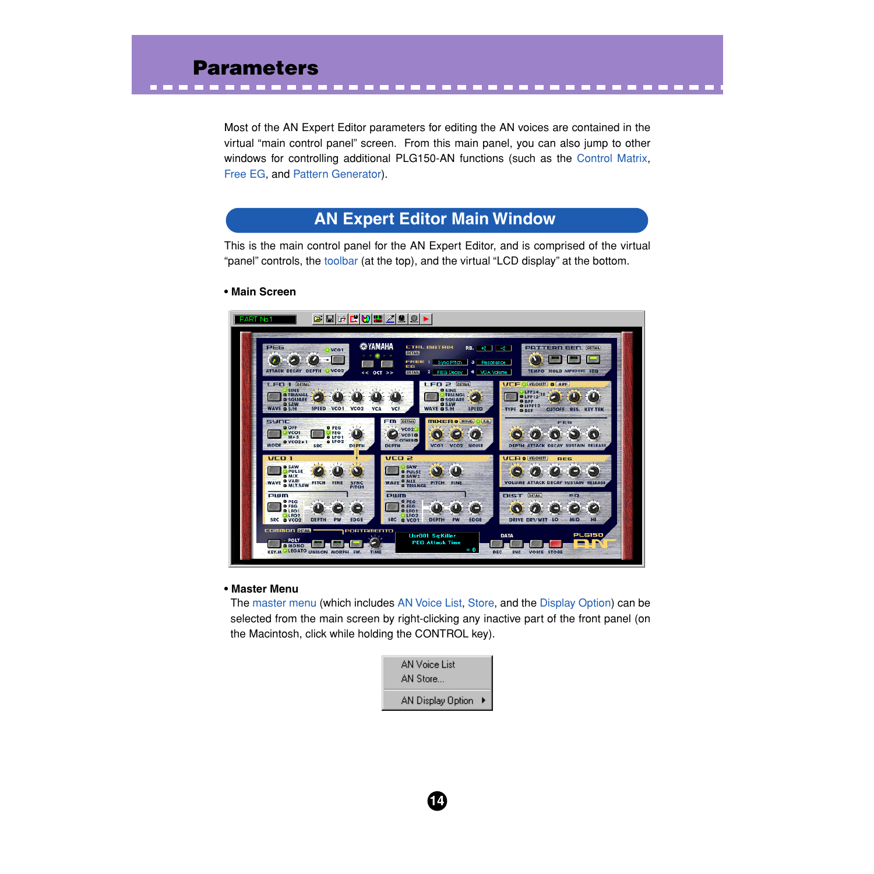<span id="page-13-0"></span>Most of the AN Expert Editor parameters for editing the AN voices are contained in the virtual "main control panel" screen. From this main panel, you can also jump to other windows for controlling additional PLG150-AN functions (such as the [Control Matrix](#page-52-0), [Free EG,](#page-55-0) and [Pattern Generator](#page-61-0)).

# **AN Expert Editor Main Window**

This is the main control panel for the AN Expert Editor, and is comprised of the virtual "panel" controls, the [toolbar](#page-14-0) (at the top), and the virtual "LCD display" at the bottom.

### **• Main Screen**



#### **• Master Menu**

The master menu (which includes [AN Voice List](#page-75-0), [Store,](#page-7-0) and the [Display Option](#page-83-0)) can be selected from the main screen by right-clicking any inactive part of the front panel (on the Macintosh, click while holding the CONTROL key).

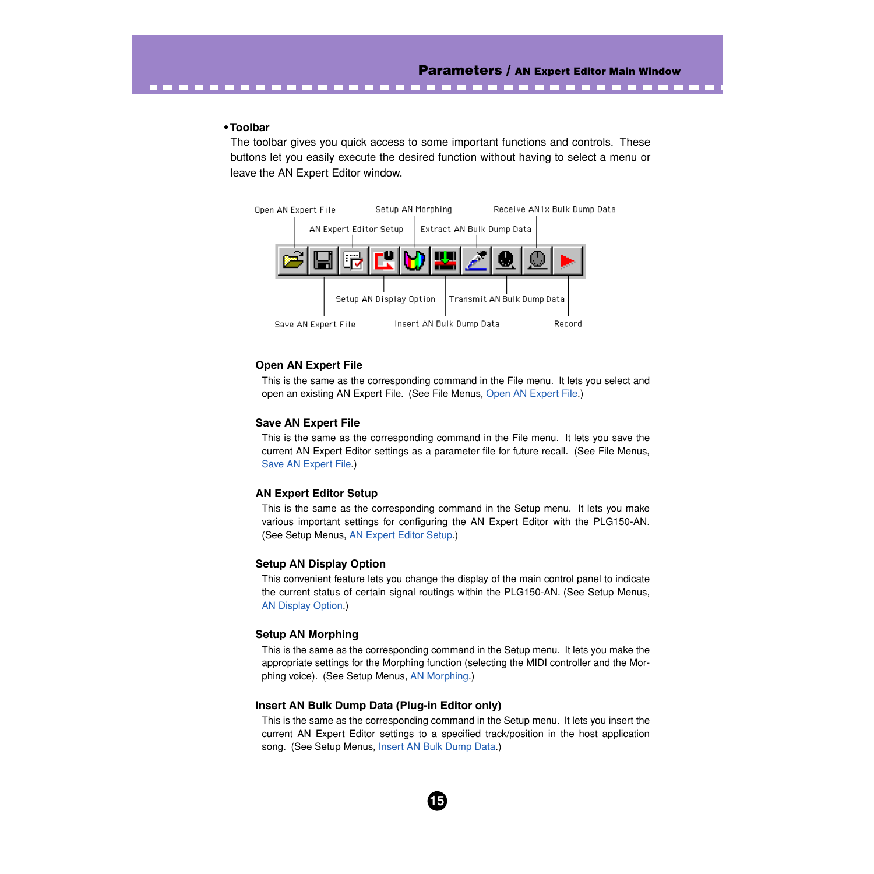#### <span id="page-14-0"></span>**• Toolbar**

The toolbar gives you quick access to some important functions and controls. These buttons let you easily execute the desired function without having to select a menu or leave the AN Expert Editor window.



#### **Open AN Expert File**

-------

This is the same as the corresponding command in the File menu. It lets you select and open an existing AN Expert File. (See File Menus, [Open AN Expert File](#page-72-0).)

#### **Save AN Expert File**

This is the same as the corresponding command in the File menu. It lets you save the current AN Expert Editor settings as a parameter file for future recall. (See File Menus, [Save AN Expert File](#page-73-0).)

#### **AN Expert Editor Setup**

This is the same as the corresponding command in the Setup menu. It lets you make various important settings for configuring the AN Expert Editor with the PLG150-AN. (See Setup Menus, [AN Expert Editor Setup.](#page-78-0))

#### **Setup AN Display Option**

This convenient feature lets you change the display of the main control panel to indicate the current status of certain signal routings within the PLG150-AN. (See Setup Menus, [AN Display Option](#page-83-0).)

#### **Setup AN Morphing**

This is the same as the corresponding command in the Setup menu. It lets you make the appropriate settings for the Morphing function (selecting the MIDI controller and the Morphing voice). (See Setup Menus, [AN Morphing.](#page-84-0))

#### **Insert AN Bulk Dump Data (Plug-in Editor only)**

This is the same as the corresponding command in the Setup menu. It lets you insert the current AN Expert Editor settings to a specified track/position in the host application song. (See Setup Menus, [Insert AN Bulk Dump Data.](#page-87-0))

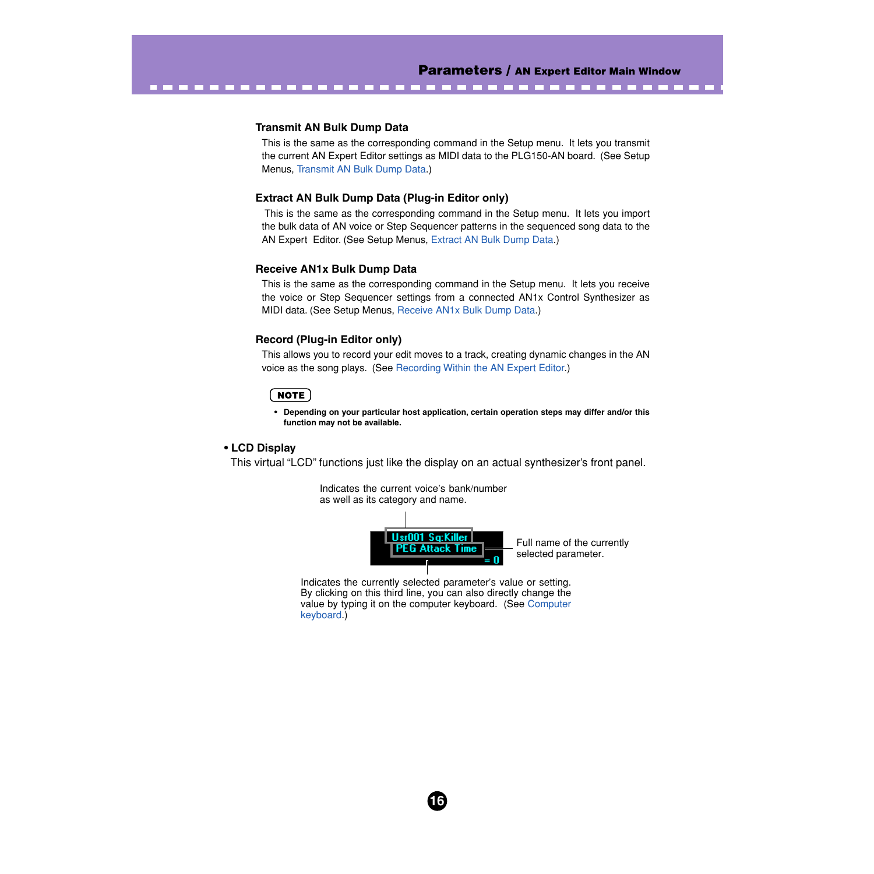. . . . .

#### **Transmit AN Bulk Dump Data**

-----------------

This is the same as the corresponding command in the Setup menu. It lets you transmit the current AN Expert Editor settings as MIDI data to the PLG150-AN board. (See Setup Menus, [Transmit AN Bulk Dump Data.](#page-89-0))

#### **Extract AN Bulk Dump Data (Plug-in Editor only)**

 This is the same as the corresponding command in the Setup menu. It lets you import the bulk data of AN voice or Step Sequencer patterns in the sequenced song data to the AN Expert Editor. (See Setup Menus, [Extract AN Bulk Dump Data](#page-88-0).)

#### **Receive AN1x Bulk Dump Data**

This is the same as the corresponding command in the Setup menu. It lets you receive the voice or Step Sequencer settings from a connected AN1x Control Synthesizer as MIDI data. (See Setup Menus, [Receive AN1x Bulk Dump Data.](#page-90-0))

#### **Record (Plug-in Editor only)**

This allows you to record your edit moves to a track, creating dynamic changes in the AN voice as the song plays. (See [Recording Within the AN Expert Editor.](#page-11-0))

#### NOTE

**• Depending on your particular host application, certain operation steps may differ and/or this function may not be available.**

#### **• LCD Display**

This virtual "LCD" functions just like the display on an actual synthesizer's front panel.





Full name of the currently selected parameter.

Indicates the currently selected parameter's value or setting. By clicking on this third line, you can also directly change the value by typing it on the computer keyboard. (See [Computer](#page-19-0) [keyboard.](#page-19-0))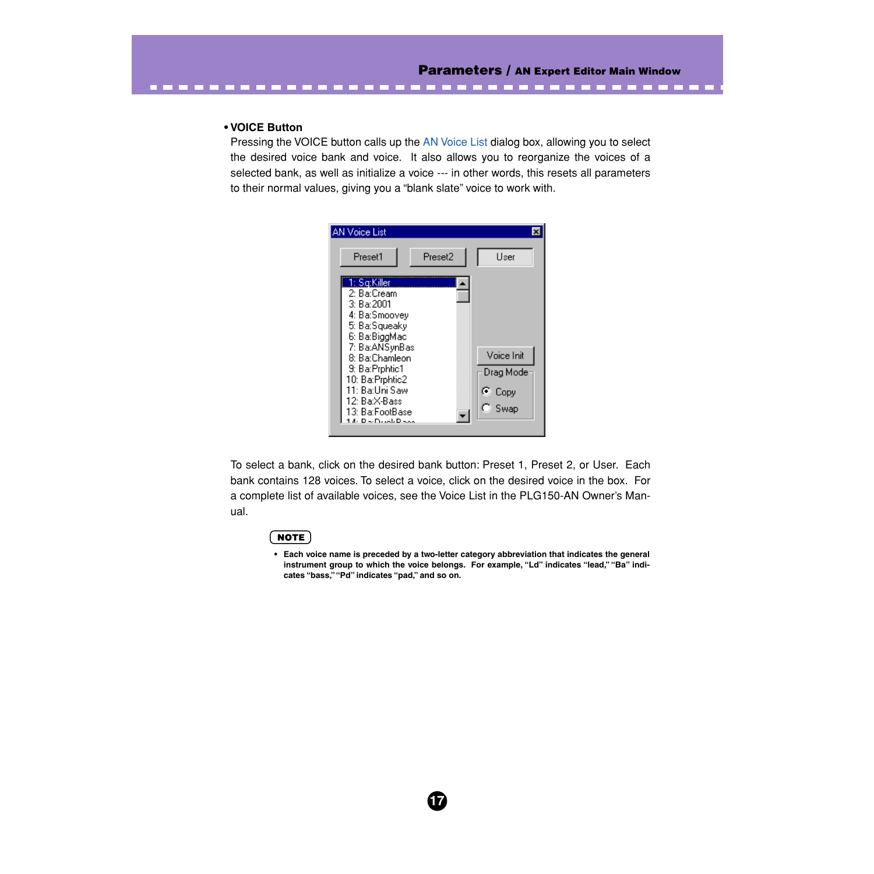--------

#### **• VOICE Button**

---------

Pressing the VOICE button calls up the [AN Voice List](#page-75-0) dialog box, allowing you to select the desired voice bank and voice. It also allows you to reorganize the voices of a selected bank, as well as initialize a voice --- in other words, this resets all parameters to their normal values, giving you a "blank slate" voice to work with.



To select a bank, click on the desired bank button: Preset 1, Preset 2, or User. Each bank contains 128 voices. To select a voice, click on the desired voice in the box. For a complete list of available voices, see the Voice List in the PLG150-AN Owner's Manual.

**17**

#### NOTE

**• Each voice name is preceded by a two-letter category abbreviation that indicates the general** instrument group to which the voice belongs. For example, "Ld" indicates "lead," "Ba" indi**cates "bass," "Pd" indicates "pad," and so on.**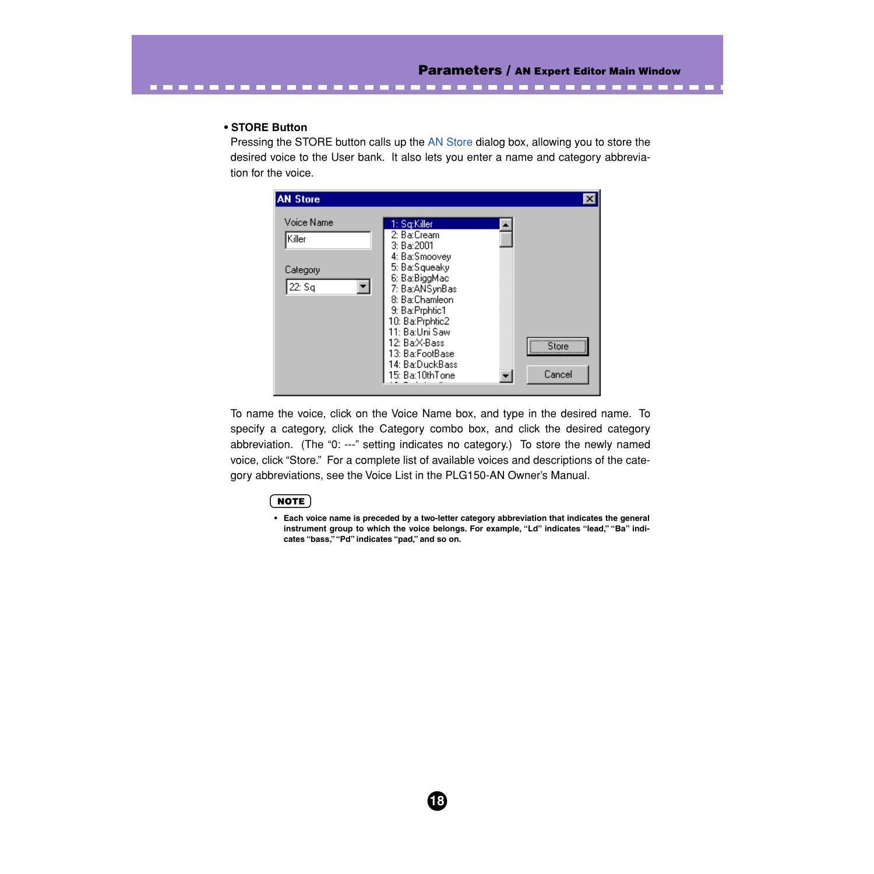-----

#### **• STORE Button**

Pressing the STORE button calls up the [AN Store](#page-7-0) dialog box, allowing you to store the desired voice to the User bank. It also lets you enter a name and category abbreviation for the voice.

| <b>AN Store</b>         |                                                                   |        |
|-------------------------|-------------------------------------------------------------------|--------|
| Voice Name<br>Killer    | 1: Sa:Killer<br>2: Ba:Cream<br>3: Ba:2001                         |        |
| Category<br>▾╎<br>22:Sq | 4: Ba:Smoovey<br>5: Ba:Squeaky<br>6: Ba:BiggMac<br>7: Ba:ANSynBas |        |
|                         | 8: Ba:Chamleon<br>9: Ba:Prphtic1<br>10: Ba: Prphtic2              |        |
|                         | 11: Ba:Uni Saw<br>12: Ba:X-Bass<br>13: Ba:FootBase                | Store  |
|                         | 14: Ba:DuckBass<br>15: Ba:10thTone                                | Cancel |

To name the voice, click on the Voice Name box, and type in the desired name. To specify a category, click the Category combo box, and click the desired category abbreviation. (The "0: ---" setting indicates no category.) To store the newly named voice, click "Store." For a complete list of available voices and descriptions of the category abbreviations, see the Voice List in the PLG150-AN Owner's Manual.

**18**

### $NOTE$

**• Each voice name is preceded by a two-letter category abbreviation that indicates the general instrument group to which the voice belongs. For example, "Ld" indicates "lead," "Ba" indicates "bass," "Pd" indicates "pad," and so on.**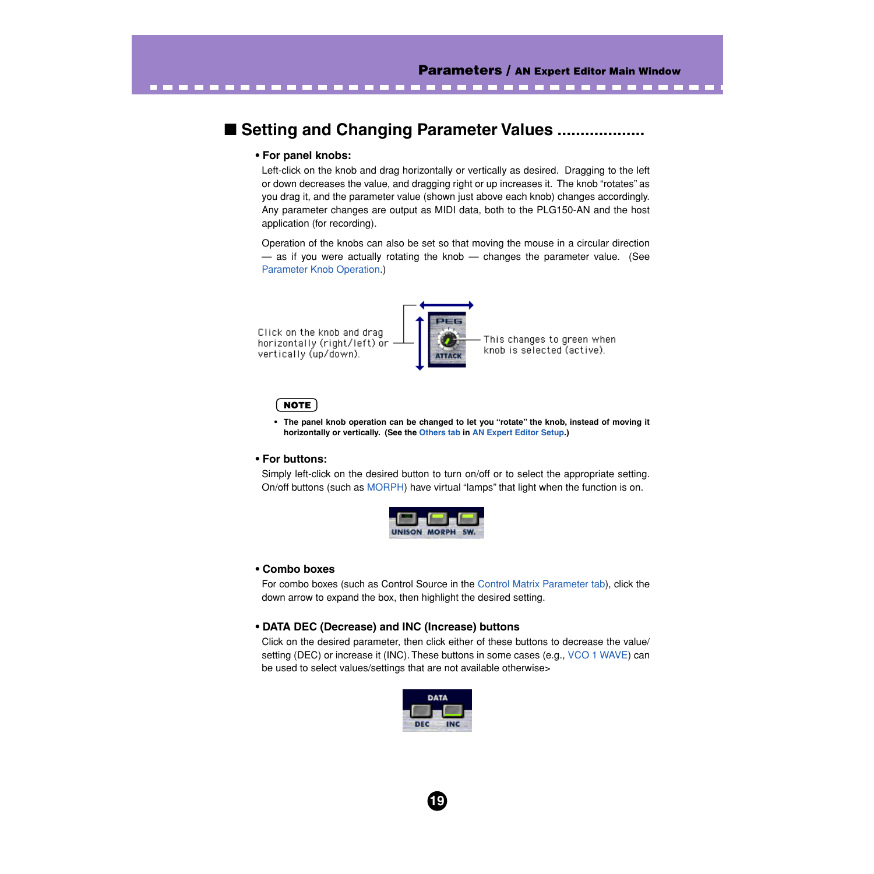-----

# <span id="page-18-0"></span>■ Setting and Changing Parameter Values ........

#### **• For panel knobs:**

-------

Left-click on the knob and drag horizontally or vertically as desired. Dragging to the left or down decreases the value, and dragging right or up increases it. The knob "rotates" as you drag it, and the parameter value (shown just above each knob) changes accordingly. Any parameter changes are output as MIDI data, both to the PLG150-AN and the host application (for recording).

Operation of the knobs can also be set so that moving the mouse in a circular direction  $-$  as if you were actually rotating the knob  $-$  changes the parameter value. (See [Parameter Knob Operation](#page-82-0).)

PER Click on the knob and drag horizontally (right/left) or vertically (up/down). **ATTACI** 

This changes to green when knob is selected (active).

#### **NOTE**

**• The panel knob operation can be changed to let you "rotate" the knob, instead of moving it horizontally or vertically. (See the [Others tab](#page-82-0) in [AN Expert Editor Setup](#page-78-0).)**

#### **• For buttons:**

Simply left-click on the desired button to turn on/off or to select the appropriate setting. On/off buttons (such as [MORPH](#page-44-0)) have virtual "lamps" that light when the function is on.



#### **• Combo boxes**

For combo boxes (such as Control Source in the [Control Matrix Parameter tab](#page-52-0)), click the down arrow to expand the box, then highlight the desired setting.

#### **• DATA DEC (Decrease) and INC (Increase) buttons**

Click on the desired parameter, then click either of these buttons to decrease the value/ setting (DEC) or increase it (INC). These buttons in some cases (e.g., [VCO 1 WAVE\)](#page-33-0) can be used to select values/settings that are not available otherwise>

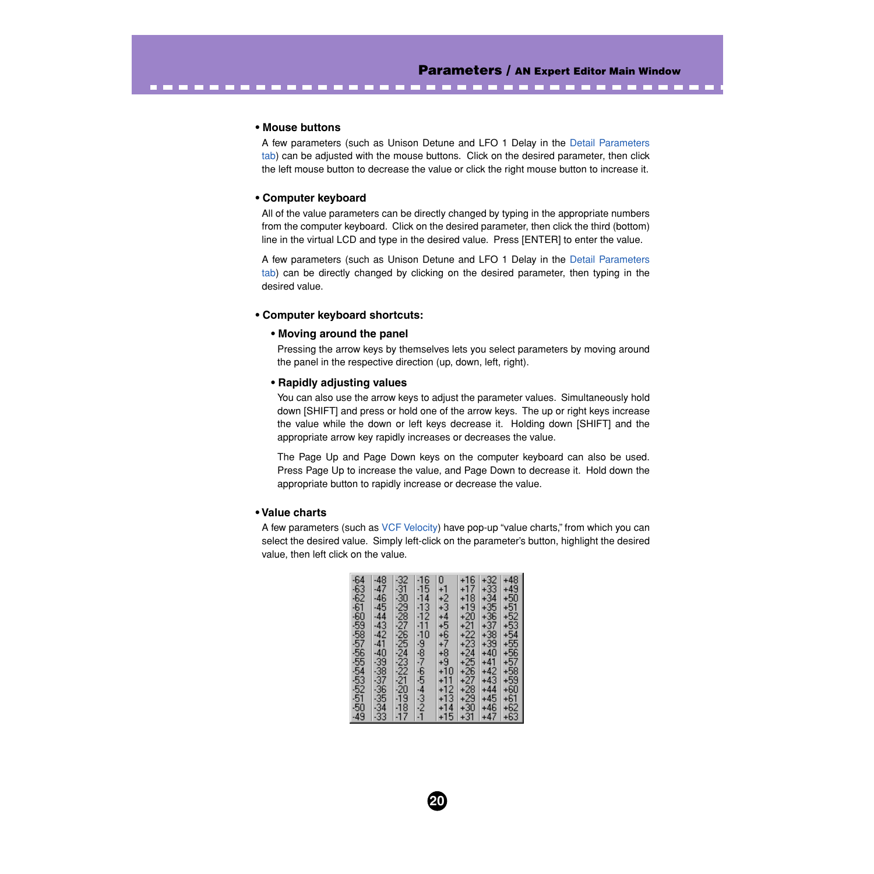#### **• Mouse buttons**

A few parameters (such as Unison Detune and LFO 1 Delay in the [Detail Parameters](#page-45-0) [tab\)](#page-45-0) can be adjusted with the mouse buttons. Click on the desired parameter, then click the left mouse button to decrease the value or click the right mouse button to increase it.

<span id="page-19-0"></span>--------------------------

#### **• Computer keyboard**

All of the value parameters can be directly changed by typing in the appropriate numbers from the computer keyboard. Click on the desired parameter, then click the third (bottom) line in the virtual LCD and type in the desired value. Press [ENTER] to enter the value.

A few parameters (such as Unison Detune and LFO 1 Delay in the [Detail Parameters](#page-45-0) [tab\)](#page-45-0) can be directly changed by clicking on the desired parameter, then typing in the desired value.

#### **• Computer keyboard shortcuts:**

#### **• Moving around the panel**

Pressing the arrow keys by themselves lets you select parameters by moving around the panel in the respective direction (up, down, left, right).

#### **• Rapidly adjusting values**

You can also use the arrow keys to adjust the parameter values. Simultaneously hold down [SHIFT] and press or hold one of the arrow keys. The up or right keys increase the value while the down or left keys decrease it. Holding down [SHIFT] and the appropriate arrow key rapidly increases or decreases the value.

The Page Up and Page Down keys on the computer keyboard can also be used. Press Page Up to increase the value, and Page Down to decrease it. Hold down the appropriate button to rapidly increase or decrease the value.

#### **• Value charts**

A few parameters (such as [VCF Velocity\)](#page-24-0) have pop-up "value charts," from which you can select the desired value. Simply left-click on the parameter's button, highlight the desired value, then left click on the value.

| -64                     | $-48$                            | -32                       | -16             | 0.               | $+16$                                       | $+32$          | $+48$                   |
|-------------------------|----------------------------------|---------------------------|-----------------|------------------|---------------------------------------------|----------------|-------------------------|
|                         |                                  |                           |                 |                  |                                             |                |                         |
| $-63$                   | $-47$                            |                           | $-15$           |                  | $+17$                                       | $+33$          | $+49$                   |
|                         | $-46$                            |                           | -14             |                  | $+18$                                       | +34            | $+50$                   |
|                         | $-45$                            |                           | $\frac{13}{12}$ |                  | $+19$                                       | $+35$          | $+51$                   |
|                         |                                  |                           |                 |                  |                                             |                |                         |
|                         | $-44$                            |                           |                 |                  | $+20$                                       | $+36$          | $+52$                   |
| <b>SSSSS</b>            |                                  |                           | -17             | $+123$<br>$+345$ |                                             | $+37$<br>$+38$ | $+5\overline{3}$        |
|                         |                                  |                           |                 |                  |                                             |                |                         |
|                         |                                  |                           |                 |                  |                                             |                | $+54$                   |
| $-58$<br>$-57$<br>$-56$ | $-43$<br>$-42$<br>$-41$<br>$-40$ |                           |                 |                  |                                             | $+39$          | $+55$<br>$+56$          |
|                         |                                  |                           |                 |                  |                                             | $+40$          |                         |
|                         |                                  |                           |                 |                  |                                             |                |                         |
|                         |                                  |                           |                 |                  |                                             | $+41$          |                         |
| 554532515049            | 32383383                         | 31-30-2922-2922-2022-2022 | 10987654321     | $+10$            | $+222$<br>$+223$<br>$+25$<br>$+25$<br>$+25$ | $+42$          | $+57$<br>$+58$<br>$+59$ |
|                         |                                  |                           |                 | $+11$            | $^{+27}_{+28}$                              | $+43$          |                         |
|                         |                                  |                           |                 |                  |                                             |                |                         |
|                         |                                  |                           |                 | +12              |                                             | $+44$          | $+60$                   |
|                         |                                  | -19                       |                 | +13              | $+29$                                       | $+45$          | $+61$<br>$+62$          |
|                         |                                  |                           |                 |                  |                                             | +46            |                         |
|                         |                                  | $\frac{18}{17}$           |                 | +14              | $+30$<br>$+31$                              |                |                         |
|                         |                                  |                           |                 | $+15$            |                                             | $+47$          | $+63$                   |

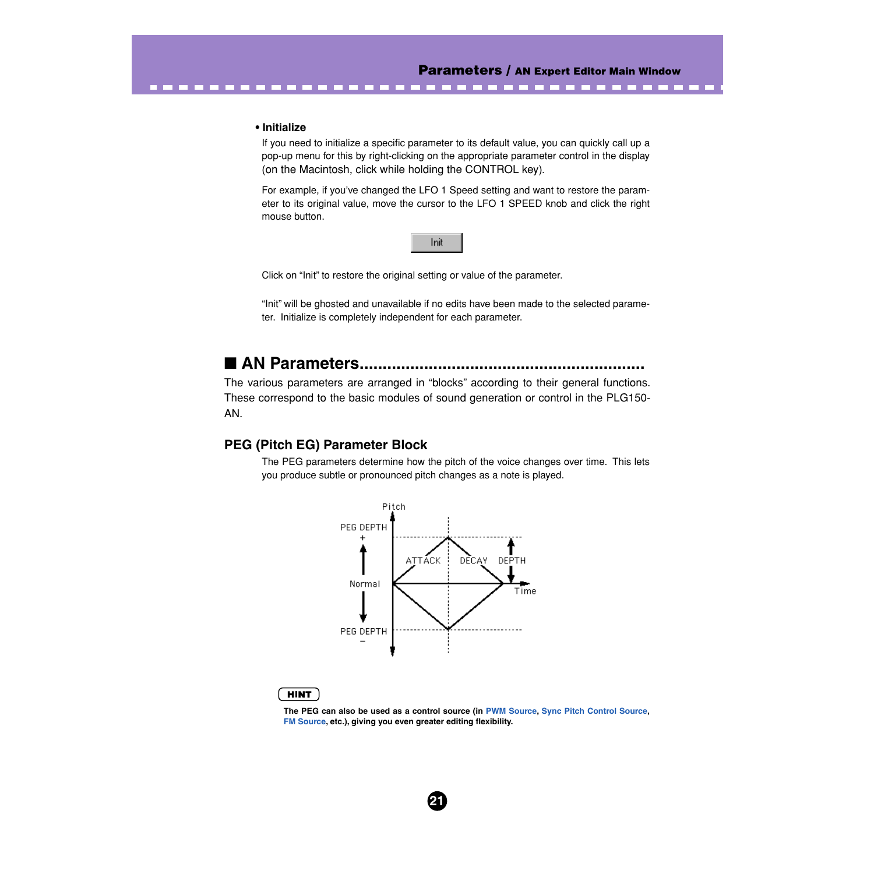**CONTRACT** 

#### <span id="page-20-0"></span>**• Initialize**

If you need to initialize a specific parameter to its default value, you can quickly call up a pop-up menu for this by right-clicking on the appropriate parameter control in the display (on the Macintosh, click while holding the CONTROL key).

For example, if you've changed the LFO 1 Speed setting and want to restore the parameter to its original value, move the cursor to the LFO 1 SPEED knob and click the right mouse button.



Click on "Init" to restore the original setting or value of the parameter.

"Init" will be ghosted and unavailable if no edits have been made to the selected parameter. Initialize is completely independent for each parameter.

# ■ AN Parameters.........

The various parameters are arranged in "blocks" according to their general functions. These correspond to the basic modules of sound generation or control in the PLG150- AN.

# **PEG (Pitch EG) Parameter Block**

The PEG parameters determine how the pitch of the voice changes over time. This lets you produce subtle or pronounced pitch changes as a note is played.



**21**

#### **HINT**

**The PEG can also be used as a control source (in [PWM Source](#page-36-0), [Sync Pitch Control Source,](#page-30-0) [FM Source](#page-50-0), etc.), giving you even greater editing flexibility.**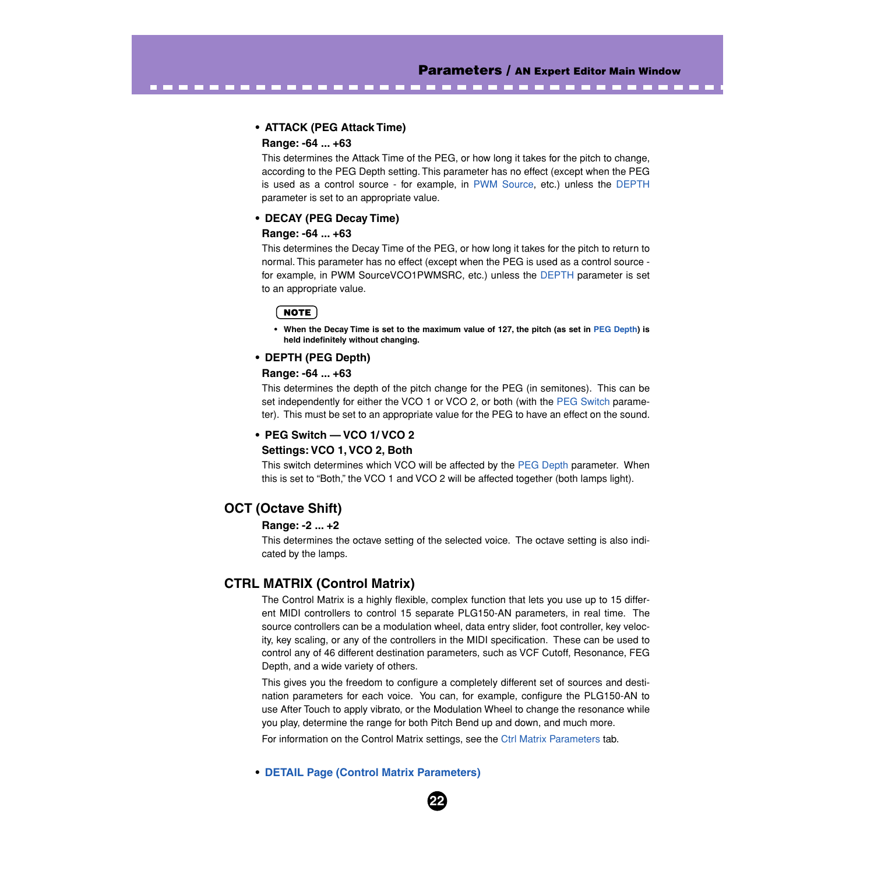#### **• ATTACK (PEG Attack Time)**

#### **Range: -64 ... +63**

This determines the Attack Time of the PEG, or how long it takes for the pitch to change, according to the PEG Depth setting. This parameter has no effect (except when the PEG is used as a control source - for example, in [PWM Source,](#page-36-0) etc.) unless the DEPTH parameter is set to an appropriate value.

-------------------------------------

#### **• DECAY (PEG Decay Time)**

#### **Range: -64 ... +63**

This determines the Decay Time of the PEG, or how long it takes for the pitch to return to normal. This parameter has no effect (except when the PEG is used as a control source for example, in PWM SourceVCO1PWMSRC, etc.) unless the DEPTH parameter is set to an appropriate value.

#### ( NOTE )

**• When the Decay Time is set to the maximum value of 127, the pitch (as set in PEG Depth) is held indefinitely without changing.**

#### **• DEPTH (PEG Depth)**

#### **Range: -64 ... +63**

This determines the depth of the pitch change for the PEG (in semitones). This can be set independently for either the VCO 1 or VCO 2, or both (with the PEG Switch parameter). This must be set to an appropriate value for the PEG to have an effect on the sound.

### **• PEG Switch — VCO 1/ VCO 2 Settings: VCO 1, VCO 2, Both**

This switch determines which VCO will be affected by the PEG Depth parameter. When this is set to "Both," the VCO 1 and VCO 2 will be affected together (both lamps light).

# **OCT (Octave Shift)**

#### **Range: -2 ... +2**

This determines the octave setting of the selected voice. The octave setting is also indicated by the lamps.

# **CTRL MATRIX (Control Matrix)**

The Control Matrix is a highly flexible, complex function that lets you use up to 15 different MIDI controllers to control 15 separate PLG150-AN parameters, in real time. The source controllers can be a modulation wheel, data entry slider, foot controller, key velocity, key scaling, or any of the controllers in the MIDI specification. These can be used to control any of 46 different destination parameters, such as VCF Cutoff, Resonance, FEG Depth, and a wide variety of others.

This gives you the freedom to configure a completely different set of sources and destination parameters for each voice. You can, for example, configure the PLG150-AN to use After Touch to apply vibrato, or the Modulation Wheel to change the resonance while you play, determine the range for both Pitch Bend up and down, and much more.

For information on the Control Matrix settings, see the [Ctrl Matrix Parameters](#page-52-0) tab.

#### **• [DETAIL Page \(Control Matrix Parameters\)](#page-52-0)**

**22**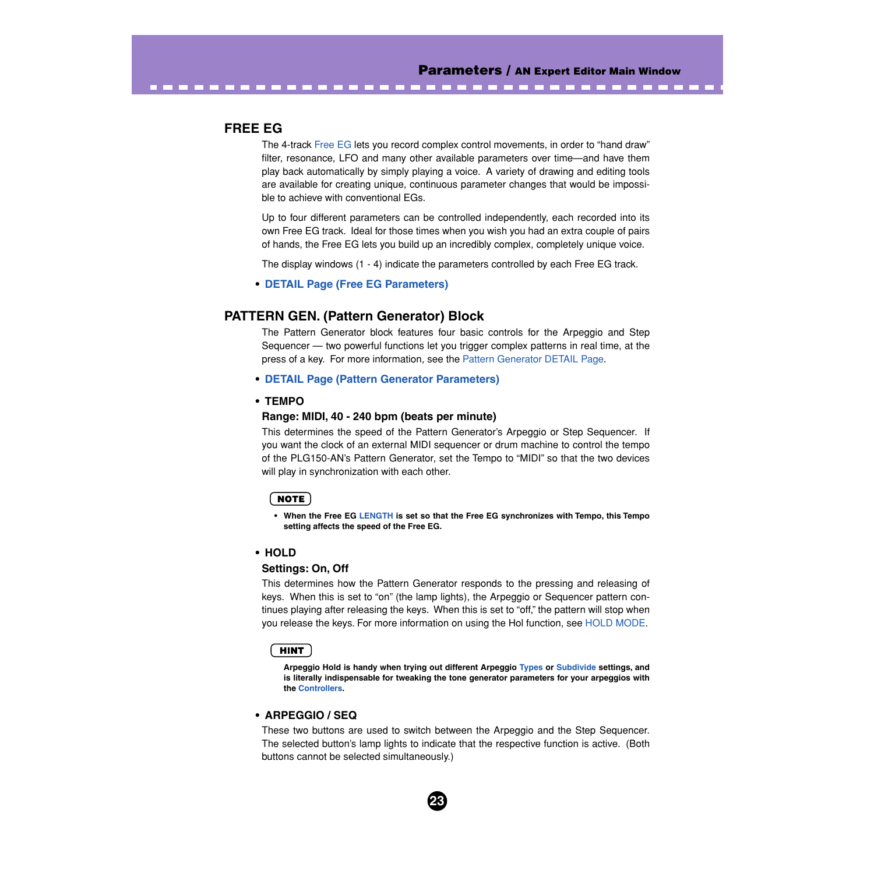# **FREE EG**

The 4-track [Free EG](#page-55-0) lets you record complex control movements, in order to "hand draw" filter, resonance, LFO and many other available parameters over time—and have them play back automatically by simply playing a voice. A variety of drawing and editing tools are available for creating unique, continuous parameter changes that would be impossible to achieve with conventional EGs.

--------------------------------

Up to four different parameters can be controlled independently, each recorded into its own Free EG track. Ideal for those times when you wish you had an extra couple of pairs of hands, the Free EG lets you build up an incredibly complex, completely unique voice.

The display windows (1 - 4) indicate the parameters controlled by each Free EG track.

#### **• [DETAIL Page \(Free EG Parameters\)](#page-55-0)**

# **PATTERN GEN. (Pattern Generator) Block**

The Pattern Generator block features four basic controls for the Arpeggio and Step Sequencer — two powerful functions let you trigger complex patterns in real time, at the press of a key. For more information, see the [Pattern Generator DETAIL Page.](#page-61-0)

#### **• [DETAIL Page \(Pattern Generator Parameters\)](#page-61-0)**

#### **• TEMPO**

#### **Range: MIDI, 40 - 240 bpm (beats per minute)**

This determines the speed of the Pattern Generator's Arpeggio or Step Sequencer. If you want the clock of an external MIDI sequencer or drum machine to control the tempo of the PLG150-AN's Pattern Generator, set the Tempo to "MIDI" so that the two devices will play in synchronization with each other.

#### NOTE

**• When the Free EG [LENGTH](#page-56-0) is set so that the Free EG synchronizes with Tempo, this Tempo setting affects the speed of the Free EG.**

#### **• HOLD**

#### **Settings: On, Off**

This determines how the Pattern Generator responds to the pressing and releasing of keys. When this is set to "on" (the lamp lights), the Arpeggio or Sequencer pattern continues playing after releasing the keys. When this is set to "off," the pattern will stop when you release the keys. For more information on using the Hol function, see [HOLD MODE.](#page-67-0)

#### HINT

**Arpeggio Hold is handy when trying out different Arpeggio [Types](#page-64-0) or [Subdivide](#page-64-0) settings, and is literally indispensable for tweaking the tone generator parameters for your arpeggios with the [Controllers](#page-52-0).**

#### **• ARPEGGIO / SEQ**

These two buttons are used to switch between the Arpeggio and the Step Sequencer. The selected button's lamp lights to indicate that the respective function is active. (Both buttons cannot be selected simultaneously.)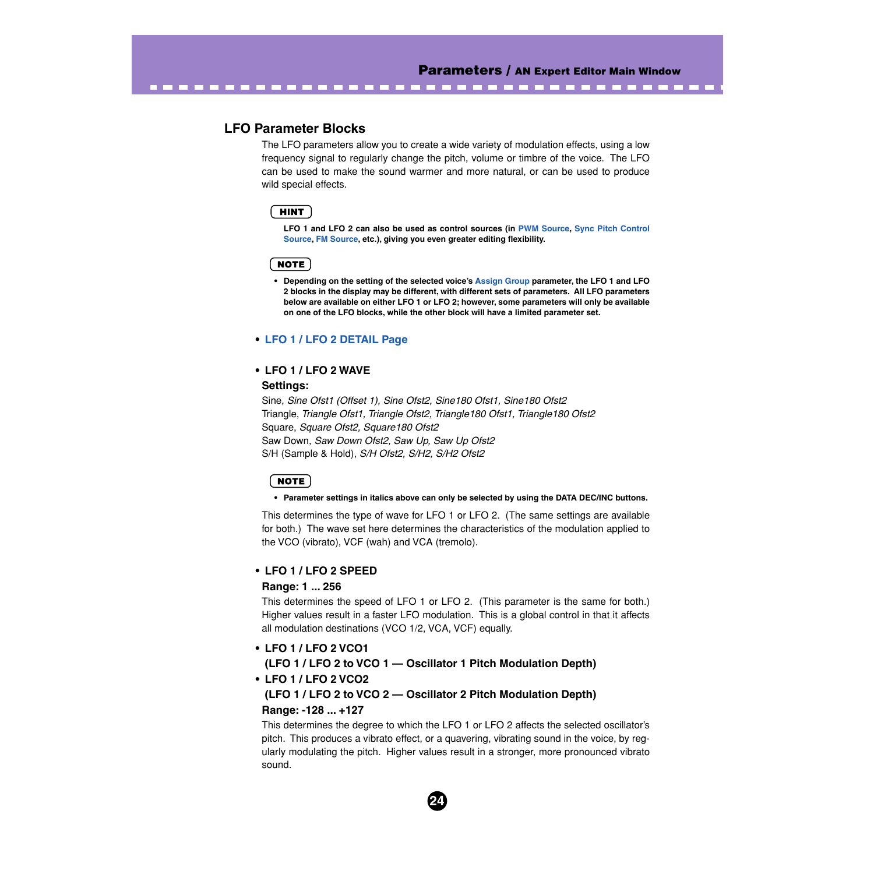# **LFO Parameter Blocks**

The LFO parameters allow you to create a wide variety of modulation effects, using a low frequency signal to regularly change the pitch, volume or timbre of the voice. The LFO can be used to make the sound warmer and more natural, or can be used to produce wild special effects.

----------------------------

### **HINT**

**LFO 1 and LFO 2 can also be used as control sources (in [PWM Source](#page-36-0), [Sync Pitch Control](#page-30-0) [Source](#page-30-0), [FM Source](#page-50-0), etc.), giving you even greater editing flexibility.**

#### **NOTE**

**• Depending on the setting of the selected voice's [Assign Group](#page-48-0) parameter, the LFO 1 and LFO 2 blocks in the display may be different, with different sets of parameters. All LFO parameters below are available on either LFO 1 or LFO 2; however, some parameters will only be available on one of the LFO blocks, while the other block will have a limited parameter set.**

#### **• [LFO 1 / LFO 2 DETAIL Page](#page-45-0)**

#### **• LFO 1 / LFO 2 WAVE**

#### **Settings:**

Sine, *Sine Ofst1 (Offset 1), Sine Ofst2, Sine180 Ofst1, Sine180 Ofst2* Triangle, *Triangle Ofst1, Triangle Ofst2, Triangle180 Ofst1, Triangle180 Ofst2* Square, *Square Ofst2, Square180 Ofst2* Saw Down, *Saw Down Ofst2, Saw Up, Saw Up Ofst2* S/H (Sample & Hold), *S/H Ofst2, S/H2, S/H2 Ofst2*

#### NOTE

#### **• Parameter settings in italics above can only be selected by using the DATA DEC/INC buttons.**

This determines the type of wave for LFO 1 or LFO 2. (The same settings are available for both.) The wave set here determines the characteristics of the modulation applied to the VCO (vibrato), VCF (wah) and VCA (tremolo).

#### **• LFO 1 / LFO 2 SPEED**

#### **Range: 1 ... 256**

This determines the speed of LFO 1 or LFO 2. (This parameter is the same for both.) Higher values result in a faster LFO modulation. This is a global control in that it affects all modulation destinations (VCO 1/2, VCA, VCF) equally.

#### **• LFO 1 / LFO 2 VCO1**

### **(LFO 1 / LFO 2 to VCO 1 — Oscillator 1 Pitch Modulation Depth) • LFO 1 / LFO 2 VCO2**

# **(LFO 1 / LFO 2 to VCO 2 — Oscillator 2 Pitch Modulation Depth) Range: -128 ... +127**

This determines the degree to which the LFO 1 or LFO 2 affects the selected oscillator's pitch. This produces a vibrato effect, or a quavering, vibrating sound in the voice, by regularly modulating the pitch. Higher values result in a stronger, more pronounced vibrato sound.

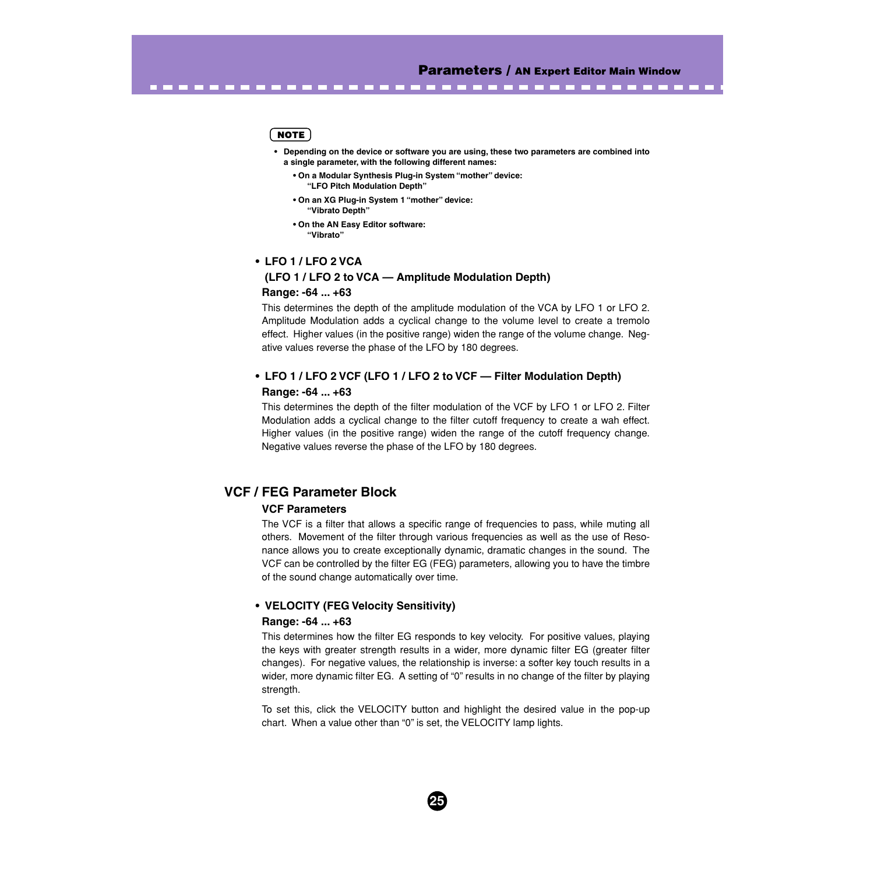#### **NOTE**

- **Depending on the device or software you are using, these two parameters are combined into a single parameter, with the following different names:**
	- **On a Modular Synthesis Plug-in System "mother" device: "LFO Pitch Modulation Depth"**

<span id="page-24-0"></span>-------------------------------------

- **On an XG Plug-in System 1 "mother" device: "Vibrato Depth"**
- **On the AN Easy Editor software: "Vibrato"**

# **• LFO 1 / LFO 2 VCA (LFO 1 / LFO 2 to VCA — Amplitude Modulation Depth) Range: -64 ... +63**

This determines the depth of the amplitude modulation of the VCA by LFO 1 or LFO 2. Amplitude Modulation adds a cyclical change to the volume level to create a tremolo effect. Higher values (in the positive range) widen the range of the volume change. Negative values reverse the phase of the LFO by 180 degrees.

# **• LFO 1 / LFO 2 VCF (LFO 1 / LFO 2 to VCF — Filter Modulation Depth) Range: -64 ... +63**

This determines the depth of the filter modulation of the VCF by LFO 1 or LFO 2. Filter Modulation adds a cyclical change to the filter cutoff frequency to create a wah effect. Higher values (in the positive range) widen the range of the cutoff frequency change. Negative values reverse the phase of the LFO by 180 degrees.

# **VCF / FEG Parameter Block**

#### **VCF Parameters**

The VCF is a filter that allows a specific range of frequencies to pass, while muting all others. Movement of the filter through various frequencies as well as the use of Resonance allows you to create exceptionally dynamic, dramatic changes in the sound. The VCF can be controlled by the filter EG (FEG) parameters, allowing you to have the timbre of the sound change automatically over time.

#### **• VELOCITY (FEG Velocity Sensitivity)**

#### **Range: -64 ... +63**

This determines how the filter EG responds to key velocity. For positive values, playing the keys with greater strength results in a wider, more dynamic filter EG (greater filter changes). For negative values, the relationship is inverse: a softer key touch results in a wider, more dynamic filter EG. A setting of "0" results in no change of the filter by playing strength.

To set this, click the VELOCITY button and highlight the desired value in the pop-up chart. When a value other than "0" is set, the VELOCITY lamp lights.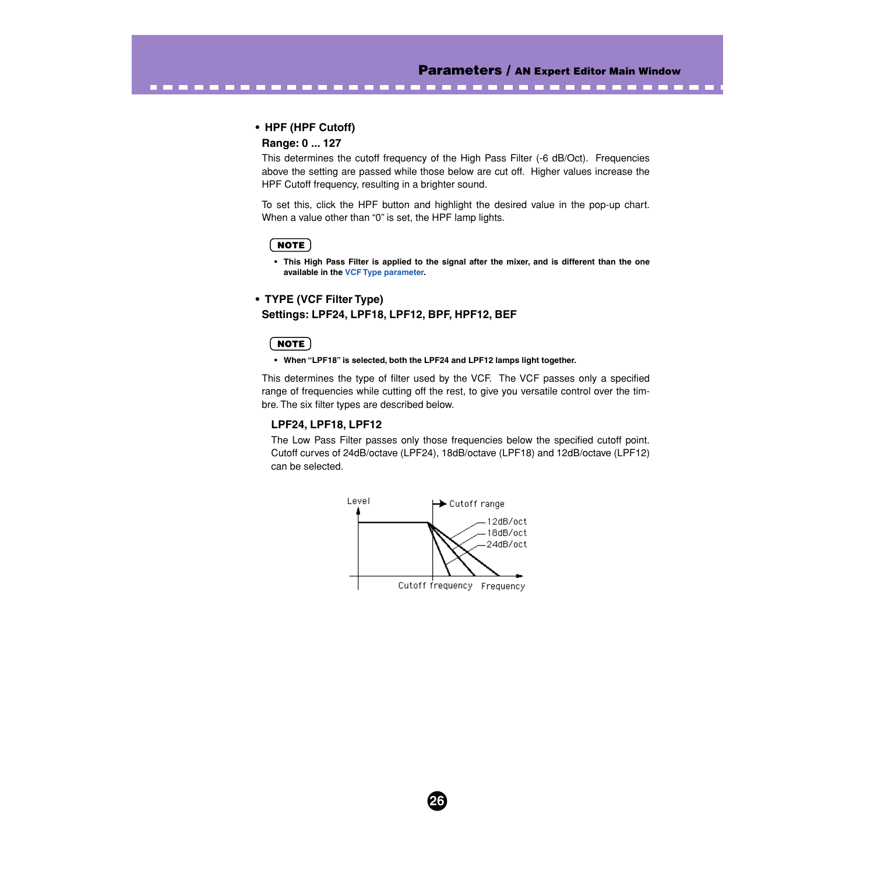----------

#### **• HPF (HPF Cutoff)**

-----------------

#### **Range: 0 ... 127**

This determines the cutoff frequency of the High Pass Filter (-6 dB/Oct). Frequencies above the setting are passed while those below are cut off. Higher values increase the HPF Cutoff frequency, resulting in a brighter sound.

To set this, click the HPF button and highlight the desired value in the pop-up chart. When a value other than "0" is set, the HPF lamp lights.

#### **NOTE**

**• This High Pass Filter is applied to the signal after the mixer, and is different than the one available in the VCF Type parameter.**

# **• TYPE (VCF Filter Type) Settings: LPF24, LPF18, LPF12, BPF, HPF12, BEF**

#### **NOTE**

#### **• When "LPF18" is selected, both the LPF24 and LPF12 lamps light together.**

This determines the type of filter used by the VCF. The VCF passes only a specified range of frequencies while cutting off the rest, to give you versatile control over the timbre. The six filter types are described below.

#### **LPF24, LPF18, LPF12**

The Low Pass Filter passes only those frequencies below the specified cutoff point. Cutoff curves of 24dB/octave (LPF24), 18dB/octave (LPF18) and 12dB/octave (LPF12) can be selected.

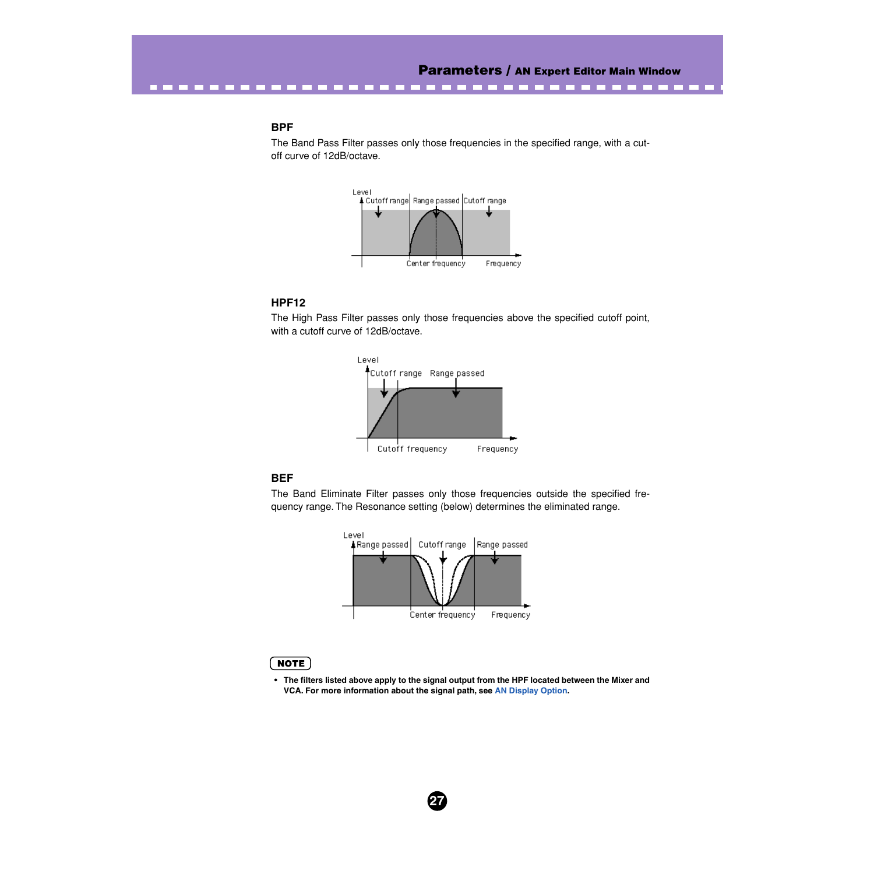#### **BPF**

--------

The Band Pass Filter passes only those frequencies in the specified range, with a cutoff curve of 12dB/octave.



#### **HPF12**

The High Pass Filter passes only those frequencies above the specified cutoff point, with a cutoff curve of 12dB/octave.



#### **BEF**

The Band Eliminate Filter passes only those frequencies outside the specified frequency range. The Resonance setting (below) determines the eliminated range.



**27**

#### NOTE

**• The filters listed above apply to the signal output from the HPF located between the Mixer and VCA. For more information about the signal path, see [AN Display Option](#page-83-0).**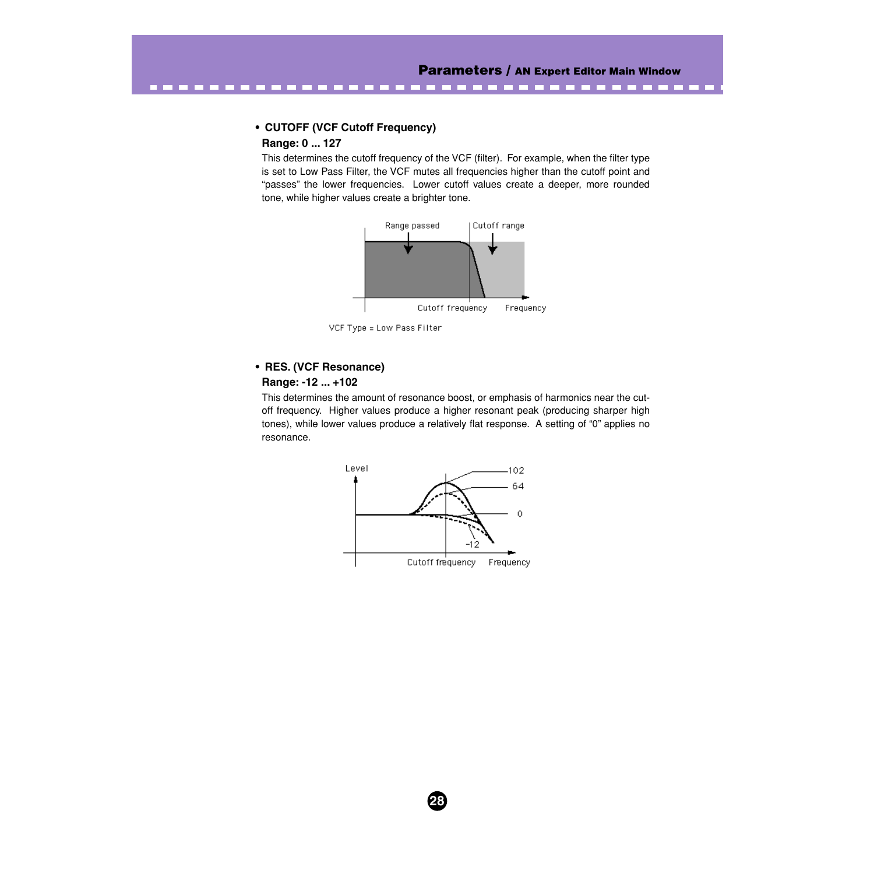# **• CUTOFF (VCF Cutoff Frequency)**

# **Range: 0 ... 127**

This determines the cutoff frequency of the VCF (filter). For example, when the filter type is set to Low Pass Filter, the VCF mutes all frequencies higher than the cutoff point and "passes" the lower frequencies. Lower cutoff values create a deeper, more rounded tone, while higher values create a brighter tone.

--------------------------



VCF Type = Low Pass Filter

# **• RES. (VCF Resonance)**

#### **Range: -12 ... +102**

This determines the amount of resonance boost, or emphasis of harmonics near the cutoff frequency. Higher values produce a higher resonant peak (producing sharper high tones), while lower values produce a relatively flat response. A setting of "0" applies no resonance.



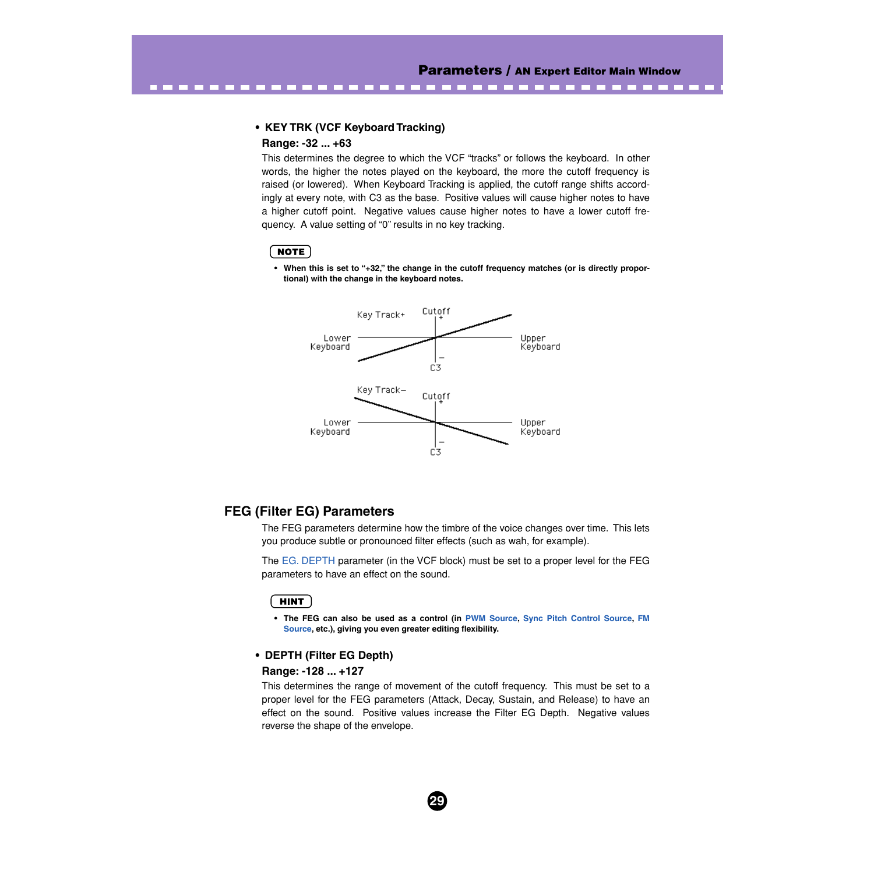**CONTRACTOR** 

#### **• KEY TRK (VCF Keyboard Tracking)**

### **Range: -32 ... +63**

. . . . . . . . .

This determines the degree to which the VCF "tracks" or follows the keyboard. In other words, the higher the notes played on the keyboard, the more the cutoff frequency is raised (or lowered). When Keyboard Tracking is applied, the cutoff range shifts accordingly at every note, with C3 as the base. Positive values will cause higher notes to have a higher cutoff point. Negative values cause higher notes to have a lower cutoff frequency. A value setting of "0" results in no key tracking.

#### **NOTE**

**• When this is set to "+32," the change in the cutoff frequency matches (or is directly proportional) with the change in the keyboard notes.**



# **FEG (Filter EG) Parameters**

The FEG parameters determine how the timbre of the voice changes over time. This lets you produce subtle or pronounced filter effects (such as wah, for example).

The EG. DEPTH parameter (in the VCF block) must be set to a proper level for the FEG parameters to have an effect on the sound.

### **HINT**

**• The FEG can also be used as a control (in [PWM Source,](#page-36-0) [Sync Pitch Control Source,](#page-30-0) [FM](#page-50-0) [Source](#page-50-0), etc.), giving you even greater editing flexibility.**

#### **• DEPTH (Filter EG Depth)**

#### **Range: -128 ... +127**

This determines the range of movement of the cutoff frequency. This must be set to a proper level for the FEG parameters (Attack, Decay, Sustain, and Release) to have an effect on the sound. Positive values increase the Filter EG Depth. Negative values reverse the shape of the envelope.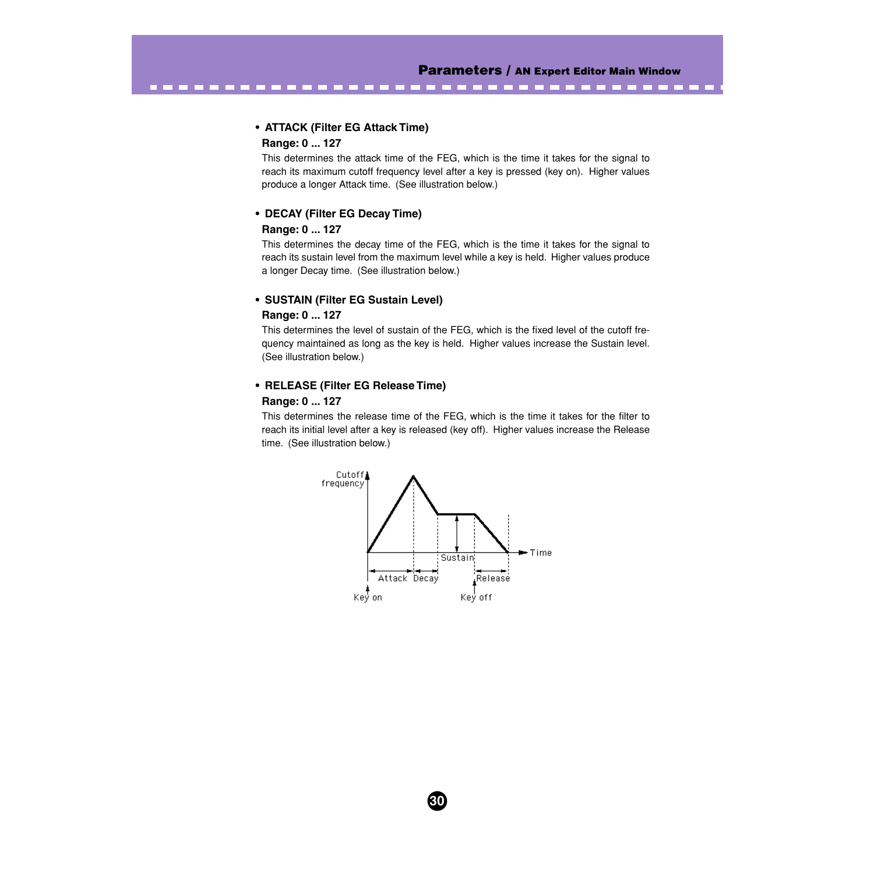----------

# **• ATTACK (Filter EG Attack Time)**

### **Range: 0 ... 127**

----------

This determines the attack time of the FEG, which is the time it takes for the signal to reach its maximum cutoff frequency level after a key is pressed (key on). Higher values produce a longer Attack time. (See illustration below.)

#### **• DECAY (Filter EG Decay Time)**

#### **Range: 0 ... 127**

This determines the decay time of the FEG, which is the time it takes for the signal to reach its sustain level from the maximum level while a key is held. Higher values produce a longer Decay time. (See illustration below.)

#### **• SUSTAIN (Filter EG Sustain Level)**

#### **Range: 0 ... 127**

This determines the level of sustain of the FEG, which is the fixed level of the cutoff frequency maintained as long as the key is held. Higher values increase the Sustain level. (See illustration below.)

#### **• RELEASE (Filter EG Release Time)**

#### **Range: 0 ... 127**

This determines the release time of the FEG, which is the time it takes for the filter to reach its initial level after a key is released (key off). Higher values increase the Release time. (See illustration below.)

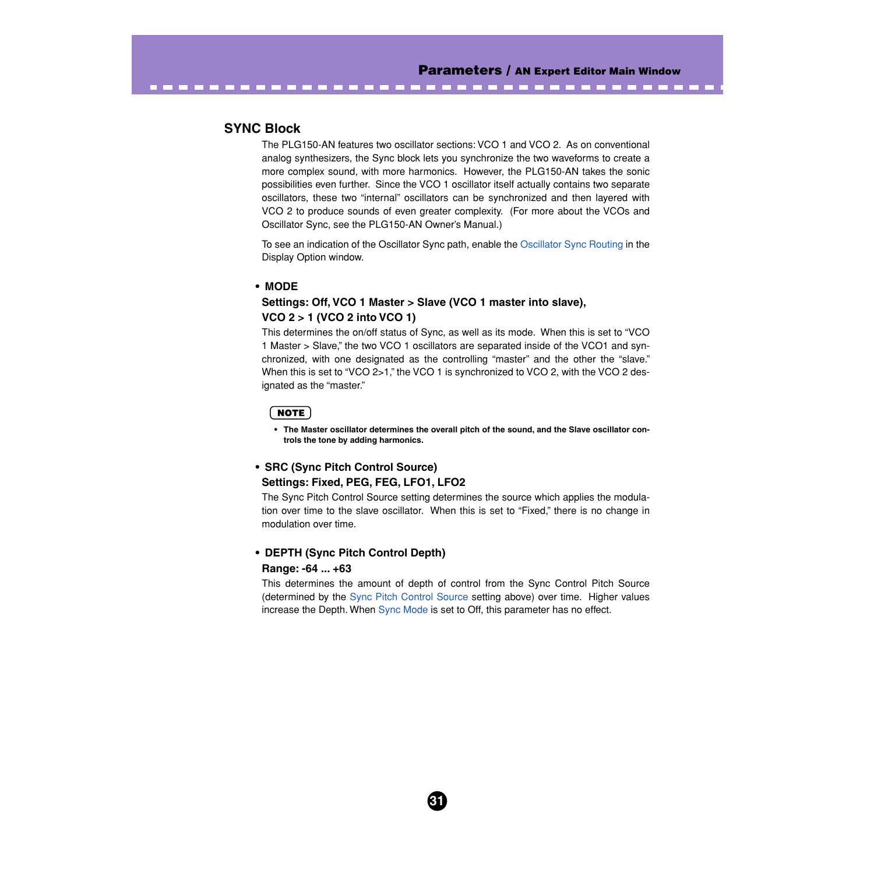# **SYNC Block**

The PLG150-AN features two oscillator sections: VCO 1 and VCO 2. As on conventional analog synthesizers, the Sync block lets you synchronize the two waveforms to create a more complex sound, with more harmonics. However, the PLG150-AN takes the sonic possibilities even further. Since the VCO 1 oscillator itself actually contains two separate oscillators, these two "internal" oscillators can be synchronized and then layered with VCO 2 to produce sounds of even greater complexity. (For more about the VCOs and Oscillator Sync, see the PLG150-AN Owner's Manual.)

<span id="page-30-0"></span>-------------------------------------

To see an indication of the Oscillator Sync path, enable the [Oscillator Sync Routing](#page-83-0) in the Display Option window.

#### **• MODE**

# **Settings: Off, VCO 1 Master > Slave (VCO 1 master into slave), VCO 2 > 1 (VCO 2 into VCO 1)**

This determines the on/off status of Sync, as well as its mode. When this is set to "VCO 1 Master > Slave," the two VCO 1 oscillators are separated inside of the VCO1 and synchronized, with one designated as the controlling "master" and the other the "slave." When this is set to "VCO 2>1," the VCO 1 is synchronized to VCO 2, with the VCO 2 designated as the "master."

#### **NOTE**

**• The Master oscillator determines the overall pitch of the sound, and the Slave oscillator controls the tone by adding harmonics.**

### **• SRC (Sync Pitch Control Source) Settings: Fixed, PEG, FEG, LFO1, LFO2**

The Sync Pitch Control Source setting determines the source which applies the modulation over time to the slave oscillator. When this is set to "Fixed," there is no change in modulation over time.

#### **• DEPTH (Sync Pitch Control Depth)**

#### **Range: -64 ... +63**

This determines the amount of depth of control from the Sync Control Pitch Source (determined by the Sync Pitch Control Source setting above) over time. Higher values increase the Depth. When Sync Mode is set to Off, this parameter has no effect.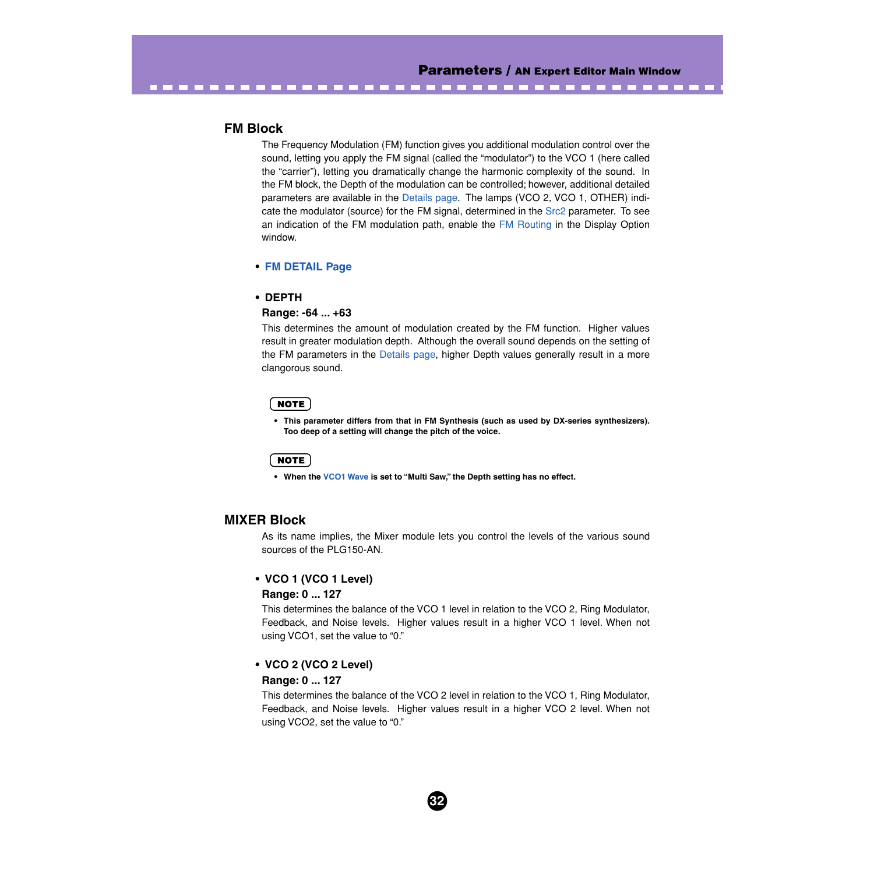# **FM Block**

The Frequency Modulation (FM) function gives you additional modulation control over the sound, letting you apply the FM signal (called the "modulator") to the VCO 1 (here called the "carrier"), letting you dramatically change the harmonic complexity of the sound. In the FM block, the Depth of the modulation can be controlled; however, additional detailed parameters are available in the [Details page.](#page-45-0) The lamps (VCO 2, VCO 1, OTHER) indicate the modulator (source) for the FM signal, determined in the [Src2](#page-51-0) parameter. To see an indication of the FM modulation path, enable the [FM Routing](#page-83-0) in the Display Option window.

-------------------------------

#### **• [FM DETAIL Page](#page-45-0)**

#### **• DEPTH**

#### **Range: -64 ... +63**

This determines the amount of modulation created by the FM function. Higher values result in greater modulation depth. Although the overall sound depends on the setting of the FM parameters in the [Details page,](#page-45-0) higher Depth values generally result in a more clangorous sound.

#### NOTE

**• This parameter differs from that in FM Synthesis (such as used by DX-series synthesizers). Too deep of a setting will change the pitch of the voice.**

# NOTE

**• When the [VCO1 Wave](#page-33-0) is set to "Multi Saw," the Depth setting has no effect.**

### **MIXER Block**

As its name implies, the Mixer module lets you control the levels of the various sound sources of the PLG150-AN.

#### **• VCO 1 (VCO 1 Level)**

#### **Range: 0 ... 127**

This determines the balance of the VCO 1 level in relation to the VCO 2, Ring Modulator, Feedback, and Noise levels. Higher values result in a higher VCO 1 level. When not using VCO1, set the value to "0."

# **• VCO 2 (VCO 2 Level)**

#### **Range: 0 ... 127**

This determines the balance of the VCO 2 level in relation to the VCO 1, Ring Modulator, Feedback, and Noise levels. Higher values result in a higher VCO 2 level. When not using VCO2, set the value to "0."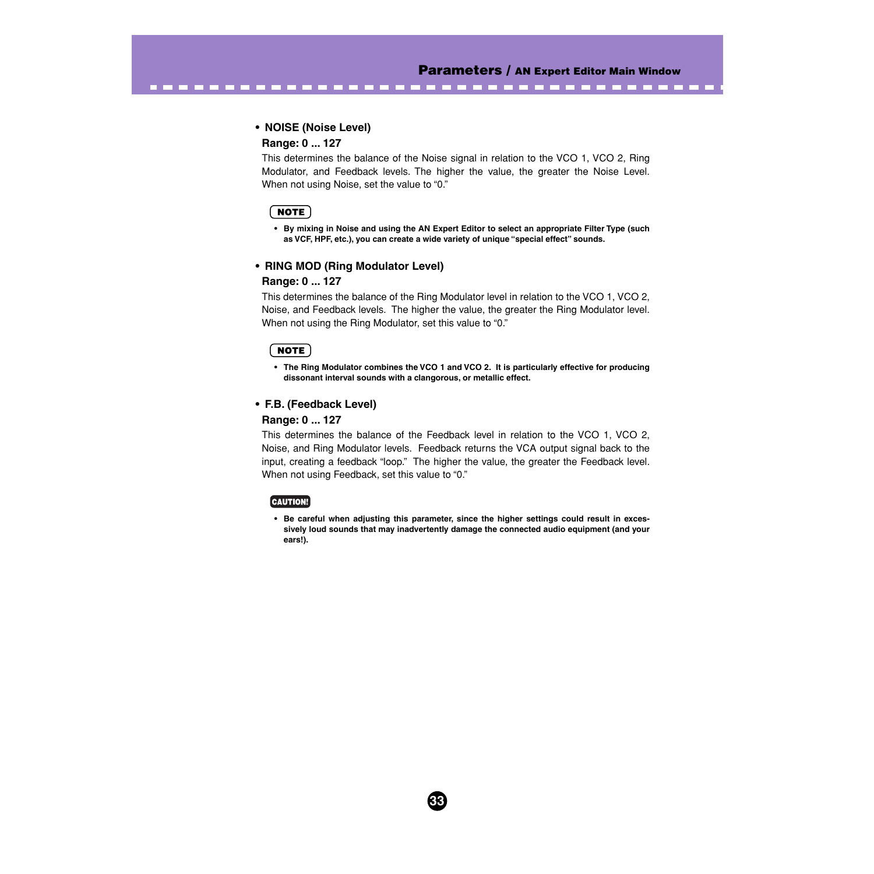-------------

#### **• NOISE (Noise Level)**

----------------

#### **Range: 0 ... 127**

This determines the balance of the Noise signal in relation to the VCO 1, VCO 2, Ring Modulator, and Feedback levels. The higher the value, the greater the Noise Level. When not using Noise, set the value to "0."

#### **NOTE**

**• By mixing in Noise and using the AN Expert Editor to select an appropriate Filter Type (such as VCF, HPF, etc.), you can create a wide variety of unique "special effect" sounds.**

#### **• RING MOD (Ring Modulator Level)**

#### **Range: 0 ... 127**

This determines the balance of the Ring Modulator level in relation to the VCO 1, VCO 2, Noise, and Feedback levels. The higher the value, the greater the Ring Modulator level. When not using the Ring Modulator, set this value to "0."

#### $NOTE$

**• The Ring Modulator combines the VCO 1 and VCO 2. It is particularly effective for producing dissonant interval sounds with a clangorous, or metallic effect.**

#### **• F.B. (Feedback Level)**

#### **Range: 0 ... 127**

This determines the balance of the Feedback level in relation to the VCO 1, VCO 2, Noise, and Ring Modulator levels. Feedback returns the VCA output signal back to the input, creating a feedback "loop." The higher the value, the greater the Feedback level. When not using Feedback, set this value to "0."

#### [CAUTION!]

**• Be careful when adjusting this parameter, since the higher settings could result in excessively loud sounds that may inadvertently damage the connected audio equipment (and your ears!).**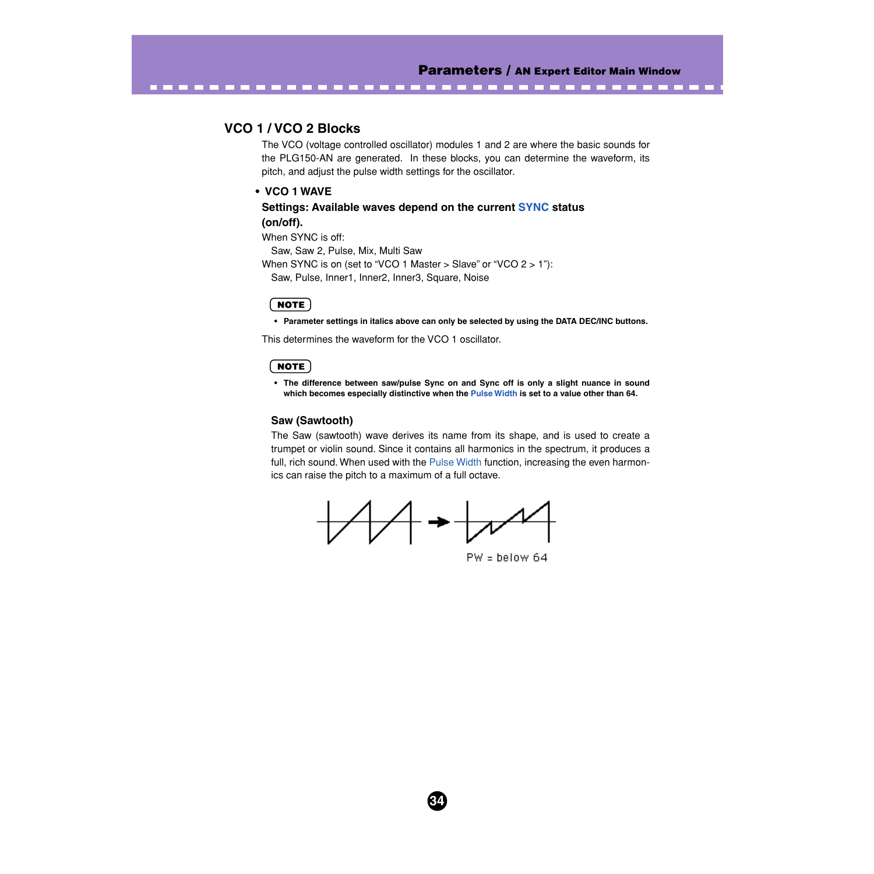# **VCO 1 / VCO 2 Blocks**

The VCO (voltage controlled oscillator) modules 1 and 2 are where the basic sounds for the PLG150-AN are generated. In these blocks, you can determine the waveform, its pitch, and adjust the pulse width settings for the oscillator.

<span id="page-33-0"></span>-----------------------------------

#### **• VCO 1 WAVE**

**Settings: Available waves depend on the current [SYNC](#page-30-0) status (on/off).**

When SYNC is off: Saw, Saw 2, Pulse, Mix, Multi Saw When SYNC is on (set to "VCO 1 Master > Slave" or "VCO 2 > 1"): Saw, Pulse, Inner1, Inner2, Inner3, Square, Noise

#### NOTE

**• Parameter settings in italics above can only be selected by using the DATA DEC/INC buttons.**

This determines the waveform for the VCO 1 oscillator.

#### **NOTE**

**• The difference between saw/pulse Sync on and Sync off is only a slight nuance in sound which becomes especially distinctive when the [Pulse Width](#page-37-0) is set to a value other than 64.**

#### **Saw (Sawtooth)**

The Saw (sawtooth) wave derives its name from its shape, and is used to create a trumpet or violin sound. Since it contains all harmonics in the spectrum, it produces a full, rich sound. When used with the [Pulse Width](#page-37-0) function, increasing the even harmonics can raise the pitch to a maximum of a full octave.



 $PW =$  below 64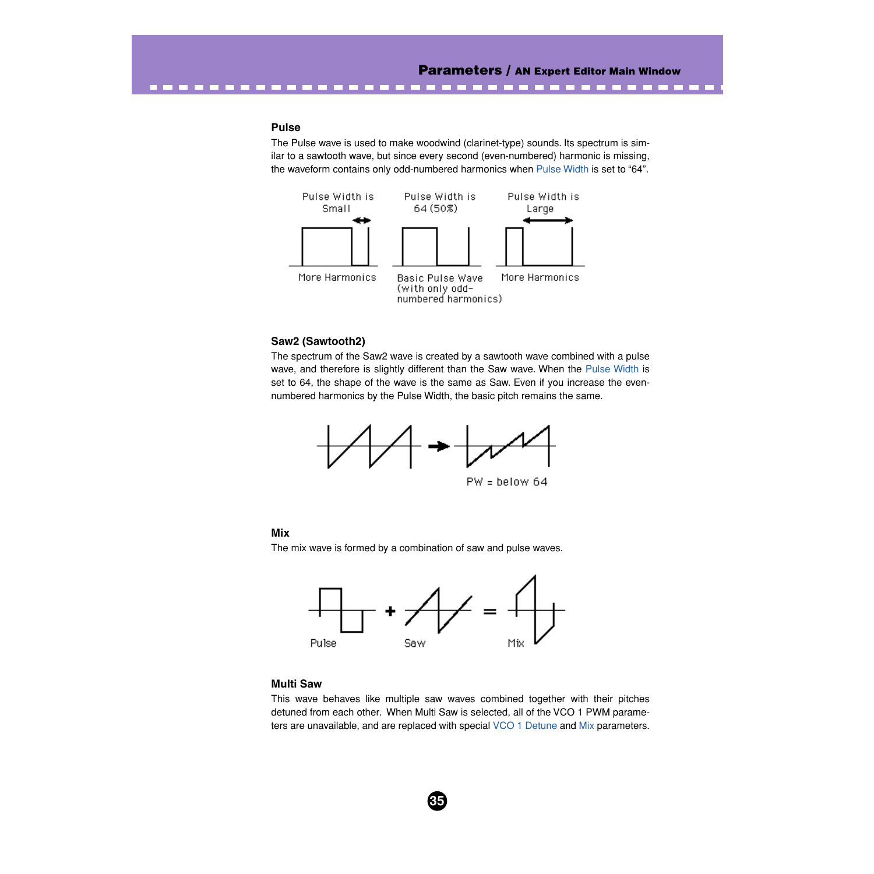--------

#### **Pulse**

---------

The Pulse wave is used to make woodwind (clarinet-type) sounds. Its spectrum is similar to a sawtooth wave, but since every second (even-numbered) harmonic is missing, the waveform contains only odd-numbered harmonics when [Pulse Width](#page-37-0) is set to "64".



#### **Saw2 (Sawtooth2)**

The spectrum of the Saw2 wave is created by a sawtooth wave combined with a pulse wave, and therefore is slightly different than the Saw wave. When the [Pulse Width](#page-37-0) is set to 64, the shape of the wave is the same as Saw. Even if you increase the evennumbered harmonics by the Pulse Width, the basic pitch remains the same.



 $PW =$  below 64

#### **Mix**

The mix wave is formed by a combination of saw and pulse waves.



#### **Multi Saw**

This wave behaves like multiple saw waves combined together with their pitches detuned from each other. When Multi Saw is selected, all of the VCO 1 PWM parameters are unavailable, and are replaced with special [VCO 1 Detune](#page-37-0) and [Mix](#page-37-0) parameters.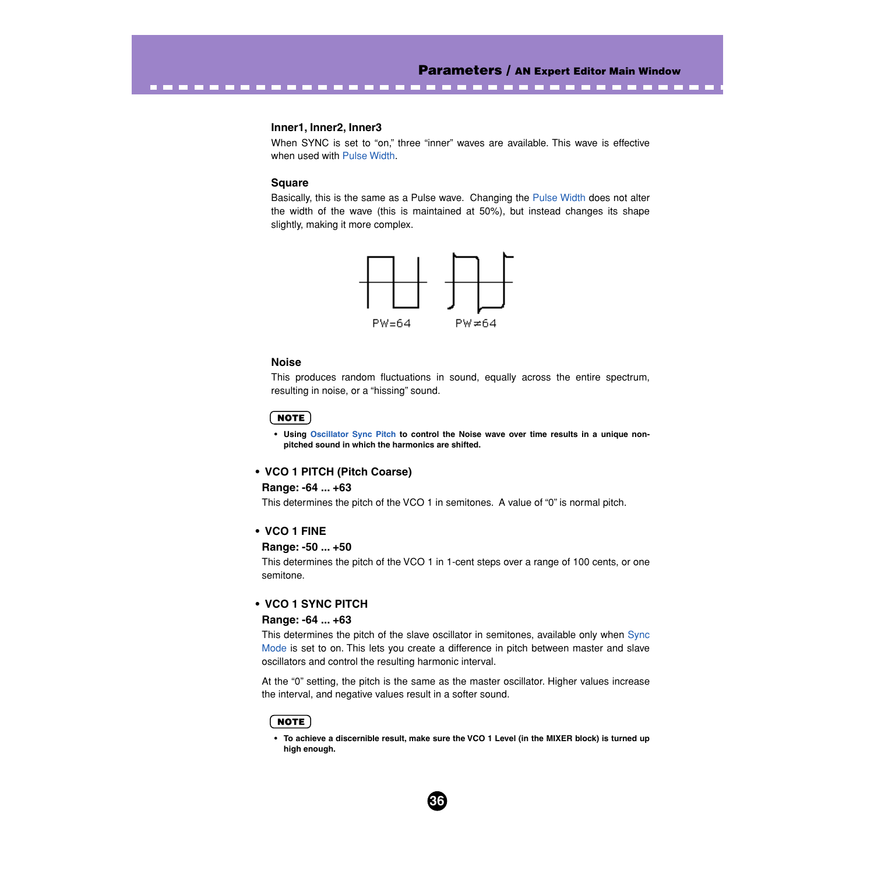$\label{eq:3.1} \begin{array}{lllllllllllllllllll} \mathbf{1} & \mathbf{1} & \mathbf{1} & \mathbf{1} & \mathbf{1} & \mathbf{1} & \mathbf{1} & \mathbf{1} & \mathbf{1} & \mathbf{1} & \mathbf{1} & \mathbf{1} & \mathbf{1} & \mathbf{1} & \mathbf{1} & \mathbf{1} & \mathbf{1} & \mathbf{1} & \mathbf{1} & \mathbf{1} & \mathbf{1} & \mathbf{1} & \mathbf{1} & \mathbf{1} & \mathbf{1} & \mathbf{1} & \mathbf{1} & \mathbf{1}$ 

#### **Inner1, Inner2, Inner3**

When SYNC is set to "on," three "inner" waves are available. This wave is effective when used with [Pulse Width.](#page-37-0)

-----------------------------

#### **Square**

Basically, this is the same as a Pulse wave. Changing the [Pulse Width](#page-37-0) does not alter the width of the wave (this is maintained at 50%), but instead changes its shape slightly, making it more complex.



#### **Noise**

This produces random fluctuations in sound, equally across the entire spectrum, resulting in noise, or a "hissing" sound.

#### $NOTE$

**• Using Oscillator Sync Pitch to control the Noise wave over time results in a unique nonpitched sound in which the harmonics are shifted.**

#### **• VCO 1 PITCH (Pitch Coarse)**

#### **Range: -64 ... +63**

This determines the pitch of the VCO 1 in semitones. A value of "0" is normal pitch.

#### **• VCO 1 FINE**

#### **Range: -50 ... +50**

This determines the pitch of the VCO 1 in 1-cent steps over a range of 100 cents, or one semitone.

## **• VCO 1 SYNC PITCH**

### **Range: -64 ... +63**

This determines the pitch of the slave oscillator in semitones, available only when [Sync](#page-30-0) [Mode](#page-30-0) is set to on. This lets you create a difference in pitch between master and slave oscillators and control the resulting harmonic interval.

At the "0" setting, the pitch is the same as the master oscillator. Higher values increase the interval, and negative values result in a softer sound.

#### NOTE

**• To achieve a discernible result, make sure the VCO 1 Level (in the MIXER block) is turned up high enough.**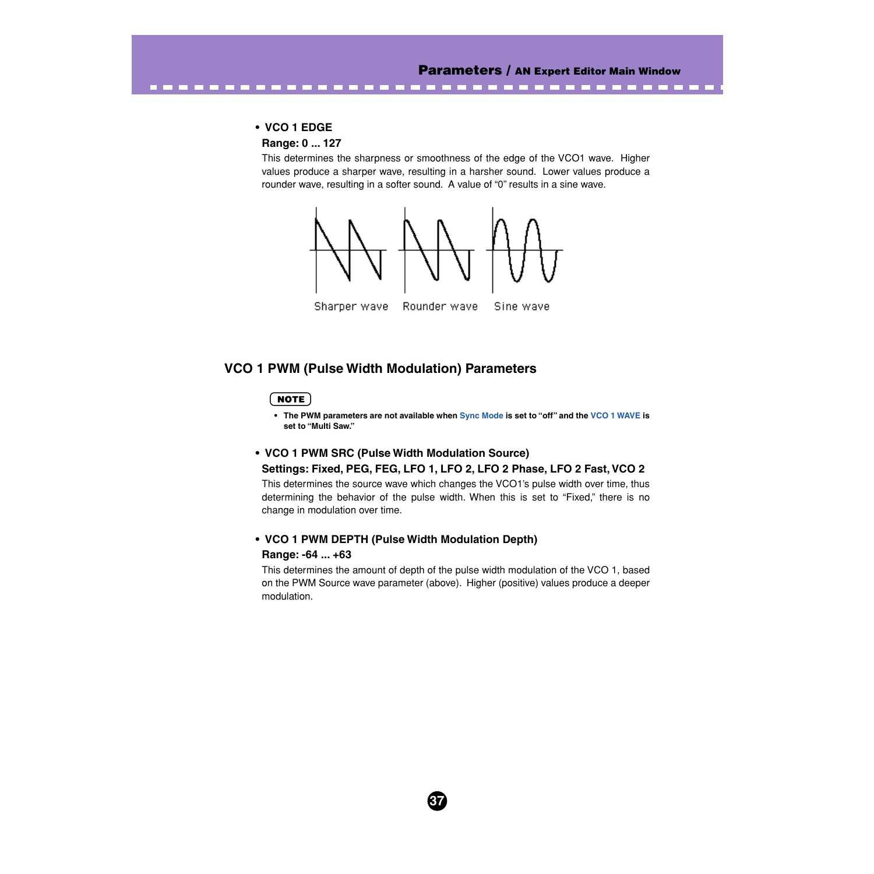#### **• VCO 1 EDGE**

## **Range: 0 ... 127**

This determines the sharpness or smoothness of the edge of the VCO1 wave. Higher values produce a sharper wave, resulting in a harsher sound. Lower values produce a rounder wave, resulting in a softer sound. A value of "0" results in a sine wave.



<span id="page-36-0"></span>----------------------------

# **VCO 1 PWM (Pulse Width Modulation) Parameters**

## **NOTE**

**• The PWM parameters are not available when [Sync Mode](#page-30-0) is set to "off" and the [VCO 1 WAVE](#page-33-0) is set to "Multi Saw."**

## **• VCO 1 PWM SRC (Pulse Width Modulation Source)**

#### **Settings: Fixed, PEG, FEG, LFO 1, LFO 2, LFO 2 Phase, LFO 2 Fast, VCO 2**

This determines the source wave which changes the VCO1's pulse width over time, thus determining the behavior of the pulse width. When this is set to "Fixed," there is no change in modulation over time.

## **• VCO 1 PWM DEPTH (Pulse Width Modulation Depth) Range: -64 ... +63**

This determines the amount of depth of the pulse width modulation of the VCO 1, based on the PWM Source wave parameter (above). Higher (positive) values produce a deeper modulation.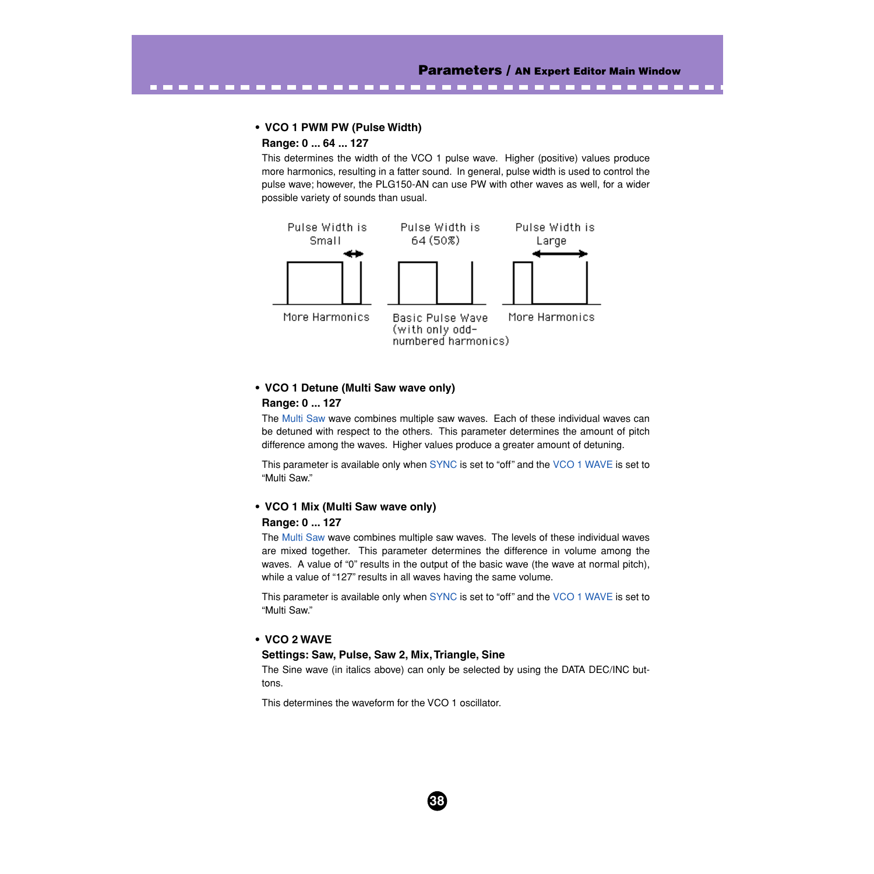## **• VCO 1 PWM PW (Pulse Width)**

## **Range: 0 ... 64 ... 127**

This determines the width of the VCO 1 pulse wave. Higher (positive) values produce more harmonics, resulting in a fatter sound. In general, pulse width is used to control the pulse wave; however, the PLG150-AN can use PW with other waves as well, for a wider possible variety of sounds than usual.

<span id="page-37-0"></span>-----------------------------



## **• VCO 1 Detune (Multi Saw wave only) Range: 0 ... 127**

The [Multi Saw](#page-34-0) wave combines multiple saw waves. Each of these individual waves can be detuned with respect to the others. This parameter determines the amount of pitch difference among the waves. Higher values produce a greater amount of detuning.

This parameter is available only when [SYNC](#page-30-0) is set to "off" and the [VCO 1 WAVE](#page-33-0) is set to "Multi Saw."

# **• VCO 1 Mix (Multi Saw wave only)**

### **Range: 0 ... 127**

The [Multi Saw](#page-34-0) wave combines multiple saw waves. The levels of these individual waves are mixed together. This parameter determines the difference in volume among the waves. A value of "0" results in the output of the basic wave (the wave at normal pitch), while a value of "127" results in all waves having the same volume.

This parameter is available only when [SYNC](#page-30-0) is set to "off" and the [VCO 1 WAVE](#page-33-0) is set to "Multi Saw."

## **• VCO 2 WAVE**

#### **Settings: Saw, Pulse, Saw 2, Mix, Triangle, Sine**

The Sine wave (in italics above) can only be selected by using the DATA DEC/INC buttons.

**38**

This determines the waveform for the VCO 1 oscillator.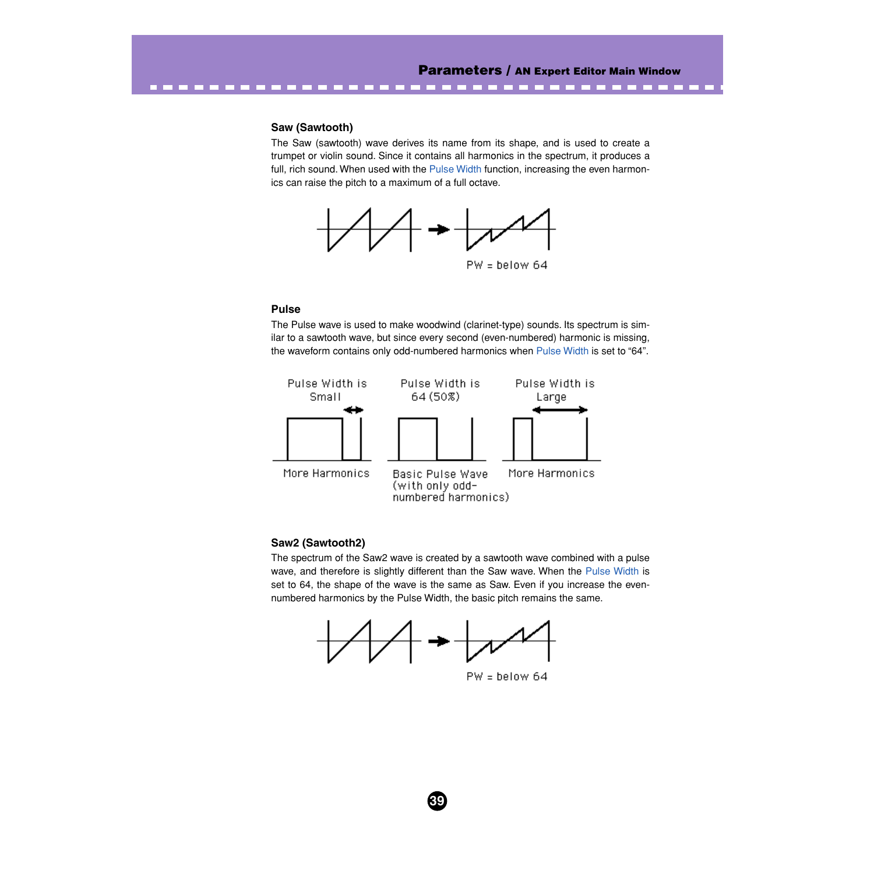#### **Saw (Sawtooth)**

The Saw (sawtooth) wave derives its name from its shape, and is used to create a trumpet or violin sound. Since it contains all harmonics in the spectrum, it produces a full, rich sound. When used with the [Pulse Width](#page-40-0) function, increasing the even harmonics can raise the pitch to a maximum of a full octave.



----------------------------

## **Pulse**

The Pulse wave is used to make woodwind (clarinet-type) sounds. Its spectrum is similar to a sawtooth wave, but since every second (even-numbered) harmonic is missing, the waveform contains only odd-numbered harmonics when [Pulse Width](#page-40-0) is set to "64".



#### **Saw2 (Sawtooth2)**

The spectrum of the Saw2 wave is created by a sawtooth wave combined with a pulse wave, and therefore is slightly different than the Saw wave. When the [Pulse Width](#page-40-0) is set to 64, the shape of the wave is the same as Saw. Even if you increase the evennumbered harmonics by the Pulse Width, the basic pitch remains the same.

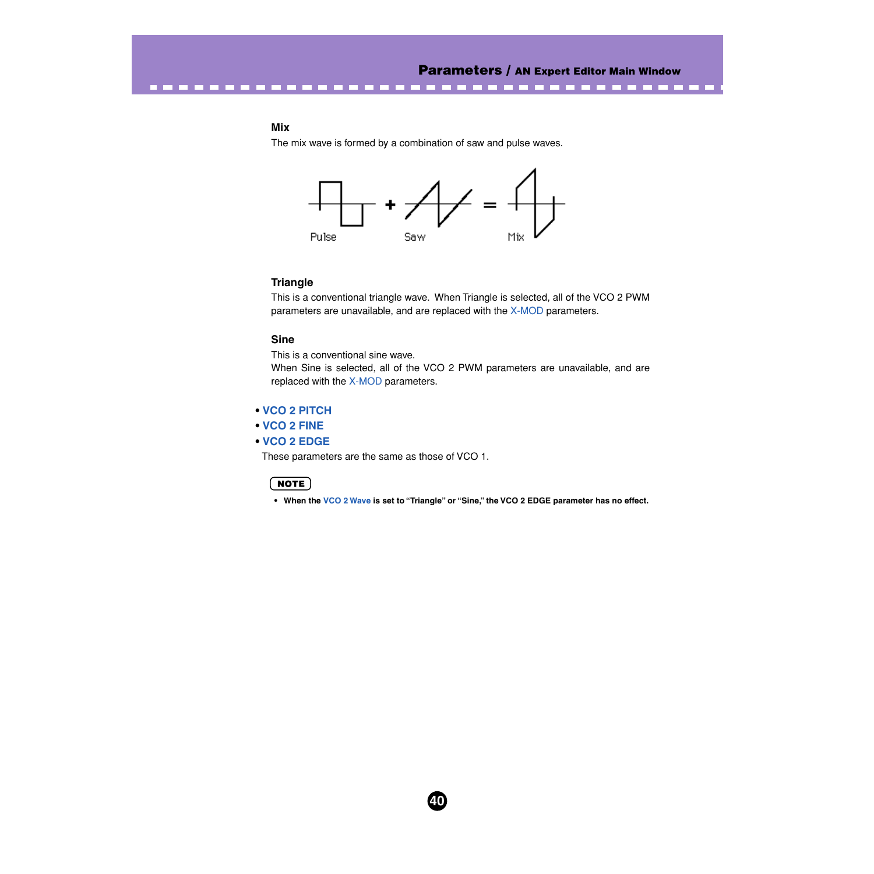---------------

## **Mix**

The mix wave is formed by a combination of saw and pulse waves.



## **Triangle**

This is a conventional triangle wave. When Triangle is selected, all of the VCO 2 PWM parameters are unavailable, and are replaced with the [X-MOD](#page-40-0) parameters.

## **Sine**

This is a conventional sine wave.

----------------

When Sine is selected, all of the VCO 2 PWM parameters are unavailable, and are replaced with the [X-MOD](#page-40-0) parameters.

## **• [VCO 2 PITCH](#page-35-0)**

## **• [VCO 2 FINE](#page-35-0)**

**• [VCO 2 EDGE](#page-36-0)**

These parameters are the same as those of VCO 1.

#### NOTE

**• When the [VCO 2 Wave](#page-37-0) is set to "Triangle" or "Sine," the VCO 2 EDGE parameter has no effect.**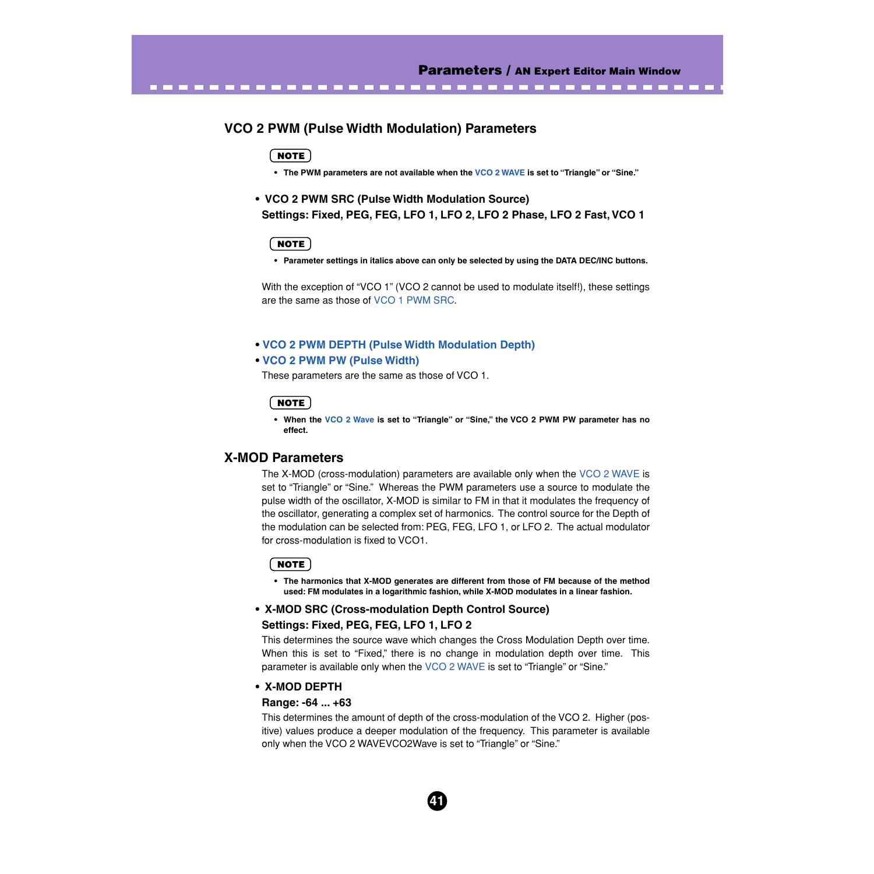# **VCO 2 PWM (Pulse Width Modulation) Parameters**

<span id="page-40-0"></span>----------------------------------

## NOTE)

**• The PWM parameters are not available when the [VCO 2 WAVE](#page-37-0) is set to "Triangle" or "Sine."**

**• VCO 2 PWM SRC (Pulse Width Modulation Source) Settings: Fixed, PEG, FEG, LFO 1, LFO 2, LFO 2 Phase, LFO 2 Fast, VCO 1**

## **NOTE**

**• Parameter settings in italics above can only be selected by using the DATA DEC/INC buttons.**

With the exception of "VCO 1" (VCO 2 cannot be used to modulate itself!), these settings are the same as those of [VCO 1 PWM SRC.](#page-36-0)

#### **• [VCO 2 PWM DEPTH \(Pulse Width Modulation Depth\)](#page-36-0)**

#### **• [VCO 2 PWM PW \(Pulse Width\)](#page-37-0)**

These parameters are the same as those of VCO 1.

### **NOTE**

**• When the [VCO 2 Wave](#page-37-0) is set to "Triangle" or "Sine," the VCO 2 PWM PW parameter has no effect.**

# **X-MOD Parameters**

The X-MOD (cross-modulation) parameters are available only when the [VCO 2 WAVE](#page-37-0) is set to "Triangle" or "Sine." Whereas the PWM parameters use a source to modulate the pulse width of the oscillator, X-MOD is similar to FM in that it modulates the frequency of the oscillator, generating a complex set of harmonics. The control source for the Depth of the modulation can be selected from: PEG, FEG, LFO 1, or LFO 2. The actual modulator for cross-modulation is fixed to VCO1.

#### NOTE

**• The harmonics that X-MOD generates are different from those of FM because of the method used: FM modulates in a logarithmic fashion, while X-MOD modulates in a linear fashion.**

# **• X-MOD SRC (Cross-modulation Depth Control Source) Settings: Fixed, PEG, FEG, LFO 1, LFO 2**

This determines the source wave which changes the Cross Modulation Depth over time. When this is set to "Fixed," there is no change in modulation depth over time. This parameter is available only when the [VCO 2 WAVE](#page-37-0) is set to "Triangle" or "Sine."

## **• X-MOD DEPTH**

## **Range: -64 ... +63**

This determines the amount of depth of the cross-modulation of the VCO 2. Higher (positive) values produce a deeper modulation of the frequency. This parameter is available only when the VCO 2 WAVEVCO2Wave is set to "Triangle" or "Sine."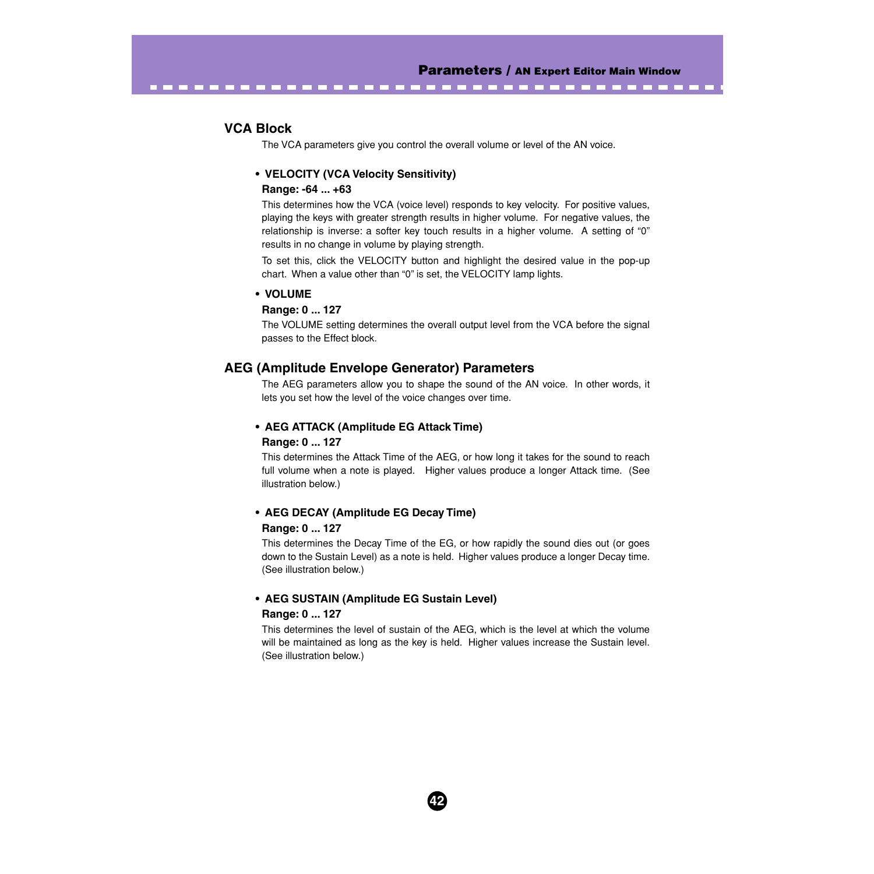# **VCA Block**

The VCA parameters give you control the overall volume or level of the AN voice.

<span id="page-41-0"></span>-------------------------------------

## **• VELOCITY (VCA Velocity Sensitivity)**

#### **Range: -64 ... +63**

This determines how the VCA (voice level) responds to key velocity. For positive values, playing the keys with greater strength results in higher volume. For negative values, the relationship is inverse: a softer key touch results in a higher volume. A setting of "0" results in no change in volume by playing strength.

To set this, click the VELOCITY button and highlight the desired value in the pop-up chart. When a value other than "0" is set, the VELOCITY lamp lights.

#### **• VOLUME**

#### **Range: 0 ... 127**

The VOLUME setting determines the overall output level from the VCA before the signal passes to the Effect block.

## **AEG (Amplitude Envelope Generator) Parameters**

The AEG parameters allow you to shape the sound of the AN voice. In other words, it lets you set how the level of the voice changes over time.

# **• AEG ATTACK (Amplitude EG Attack Time) Range: 0 ... 127**

This determines the Attack Time of the AEG, or how long it takes for the sound to reach full volume when a note is played. Higher values produce a longer Attack time. (See illustration below.)

#### **• AEG DECAY (Amplitude EG Decay Time)**

#### **Range: 0 ... 127**

This determines the Decay Time of the EG, or how rapidly the sound dies out (or goes down to the Sustain Level) as a note is held. Higher values produce a longer Decay time. (See illustration below.)

# **• AEG SUSTAIN (Amplitude EG Sustain Level) Range: 0 ... 127**

This determines the level of sustain of the AEG, which is the level at which the volume will be maintained as long as the key is held. Higher values increase the Sustain level. (See illustration below.)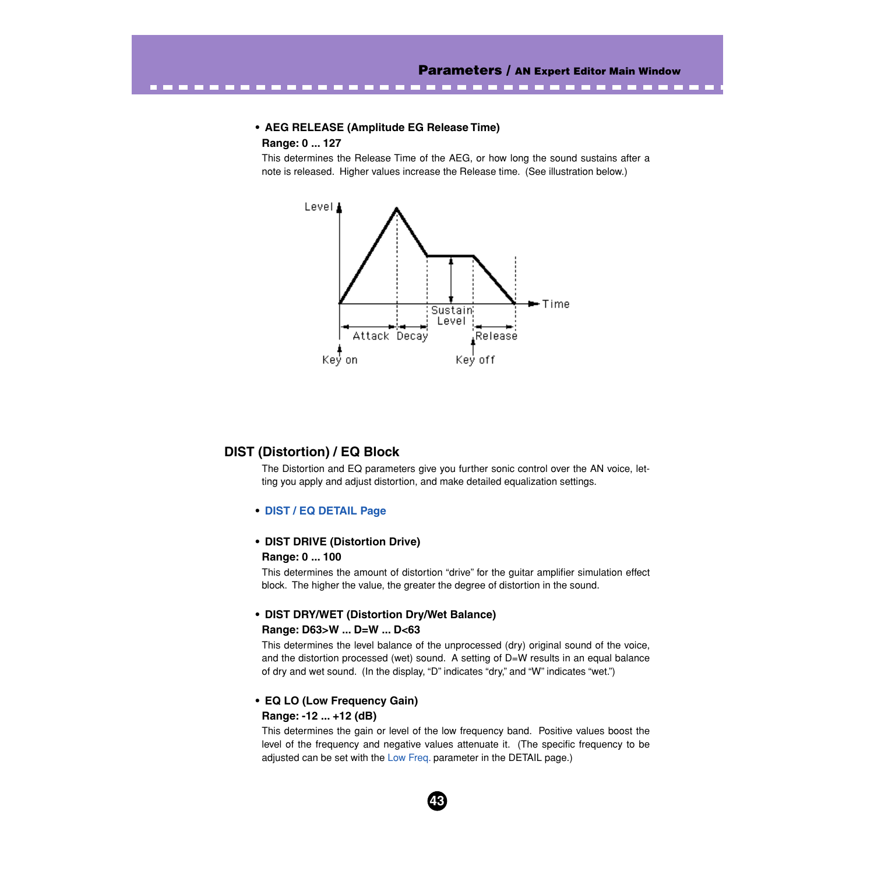--------------

#### **• AEG RELEASE (Amplitude EG Release Time)**

## **Range: 0 ... 127**

<span id="page-42-0"></span>------------

This determines the Release Time of the AEG, or how long the sound sustains after a note is released. Higher values increase the Release time. (See illustration below.)



# **DIST (Distortion) / EQ Block**

The Distortion and EQ parameters give you further sonic control over the AN voice, letting you apply and adjust distortion, and make detailed equalization settings.

#### **• [DIST / EQ DETAIL Page](#page-45-0)**

## **• DIST DRIVE (Distortion Drive) Range: 0 ... 100**

This determines the amount of distortion "drive" for the guitar amplifier simulation effect block. The higher the value, the greater the degree of distortion in the sound.

# **• DIST DRY/WET (Distortion Dry/Wet Balance) Range: D63>W ... D=W ... D<63**

This determines the level balance of the unprocessed (dry) original sound of the voice, and the distortion processed (wet) sound. A setting of D=W results in an equal balance of dry and wet sound. (In the display, "D" indicates "dry," and "W" indicates "wet.")

# **• EQ LO (Low Frequency Gain) Range: -12 ... +12 (dB)**

This determines the gain or level of the low frequency band. Positive values boost the level of the frequency and negative values attenuate it. (The specific frequency to be adjusted can be set with the [Low Freq](#page-49-0). parameter in the DETAIL page.)

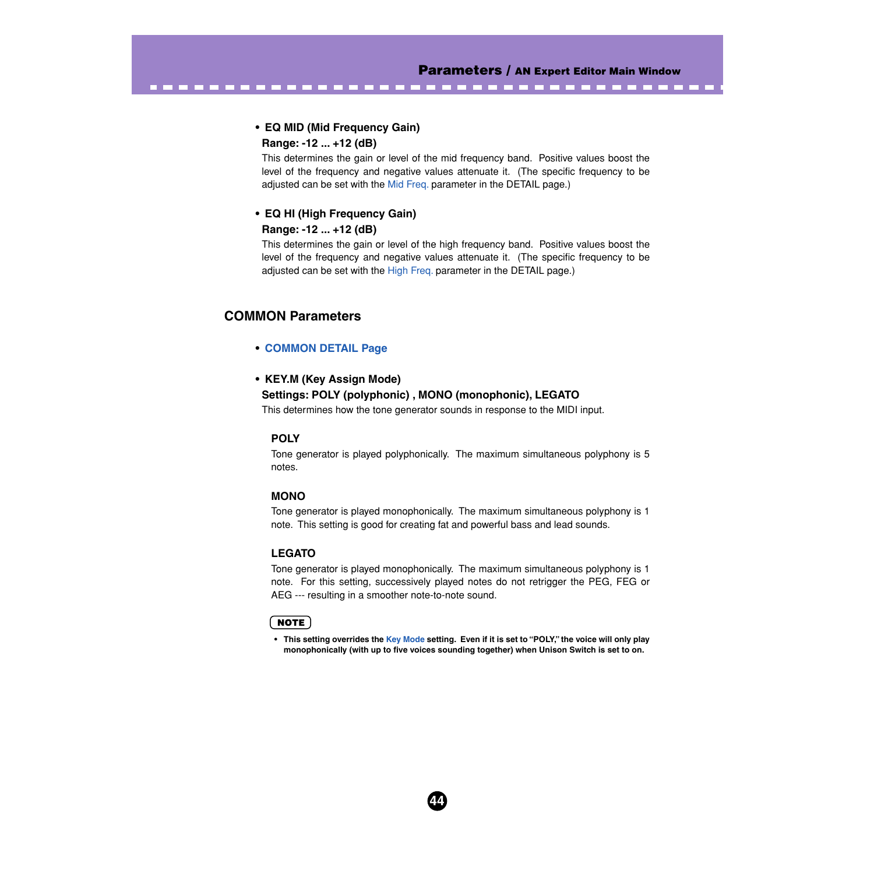# **• EQ MID (Mid Frequency Gain)**

**Range: -12 ... +12 (dB)**

This determines the gain or level of the mid frequency band. Positive values boost the level of the frequency and negative values attenuate it. (The specific frequency to be adjusted can be set with the [Mid Freq.](#page-49-0) parameter in the DETAIL page.)

<span id="page-43-0"></span>-------------------------------------

# **• EQ HI (High Frequency Gain)**

## **Range: -12 ... +12 (dB)**

This determines the gain or level of the high frequency band. Positive values boost the level of the frequency and negative values attenuate it. (The specific frequency to be adjusted can be set with the [High Freq.](#page-49-0) parameter in the DETAIL page.)

# **COMMON Parameters**

# **• [COMMON DETAIL Page](#page-45-0)**

# **• KEY.M (Key Assign Mode)**

# **Settings: POLY (polyphonic) , MONO (monophonic), LEGATO**

This determines how the tone generator sounds in response to the MIDI input.

# **POLY**

Tone generator is played polyphonically. The maximum simultaneous polyphony is 5 notes.

## **MONO**

Tone generator is played monophonically. The maximum simultaneous polyphony is 1 note. This setting is good for creating fat and powerful bass and lead sounds.

# **LEGATO**

Tone generator is played monophonically. The maximum simultaneous polyphony is 1 note. For this setting, successively played notes do not retrigger the PEG, FEG or AEG --- resulting in a smoother note-to-note sound.

# **NOTE**

**• This setting overrides the Key Mode setting. Even if it is set to "POLY," the voice will only play monophonically (with up to five voices sounding together) when Unison Switch is set to on.**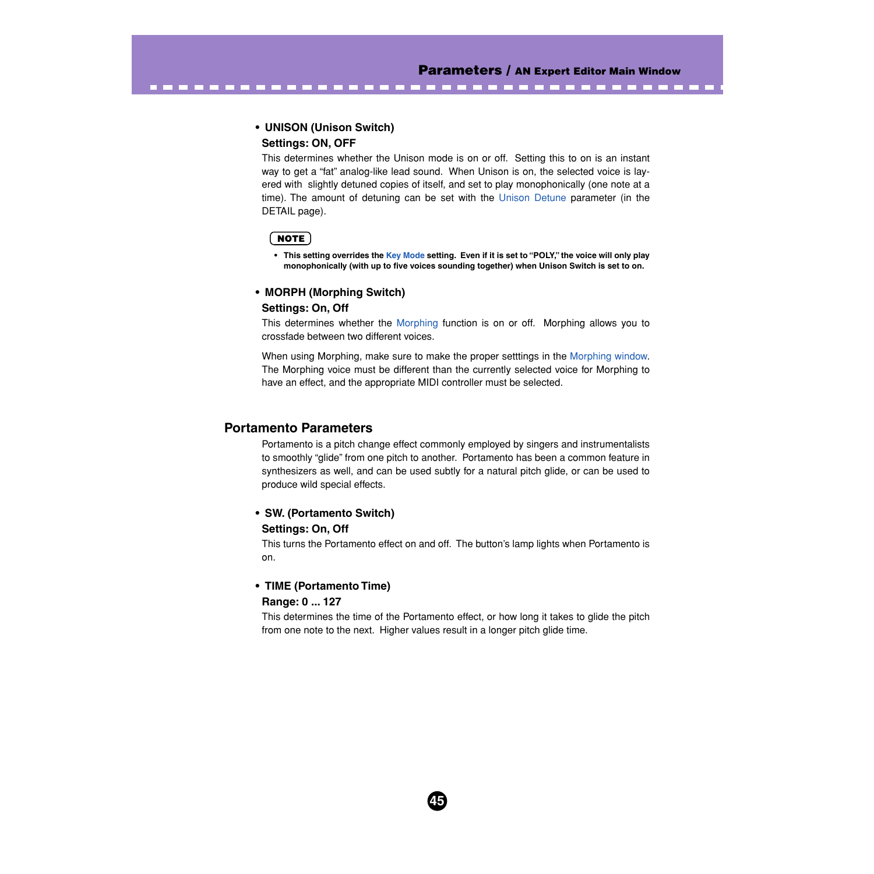# **• UNISON (Unison Switch) Settings: ON, OFF**

This determines whether the Unison mode is on or off. Setting this to on is an instant way to get a "fat" analog-like lead sound. When Unison is on, the selected voice is layered with slightly detuned copies of itself, and set to play monophonically (one note at a time). The amount of detuning can be set with the [Unison Detune](#page-47-0) parameter (in the DETAIL page).

<span id="page-44-0"></span>-----------------------------------

## NOTE)

**• This setting overrides the [Key Mode](#page-43-0) setting. Even if it is set to "POLY," the voice will only play monophonically (with up to five voices sounding together) when Unison Switch is set to on.** 

# **• MORPH (Morphing Switch)**

### **Settings: On, Off**

This determines whether the [Morphing](#page-84-0) function is on or off. Morphing allows you to crossfade between two different voices.

When using Morphing, make sure to make the proper setttings in the [Morphing window.](#page-84-0) The Morphing voice must be different than the currently selected voice for Morphing to have an effect, and the appropriate MIDI controller must be selected.

## **Portamento Parameters**

Portamento is a pitch change effect commonly employed by singers and instrumentalists to smoothly "glide" from one pitch to another. Portamento has been a common feature in synthesizers as well, and can be used subtly for a natural pitch glide, or can be used to produce wild special effects.

# **• SW. (Portamento Switch)**

#### **Settings: On, Off**

This turns the Portamento effect on and off. The button's lamp lights when Portamento is on.

# **• TIME (Portamento Time)**

## **Range: 0 ... 127**

This determines the time of the Portamento effect, or how long it takes to glide the pitch from one note to the next. Higher values result in a longer pitch glide time.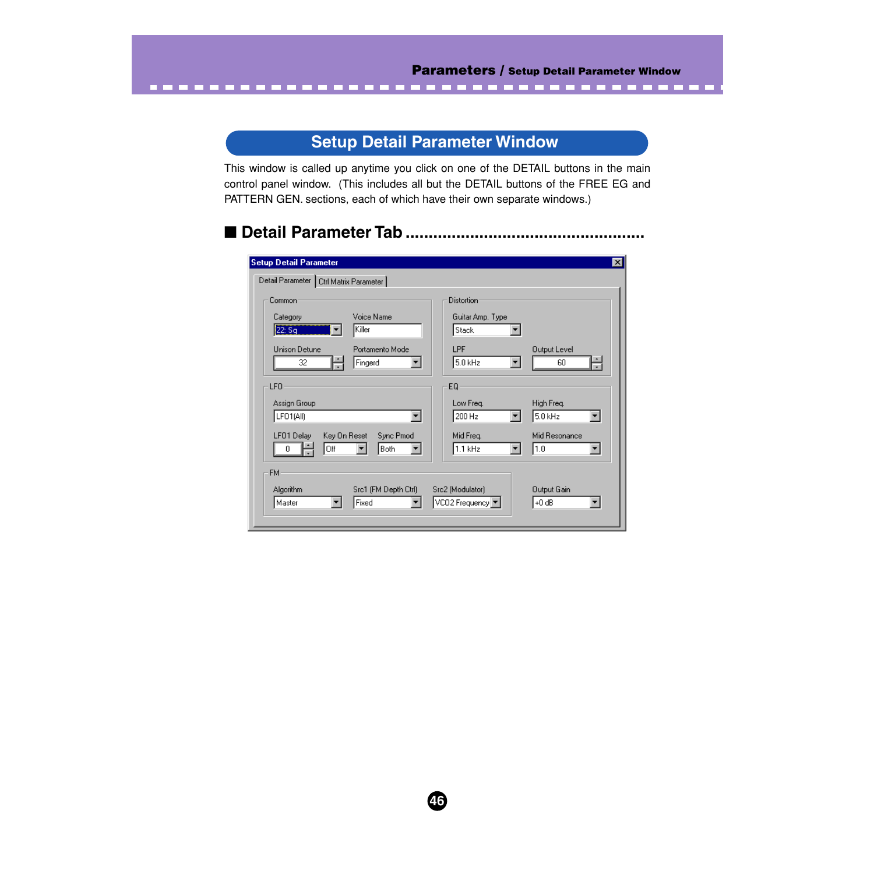# **Setup Detail Parameter Window**

<span id="page-45-0"></span>-------------------------------------

This window is called up anytime you click on one of the DETAIL buttons in the main control panel window. (This includes all but the DETAIL buttons of the FREE EG and PATTERN GEN. sections, each of which have their own separate windows.)

# ■ **Detail Parameter Tab ....................................................**

| <b>Setup Detail Parameter</b>            |                  | ⊠                           |
|------------------------------------------|------------------|-----------------------------|
| Detail Parameter   Ctrl Matrix Parameter |                  |                             |
| Common                                   | Distortion       |                             |
| Voice Name<br>Category                   | Guitar Amp. Type |                             |
| Killer<br>22: Sq                         | Stack            |                             |
| Unison Detune<br>Portamento Mode         | LPF              | <b>Output Level</b>         |
| ÷<br>32<br>Fingerd                       | 5.0 kHz          | H<br>60                     |
| LF <sub>0</sub>                          | EQ               |                             |
| Assign Group                             | Low Freq.        | High Freq.                  |
| LFO1(All)                                | 200 Hz           | $5.0$ kHz<br>▾              |
| LF01 Delay<br>Key On Reset<br>Sync Pmod  | Mid Freq.        | Mid Resonance               |
| Off<br>Both<br>Ω                         | 1.1 kHz          | 1.0<br>$\blacktriangledown$ |
| <b>FM</b>                                |                  |                             |
| Src1 (FM Depth Ctrl)<br>Algorithm        | Src2 (Modulator) | Output Gain                 |
| Fixed<br>Master                          | VCO2 Frequency   | $+0$ dB<br>▼                |
|                                          |                  |                             |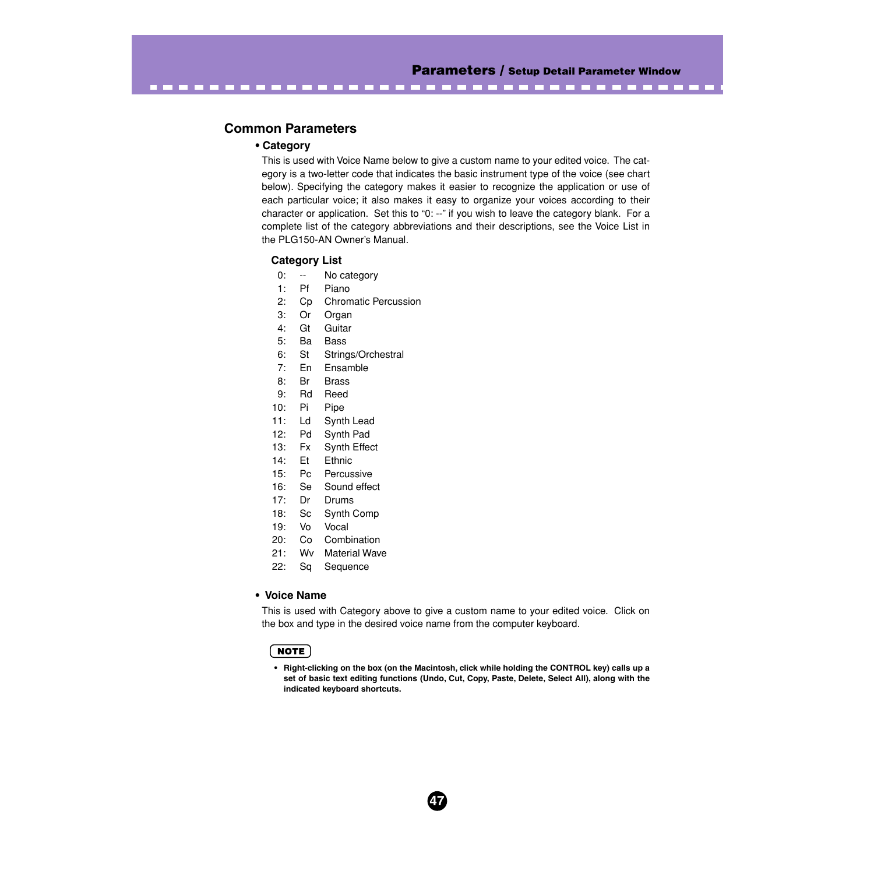# **Common Parameters**

## **• Category**

This is used with Voice Name below to give a custom name to your edited voice. The category is a two-letter code that indicates the basic instrument type of the voice (see chart below). Specifying the category makes it easier to recognize the application or use of each particular voice; it also makes it easy to organize your voices according to their character or application. Set this to "0: --" if you wish to leave the category blank. For a complete list of the category abbreviations and their descriptions, see the Voice List in the PLG150-AN Owner's Manual.

-----------------------------------

### **Category List**

- 0: -- No category
- 1: Pf Piano
- 2: Cp Chromatic Percussion
- 3: Or Organ
- 4: Gt Guitar
- 5: Ba Bass
- 6: St Strings/Orchestral
- 7: En Ensamble
- 8: Br Brass
- 9: Rd Reed
- 10: Pi Pipe
- 11: Ld Synth Lead
- 12: Pd Synth Pad
- 13: Fx Synth Effect
- 14: Et Ethnic
- 15: Pc Percussive
- 16: Se Sound effect
- 17: Dr Drums
- 18: Sc Synth Comp
- 19: Vo Vocal
- 20: Co Combination
- 21: Wv Material Wave
- 22: Sq Sequence

#### **• Voice Name**

This is used with Category above to give a custom name to your edited voice. Click on the box and type in the desired voice name from the computer keyboard.

## NOTE)

**• Right-clicking on the box (on the Macintosh, click while holding the CONTROL key) calls up a set of basic text editing functions (Undo, Cut, Copy, Paste, Delete, Select All), along with the indicated keyboard shortcuts.**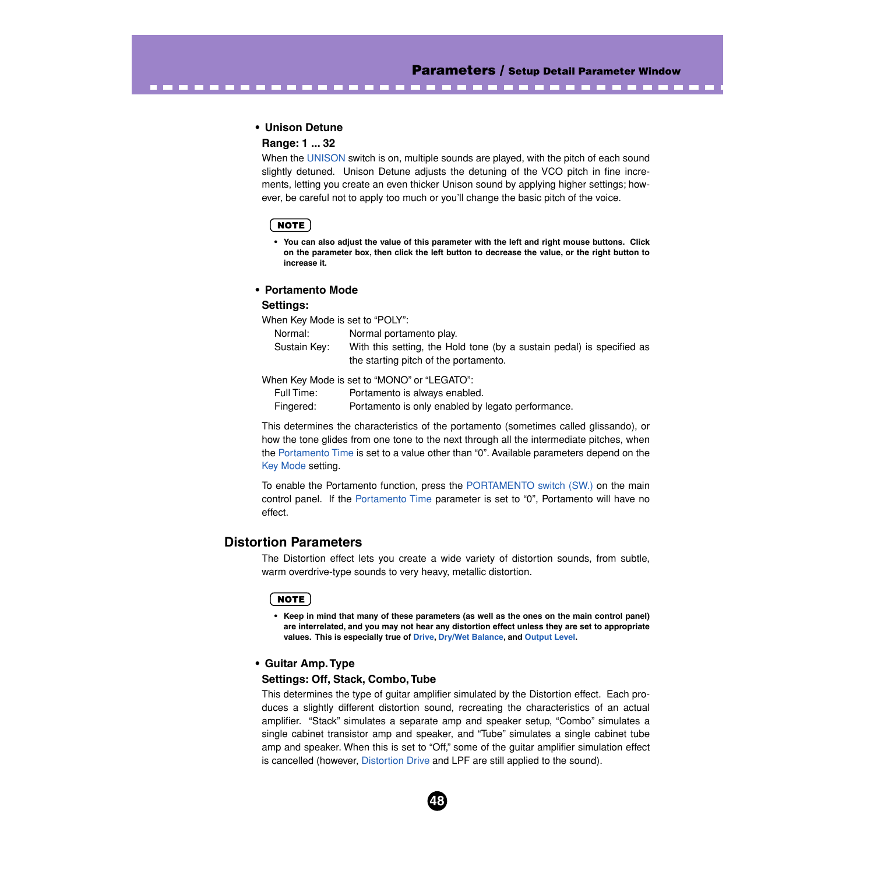**The Common** 

#### **• Unison Detune**

## **Range: 1 ... 32**

When the [UNISON](#page-44-0) switch is on, multiple sounds are played, with the pitch of each sound slightly detuned. Unison Detune adjusts the detuning of the VCO pitch in fine increments, letting you create an even thicker Unison sound by applying higher settings; however, be careful not to apply too much or you'll change the basic pitch of the voice.

<span id="page-47-0"></span>---------------------------

### NOTE)

**• You can also adjust the value of this parameter with the left and right mouse buttons. Click on the parameter box, then click the left button to decrease the value, or the right button to increase it.**

#### **• Portamento Mode**

#### **Settings:**

When Key Mode is set to "POLY":

| Normal:      | Normal portamento play.                                               |
|--------------|-----------------------------------------------------------------------|
| Sustain Key: | With this setting, the Hold tone (by a sustain pedal) is specified as |
|              | the starting pitch of the portamento.                                 |

When Key Mode is set to "MONO" or "LEGATO":

Full Time: Portamento is always enabled.

Fingered: Portamento is only enabled by legato performance.

This determines the characteristics of the portamento (sometimes called glissando), or how the tone glides from one tone to the next through all the intermediate pitches, when the [Portamento Time](#page-44-0) is set to a value other than "0". Available parameters depend on the [Key Mode](#page-43-0) setting.

To enable the Portamento function, press the [PORTAMENTO switch \(SW.\)](#page-44-0) on the main control panel. If the [Portamento Time](#page-44-0) parameter is set to "0", Portamento will have no effect.

## **Distortion Parameters**

The Distortion effect lets you create a wide variety of distortion sounds, from subtle, warm overdrive-type sounds to very heavy, metallic distortion.

#### **NOTE**

**• Keep in mind that many of these parameters (as well as the ones on the main control panel) are interrelated, and you may not hear any distortion effect unless they are set to appropriate values. This is especially true of [Drive](#page-42-0), [Dry/Wet Balance](#page-42-0), and [Output Level](#page-48-0).**

#### **• Guitar Amp. Type**

#### **Settings: Off, Stack, Combo, Tube**

This determines the type of guitar amplifier simulated by the Distortion effect. Each produces a slightly different distortion sound, recreating the characteristics of an actual amplifier. "Stack" simulates a separate amp and speaker setup, "Combo" simulates a single cabinet transistor amp and speaker, and "Tube" simulates a single cabinet tube amp and speaker. When this is set to "Off," some of the guitar amplifier simulation effect is cancelled (however, [Distortion Drive](#page-42-0) and LPF are still applied to the sound).

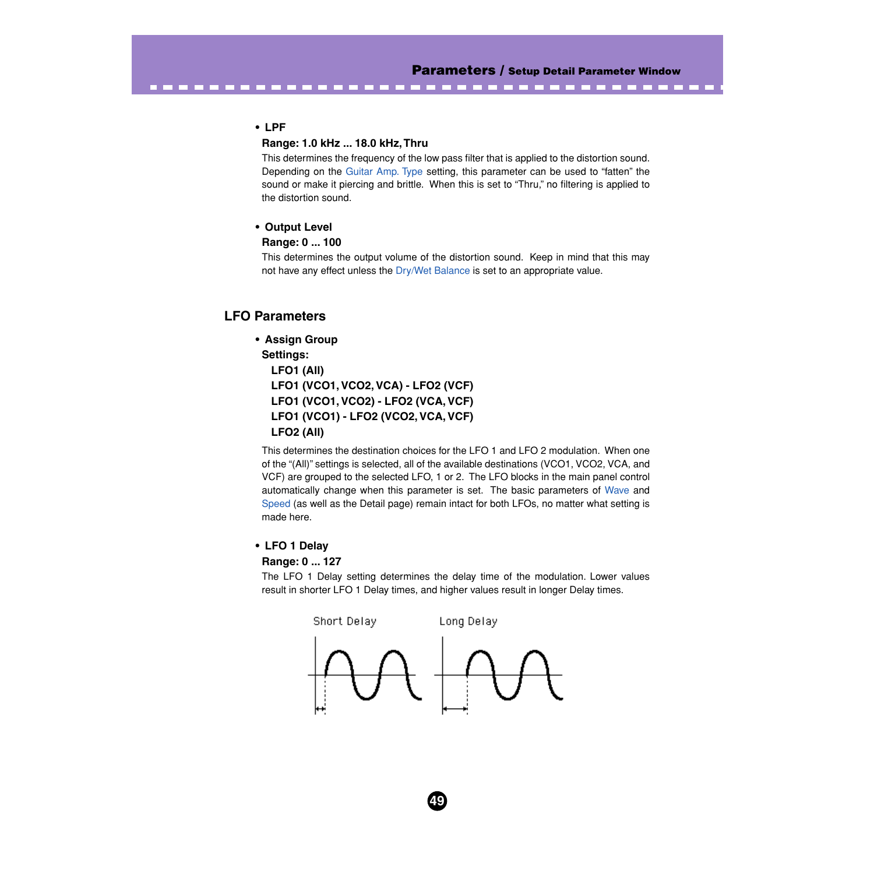## **• LPF**

## **Range: 1.0 kHz ... 18.0 kHz, Thru**

This determines the frequency of the low pass filter that is applied to the distortion sound. Depending on the [Guitar Amp. Type](#page-47-0) setting, this parameter can be used to "fatten" the sound or make it piercing and brittle. When this is set to "Thru," no filtering is applied to the distortion sound.

<span id="page-48-0"></span>-------------------------

## **• Output Level**

## **Range: 0 ... 100**

This determines the output volume of the distortion sound. Keep in mind that this may not have any effect unless the [Dry/Wet Balance](#page-42-0) is set to an appropriate value.

# **LFO Parameters**

# **• Assign Group**

## **Settings:**

**LFO1 (All) LFO1 (VCO1, VCO2, VCA) - LFO2 (VCF) LFO1 (VCO1, VCO2) - LFO2 (VCA, VCF) LFO1 (VCO1) - LFO2 (VCO2, VCA, VCF) LFO2 (All)**

This determines the destination choices for the LFO 1 and LFO 2 modulation. When one of the "(All)" settings is selected, all of the available destinations (VCO1, VCO2, VCA, and VCF) are grouped to the selected LFO, 1 or 2. The LFO blocks in the main panel control automatically change when this parameter is set. The basic parameters of [Wave](#page-23-0) and [Speed](#page-23-0) (as well as the Detail page) remain intact for both LFOs, no matter what setting is made here.

## **• LFO 1 Delay**

#### **Range: 0 ... 127**

The LFO 1 Delay setting determines the delay time of the modulation. Lower values result in shorter LFO 1 Delay times, and higher values result in longer Delay times.

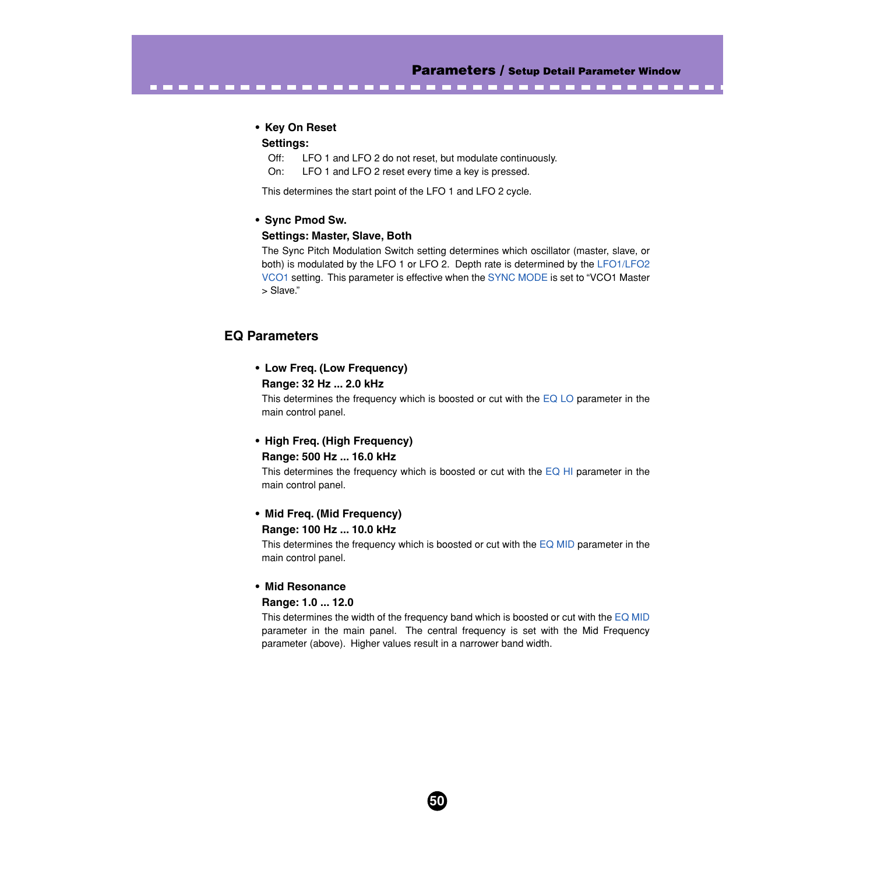#### **• Key On Reset**

#### **Settings:**

Off: LFO 1 and LFO 2 do not reset, but modulate continuously.

<span id="page-49-0"></span>-------------------------------------

On: LFO 1 and LFO 2 reset every time a key is pressed.

This determines the start point of the LFO 1 and LFO 2 cycle.

#### **• Sync Pmod Sw.**

#### **Settings: Master, Slave, Both**

The Sync Pitch Modulation Switch setting determines which oscillator (master, slave, or both) is modulated by the LFO 1 or LFO 2. Depth rate is determined by the [LFO1/LFO2](#page-23-0) [VCO1](#page-23-0) setting. This parameter is effective when the [SYNC MODE](#page-30-0) is set to "VCO1 Master > Slave."

# **EQ Parameters**

# **• Low Freq. (Low Frequency)**

## **Range: 32 Hz ... 2.0 kHz**

This determines the frequency which is boosted or cut with the  $EQ$  LO parameter in the main control panel.

## **• High Freq. (High Frequency) Range: 500 Hz ... 16.0 kHz**

This determines the frequency which is boosted or cut with the  $EQ$  HI parameter in the main control panel.

#### **• Mid Freq. (Mid Frequency)**

#### **Range: 100 Hz ... 10.0 kHz**

This determines the frequency which is boosted or cut with the [EQ MID](#page-43-0) parameter in the main control panel.

#### **• Mid Resonance**

#### **Range: 1.0 ... 12.0**

This determines the width of the frequency band which is boosted or cut with the [EQ MID](#page-43-0) parameter in the main panel. The central frequency is set with the Mid Frequency parameter (above). Higher values result in a narrower band width.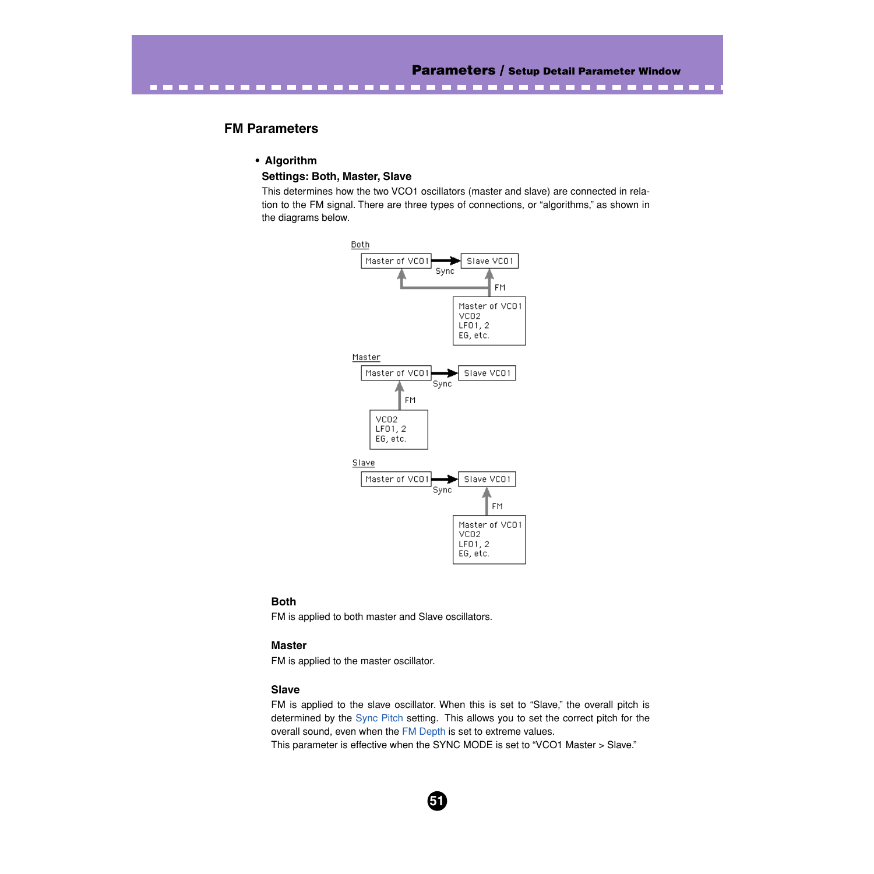# **FM Parameters**

#### **• Algorithm**

#### **Settings: Both, Master, Slave**

This determines how the two VCO1 oscillators (master and slave) are connected in relation to the FM signal. There are three types of connections, or "algorithms," as shown in the diagrams below.

**CO** 



#### **Both**

FM is applied to both master and Slave oscillators.

#### **Master**

FM is applied to the master oscillator.

#### **Slave**

FM is applied to the slave oscillator. When this is set to "Slave," the overall pitch is determined by the [Sync Pitch](#page-35-0) setting. This allows you to set the correct pitch for the overall sound, even when the [FM Depth](#page-31-0) is set to extreme values.

This parameter is effective when the SYNC MODE is set to "VCO1 Master > Slave."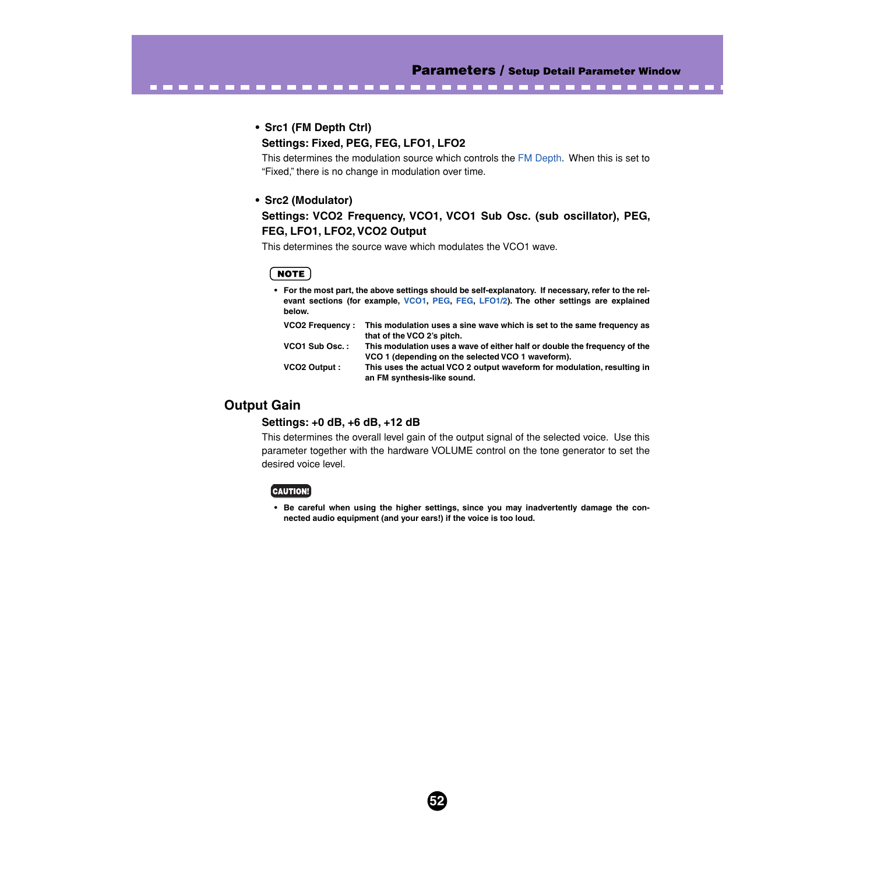-------

## **• Src1 (FM Depth Ctrl)**

### **Settings: Fixed, PEG, FEG, LFO1, LFO2**

------------------------------

This determines the modulation source which controls the [FM Depth.](#page-31-0) When this is set to "Fixed," there is no change in modulation over time.

#### **• Src2 (Modulator)**

# **Settings: VCO2 Frequency, VCO1, VCO1 Sub Osc. (sub oscillator), PEG, FEG, LFO1, LFO2, VCO2 Output**

This determines the source wave which modulates the VCO1 wave.

### **NOTE**

**• For the most part, the above settings should be self-explanatory. If necessary, refer to the relevant sections (for example, [VCO1](#page-33-0), [PEG,](#page-20-0) [FEG,](#page-28-0) [LFO1/2\)](#page-23-0). The other settings are explained below.**

| <b>VCO2 Frequency:</b> | This modulation uses a sine wave which is set to the same frequency as    |
|------------------------|---------------------------------------------------------------------------|
|                        | that of the VCO 2's pitch.                                                |
| VCO1 Sub Osc.:         | This modulation uses a wave of either half or double the frequency of the |
|                        | VCO 1 (depending on the selected VCO 1 waveform).                         |
| VCO2 Output:           | This uses the actual VCO 2 output waveform for modulation, resulting in   |
|                        | an FM synthesis-like sound.                                               |

# **Output Gain**

#### **Settings: +0 dB, +6 dB, +12 dB**

This determines the overall level gain of the output signal of the selected voice. Use this parameter together with the hardware VOLUME control on the tone generator to set the desired voice level.

#### [CAUTION!]

**• Be careful when using the higher settings, since you may inadvertently damage the connected audio equipment (and your ears!) if the voice is too loud.**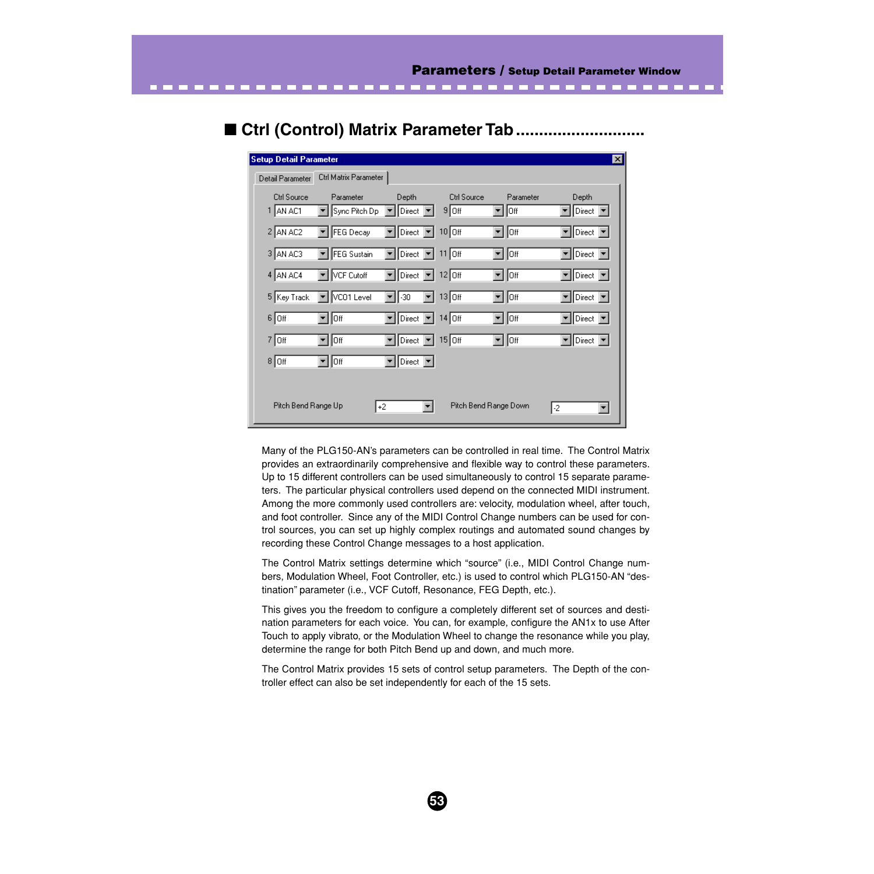---------

# ■ **Ctrl (Control) Matrix Parameter Tab ............................**

<span id="page-52-0"></span>. . . . . . . . . .

| <b>Setup Detail Parameter</b>  |                                                    |                                                             |                               |                       | $\mathbf{X}$                                              |
|--------------------------------|----------------------------------------------------|-------------------------------------------------------------|-------------------------------|-----------------------|-----------------------------------------------------------|
| Detail Parameter               | Ctrl Matrix Parameter                              |                                                             |                               |                       |                                                           |
| <b>Ctrl Source</b><br>1 AN AC1 | Parameter<br>Sync Pitch Dp<br>$\blacktriangledown$ | Depth<br>$\vert$ Direct $\vert \blacktriangledown \vert$    | <b>Ctrl Source</b><br>$9$ Off | Parameter<br>lor      | Depth<br>$\sqrt{\frac{1}{2}}$ Direct $\sqrt{\frac{1}{2}}$ |
| 2 AN AC2                       | FEG Decay<br>▼                                     | $\mathbf{v}$ Direct $\mathbf{v}$ 10 Off                     |                               | ∥off                  | $\boxed{\mathbf{v}}$ Direct $\boxed{\mathbf{v}}$          |
| 3 AN AC3                       | FEG Sustain                                        | Direct   11 Off                                             |                               | ∥off<br>▾             | $\overline{\mathbf{v}}$ Direct $\overline{\mathbf{v}}$    |
| 4 AN AC4                       | VCF Cutoff<br>▾∣                                   | $\blacktriangleright$ Direct $\blacktriangleright$ 12 Off   |                               | ∥o⊮<br>▾∣             | $\blacktriangleright$ Direct $\blacktriangleright$        |
| 5 Key Track                    | VC01 Level                                         | $-30$<br>▾▮                                                 | $13$ Off                      | ∥off                  | $\blacktriangleright$ Direct $\blacktriangleright$        |
| $6$ Off                        | ∥Off                                               | $\vert$ Direct $\vert \mathbf{v} \vert$ 14 Off              |                               | ∥Off                  | $\vert$ Direct $\vert \blacktriangledown$                 |
| $7$ Off                        | ∥Off                                               | Direct $\boxed{\mathbf{v}}$ 15 Off                          |                               | Off                   | $\blacktriangleright$ Direct $\blacktriangleright$        |
| $8 $ Off                       | Off.                                               | $\boxed{\blacksquare}$ Direct $\boxed{\blacktriangleright}$ |                               |                       |                                                           |
|                                |                                                    |                                                             |                               |                       |                                                           |
| Pitch Bend Range Up            |                                                    | $+2$                                                        |                               | Pitch Bend Range Down | -2<br>▼                                                   |

Many of the PLG150-AN's parameters can be controlled in real time. The Control Matrix provides an extraordinarily comprehensive and flexible way to control these parameters. Up to 15 different controllers can be used simultaneously to control 15 separate parameters. The particular physical controllers used depend on the connected MIDI instrument. Among the more commonly used controllers are: velocity, modulation wheel, after touch, and foot controller. Since any of the MIDI Control Change numbers can be used for control sources, you can set up highly complex routings and automated sound changes by recording these Control Change messages to a host application.

The Control Matrix settings determine which "source" (i.e., MIDI Control Change numbers, Modulation Wheel, Foot Controller, etc.) is used to control which PLG150-AN "destination" parameter (i.e., VCF Cutoff, Resonance, FEG Depth, etc.).

This gives you the freedom to configure a completely different set of sources and destination parameters for each voice. You can, for example, configure the AN1x to use After Touch to apply vibrato, or the Modulation Wheel to change the resonance while you play, determine the range for both Pitch Bend up and down, and much more.

The Control Matrix provides 15 sets of control setup parameters. The Depth of the controller effect can also be set independently for each of the 15 sets.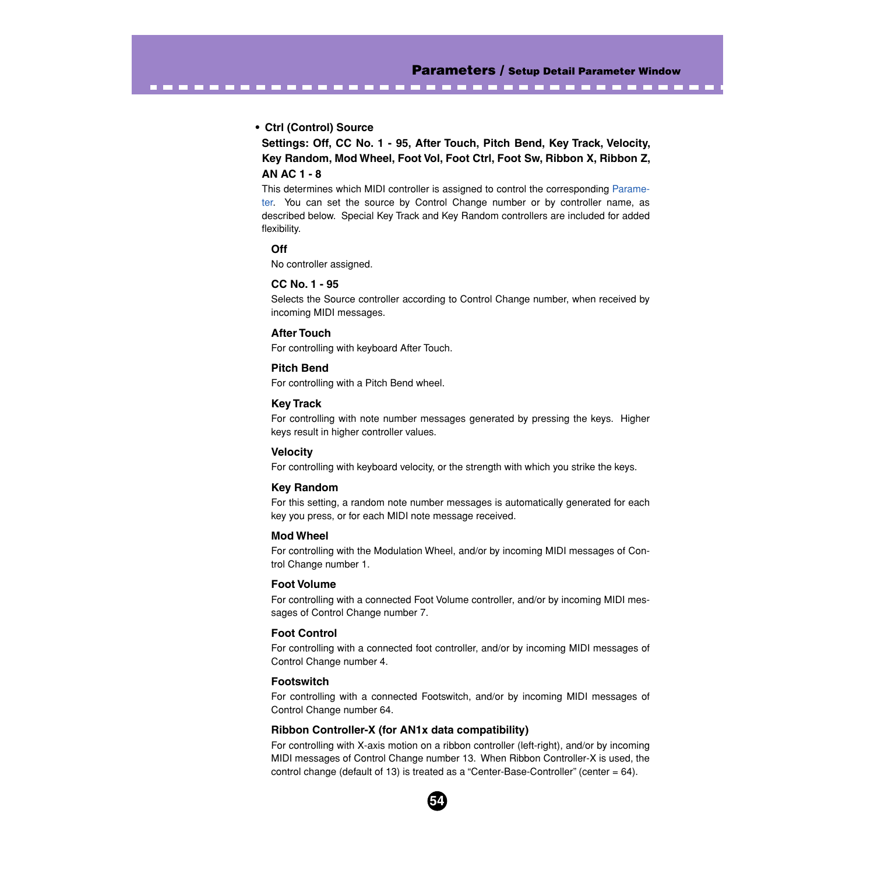- -

## **• Ctrl (Control) Source**

**Settings: Off, CC No. 1 - 95, After Touch, Pitch Bend, Key Track, Velocity, Key Random, Mod Wheel, Foot Vol, Foot Ctrl, Foot Sw, Ribbon X, Ribbon Z, AN AC 1 - 8**

This determines which MIDI controller is assigned to control the corresponding [Parame](#page-54-0)[ter.](#page-54-0) You can set the source by Control Change number or by controller name, as described below. Special Key Track and Key Random controllers are included for added flexibility.

## **Off**

No controller assigned.

## **CC No. 1 - 95**

Selects the Source controller according to Control Change number, when received by incoming MIDI messages.

## **After Touch**

For controlling with keyboard After Touch.

------------------------------

## **Pitch Bend**

For controlling with a Pitch Bend wheel.

## **Key Track**

For controlling with note number messages generated by pressing the keys. Higher keys result in higher controller values.

## **Velocity**

For controlling with keyboard velocity, or the strength with which you strike the keys.

## **Key Random**

For this setting, a random note number messages is automatically generated for each key you press, or for each MIDI note message received.

## **Mod Wheel**

For controlling with the Modulation Wheel, and/or by incoming MIDI messages of Control Change number 1.

## **Foot Volume**

For controlling with a connected Foot Volume controller, and/or by incoming MIDI messages of Control Change number 7.

## **Foot Control**

For controlling with a connected foot controller, and/or by incoming MIDI messages of Control Change number 4.

#### **Footswitch**

For controlling with a connected Footswitch, and/or by incoming MIDI messages of Control Change number 64.

## **Ribbon Controller-X (for AN1x data compatibility)**

For controlling with X-axis motion on a ribbon controller (left-right), and/or by incoming MIDI messages of Control Change number 13. When Ribbon Controller-X is used, the control change (default of 13) is treated as a "Center-Base-Controller" (center = 64).

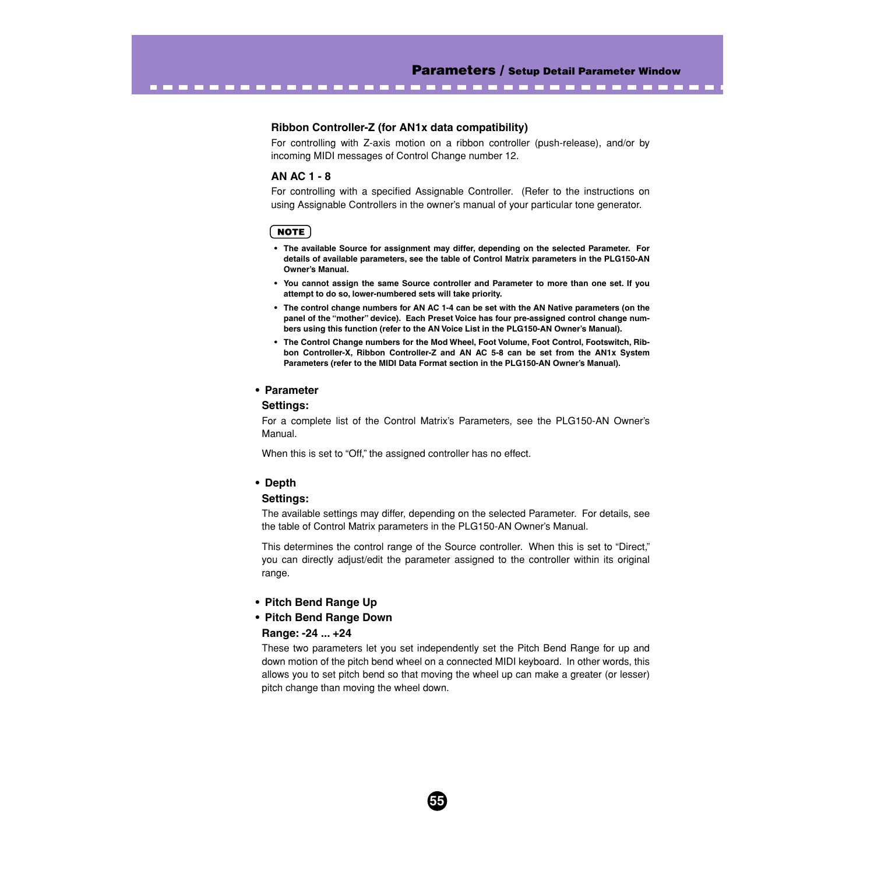### **Ribbon Controller-Z (for AN1x data compatibility)**

<span id="page-54-0"></span>--------------------------

For controlling with Z-axis motion on a ribbon controller (push-release), and/or by incoming MIDI messages of Control Change number 12.

#### **AN AC 1 - 8**

For controlling with a specified Assignable Controller. (Refer to the instructions on using Assignable Controllers in the owner's manual of your particular tone generator.

### **NOTE**

- **The available Source for assignment may differ, depending on the selected Parameter. For details of available parameters, see the table of Control Matrix parameters in the PLG150-AN Owner's Manual.**
- **You cannot assign the same Source controller and Parameter to more than one set. If you attempt to do so, lower-numbered sets will take priority.**
- **The control change numbers for AN AC 1-4 can be set with the AN Native parameters (on the panel of the "mother" device). Each Preset Voice has four pre-assigned control change numbers using this function (refer to the AN Voice List in the PLG150-AN Owner's Manual).**
- **The Control Change numbers for the Mod Wheel, Foot Volume, Foot Control, Footswitch, Ribbon Controller-X, Ribbon Controller-Z and AN AC 5-8 can be set from the AN1x System Parameters (refer to the MIDI Data Format section in the PLG150-AN Owner's Manual).**

## **• Parameter**

#### **Settings:**

For a complete list of the Control Matrix's Parameters, see the PLG150-AN Owner's Manual.

When this is set to "Off," the assigned controller has no effect.

#### **• Depth**

## **Settings:**

The available settings may differ, depending on the selected Parameter. For details, see the table of Control Matrix parameters in the PLG150-AN Owner's Manual.

This determines the control range of the Source controller. When this is set to "Direct," you can directly adjust/edit the parameter assigned to the controller within its original range.

- **Pitch Bend Range Up**
- **Pitch Bend Range Down**

#### **Range: -24 ... +24**

These two parameters let you set independently set the Pitch Bend Range for up and down motion of the pitch bend wheel on a connected MIDI keyboard. In other words, this allows you to set pitch bend so that moving the wheel up can make a greater (or lesser) pitch change than moving the wheel down.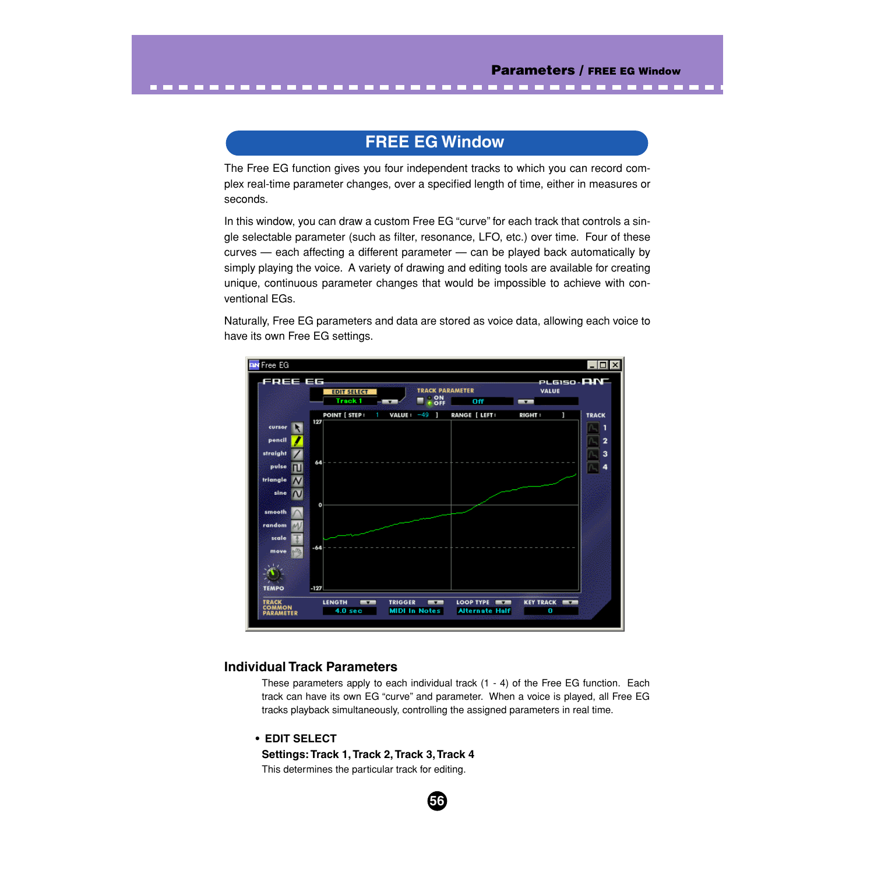# **FREE EG Window**

The Free EG function gives you four independent tracks to which you can record complex real-time parameter changes, over a specified length of time, either in measures or seconds.

In this window, you can draw a custom Free EG "curve" for each track that controls a single selectable parameter (such as filter, resonance, LFO, etc.) over time. Four of these curves — each affecting a different parameter — can be played back automatically by simply playing the voice. A variety of drawing and editing tools are available for creating unique, continuous parameter changes that would be impossible to achieve with conventional EGs.

Naturally, Free EG parameters and data are stored as voice data, allowing each voice to have its own Free EG settings.



# **Individual Track Parameters**

These parameters apply to each individual track (1 - 4) of the Free EG function. Each track can have its own EG "curve" and parameter. When a voice is played, all Free EG tracks playback simultaneously, controlling the assigned parameters in real time.

**56**

# **• EDIT SELECT**

**Settings: Track 1, Track 2, Track 3, Track 4**

This determines the particular track for editing.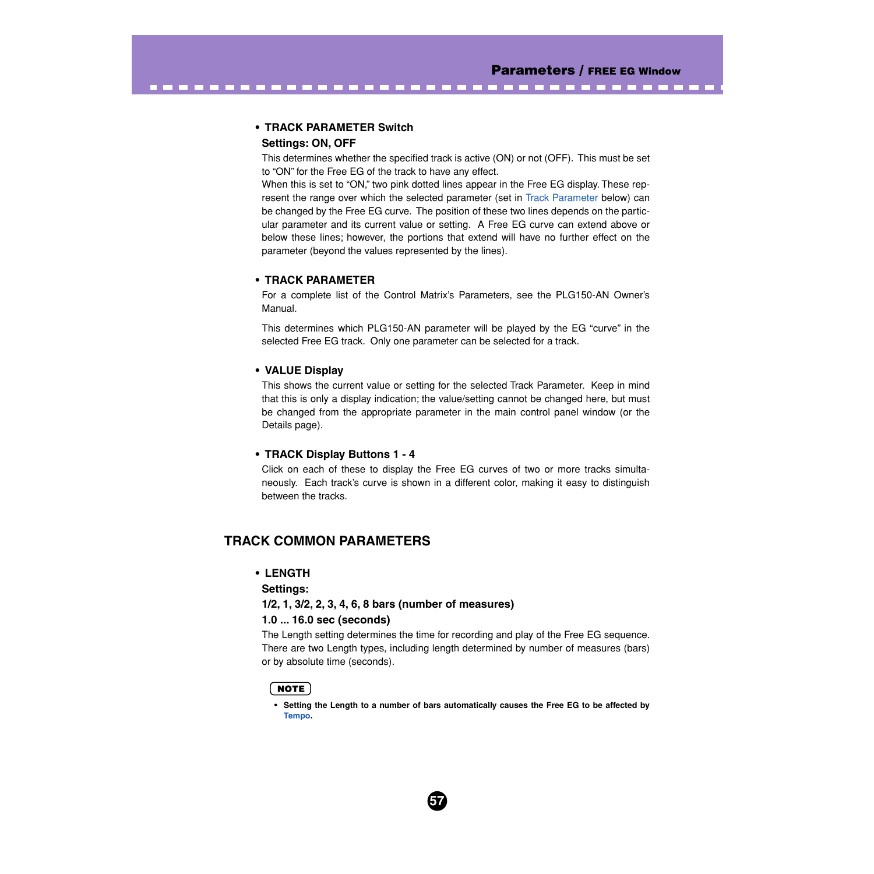## **• TRACK PARAMETER Switch Settings: ON, OFF**

This determines whether the specified track is active (ON) or not (OFF). This must be set to "ON" for the Free EG of the track to have any effect.

<span id="page-56-0"></span>-----------------------------------

When this is set to "ON," two pink dotted lines appear in the Free EG display. These represent the range over which the selected parameter (set in Track Parameter below) can be changed by the Free EG curve. The position of these two lines depends on the particular parameter and its current value or setting. A Free EG curve can extend above or below these lines; however, the portions that extend will have no further effect on the parameter (beyond the values represented by the lines).

## **• TRACK PARAMETER**

For a complete list of the Control Matrix's Parameters, see the PLG150-AN Owner's Manual.

This determines which PLG150-AN parameter will be played by the EG "curve" in the selected Free EG track. Only one parameter can be selected for a track.

## **• VALUE Display**

This shows the current value or setting for the selected Track Parameter. Keep in mind that this is only a display indication; the value/setting cannot be changed here, but must be changed from the appropriate parameter in the main control panel window (or the Details page).

## **• TRACK Display Buttons 1 - 4**

Click on each of these to display the Free EG curves of two or more tracks simultaneously. Each track's curve is shown in a different color, making it easy to distinguish between the tracks.

# **TRACK COMMON PARAMETERS**

## **• LENGTH**

## **Settings:**

## **1/2, 1, 3/2, 2, 3, 4, 6, 8 bars (number of measures)**

## **1.0 ... 16.0 sec (seconds)**

The Length setting determines the time for recording and play of the Free EG sequence. There are two Length types, including length determined by number of measures (bars) or by absolute time (seconds).

## NOTE)

**• Setting the Length to a number of bars automatically causes the Free EG to be affected by [Tempo](#page-58-0).**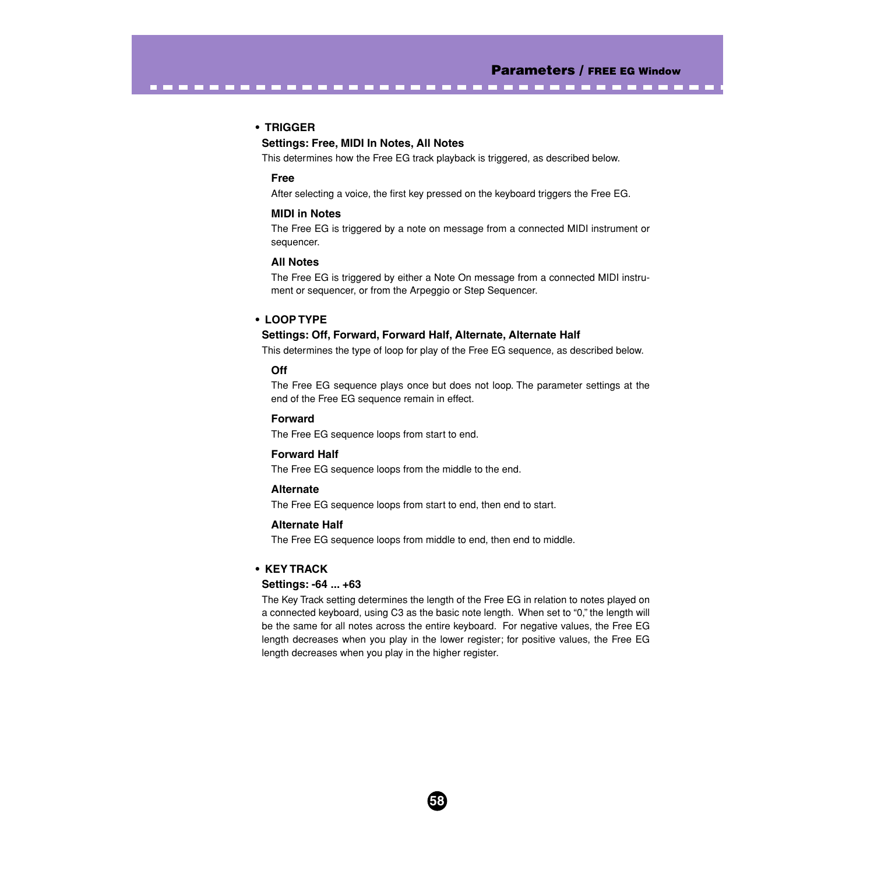#### **• TRIGGER**

## **Settings: Free, MIDI In Notes, All Notes**

This determines how the Free EG track playback is triggered, as described below.

-----------------------------------

#### **Free**

After selecting a voice, the first key pressed on the keyboard triggers the Free EG.

#### **MIDI in Notes**

The Free EG is triggered by a note on message from a connected MIDI instrument or sequencer.

#### **All Notes**

The Free EG is triggered by either a Note On message from a connected MIDI instrument or sequencer, or from the Arpeggio or Step Sequencer.

### **• LOOP TYPE**

#### **Settings: Off, Forward, Forward Half, Alternate, Alternate Half**

This determines the type of loop for play of the Free EG sequence, as described below.

### **Off**

The Free EG sequence plays once but does not loop. The parameter settings at the end of the Free EG sequence remain in effect.

#### **Forward**

The Free EG sequence loops from start to end.

## **Forward Half**

The Free EG sequence loops from the middle to the end.

#### **Alternate**

The Free EG sequence loops from start to end, then end to start.

#### **Alternate Half**

The Free EG sequence loops from middle to end, then end to middle.

#### **• KEY TRACK**

#### **Settings: -64 ... +63**

The Key Track setting determines the length of the Free EG in relation to notes played on a connected keyboard, using C3 as the basic note length. When set to "0," the length will be the same for all notes across the entire keyboard. For negative values, the Free EG length decreases when you play in the lower register; for positive values, the Free EG length decreases when you play in the higher register.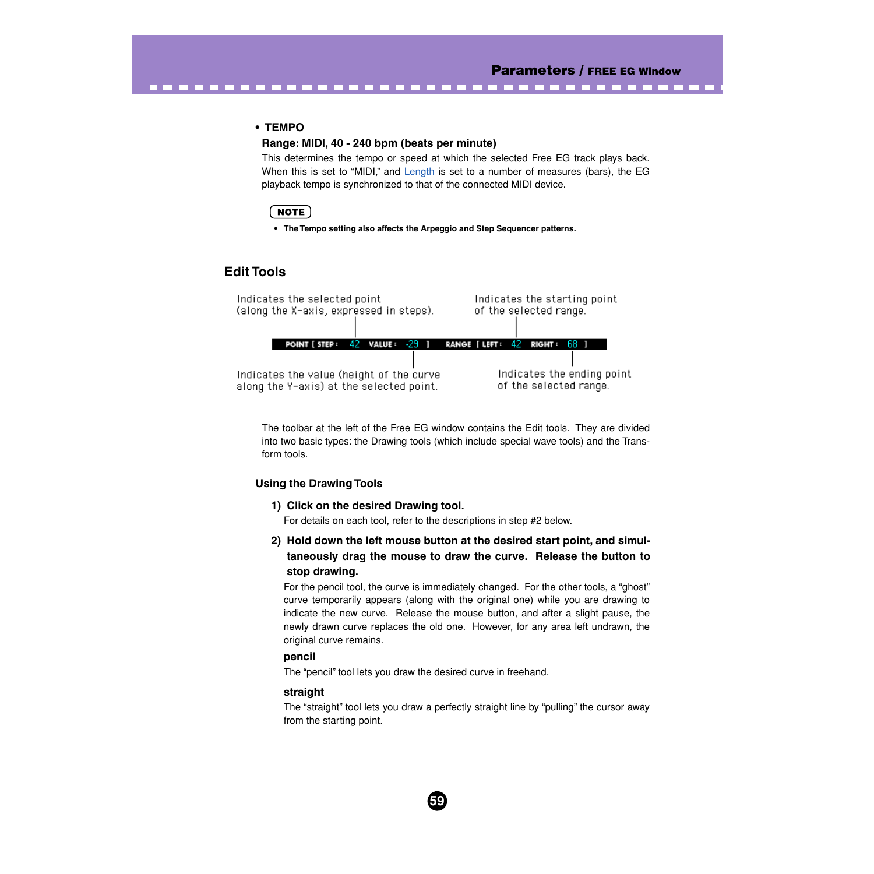## **• TEMPO**

### **Range: MIDI, 40 - 240 bpm (beats per minute)**

<span id="page-58-0"></span>. . . . . . . . . . . . . . . .

This determines the tempo or speed at which the selected Free EG track plays back. When this is set to "MIDI," and [Length](#page-56-0) is set to a number of measures (bars), the EG playback tempo is synchronized to that of the connected MIDI device.

# **NOTE**

**• The Tempo setting also affects the Arpeggio and Step Sequencer patterns.**

# **Edit Tools**

Indicates the selected point Indicates the starting point (along the X-axis, expressed in steps). of the selected range. RANGE [ LEFT: 42 RIGHT: POINT [ STEP :  $42$  value :  $-29$  ] 68. Indicates the ending point Indicates the value (height of the curve of the selected range. along the Y-axis) at the selected point.

The toolbar at the left of the Free EG window contains the Edit tools. They are divided into two basic types: the Drawing tools (which include special wave tools) and the Transform tools.

## **Using the Drawing Tools**

#### **1) Click on the desired Drawing tool.**

For details on each tool, refer to the descriptions in step #2 below.

**2) Hold down the left mouse button at the desired start point, and simultaneously drag the mouse to draw the curve. Release the button to stop drawing.**

For the pencil tool, the curve is immediately changed. For the other tools, a "ghost" curve temporarily appears (along with the original one) while you are drawing to indicate the new curve. Release the mouse button, and after a slight pause, the newly drawn curve replaces the old one. However, for any area left undrawn, the original curve remains.

## **pencil**

The "pencil" tool lets you draw the desired curve in freehand.

## **straight**

The "straight" tool lets you draw a perfectly straight line by "pulling" the cursor away from the starting point.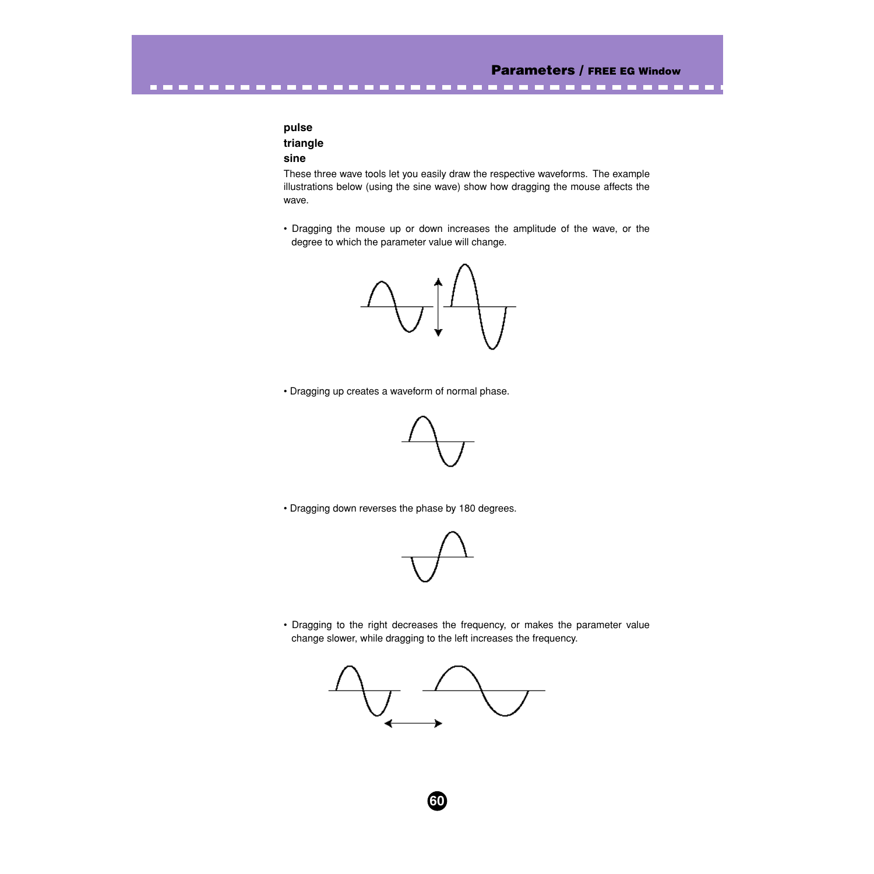# **pulse triangle sine**

These three wave tools let you easily draw the respective waveforms. The example illustrations below (using the sine wave) show how dragging the mouse affects the wave.

----------------------------------

• Dragging the mouse up or down increases the amplitude of the wave, or the degree to which the parameter value will change.



• Dragging up creates a waveform of normal phase.



• Dragging down reverses the phase by 180 degrees.



• Dragging to the right decreases the frequency, or makes the parameter value change slower, while dragging to the left increases the frequency.

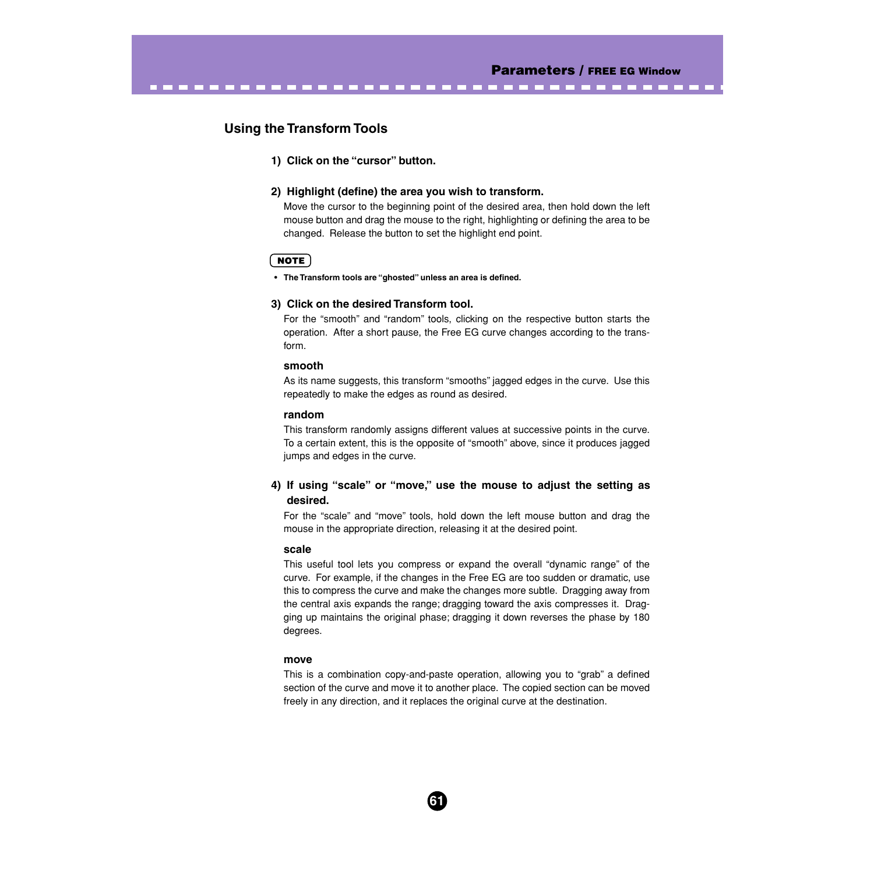# **Using the Transform Tools**

#### **1) Click on the "cursor" button.**

#### **2) Highlight (define) the area you wish to transform.**

Move the cursor to the beginning point of the desired area, then hold down the left mouse button and drag the mouse to the right, highlighting or defining the area to be changed. Release the button to set the highlight end point.

--------------------------------

## **NOTE**

**• The Transform tools are "ghosted" unless an area is defined.**

## **3) Click on the desired Transform tool.**

For the "smooth" and "random" tools, clicking on the respective button starts the operation. After a short pause, the Free EG curve changes according to the transform.

#### **smooth**

As its name suggests, this transform "smooths" jagged edges in the curve. Use this repeatedly to make the edges as round as desired.

#### **random**

This transform randomly assigns different values at successive points in the curve. To a certain extent, this is the opposite of "smooth" above, since it produces jagged jumps and edges in the curve.

# **4) If using "scale" or "move," use the mouse to adjust the setting as desired.**

For the "scale" and "move" tools, hold down the left mouse button and drag the mouse in the appropriate direction, releasing it at the desired point.

#### **scale**

This useful tool lets you compress or expand the overall "dynamic range" of the curve. For example, if the changes in the Free EG are too sudden or dramatic, use this to compress the curve and make the changes more subtle. Dragging away from the central axis expands the range; dragging toward the axis compresses it. Dragging up maintains the original phase; dragging it down reverses the phase by 180 degrees.

#### **move**

This is a combination copy-and-paste operation, allowing you to "grab" a defined section of the curve and move it to another place. The copied section can be moved freely in any direction, and it replaces the original curve at the destination.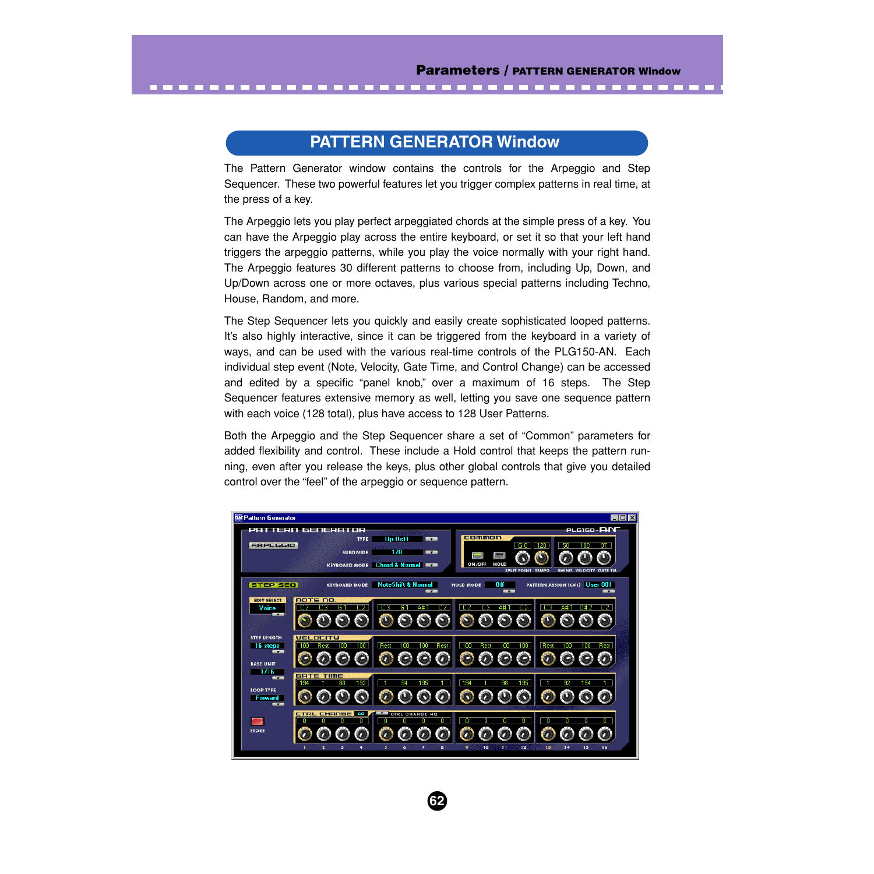# **PATTERN GENERATOR Window**

<span id="page-61-0"></span>-----------------------------

The Pattern Generator window contains the controls for the Arpeggio and Step Sequencer. These two powerful features let you trigger complex patterns in real time, at the press of a key.

The Arpeggio lets you play perfect arpeggiated chords at the simple press of a key. You can have the Arpeggio play across the entire keyboard, or set it so that your left hand triggers the arpeggio patterns, while you play the voice normally with your right hand. The Arpeggio features 30 different patterns to choose from, including Up, Down, and Up/Down across one or more octaves, plus various special patterns including Techno, House, Random, and more.

The Step Sequencer lets you quickly and easily create sophisticated looped patterns. It's also highly interactive, since it can be triggered from the keyboard in a variety of ways, and can be used with the various real-time controls of the PLG150-AN. Each individual step event (Note, Velocity, Gate Time, and Control Change) can be accessed and edited by a specific "panel knob," over a maximum of 16 steps. The Step Sequencer features extensive memory as well, letting you save one sequence pattern with each voice (128 total), plus have access to 128 User Patterns.

Both the Arpeggio and the Step Sequencer share a set of "Common" parameters for added flexibility and control. These include a Hold control that keeps the pattern running, even after you release the keys, plus other global controls that give you detailed control over the "feel" of the arpeggio or sequence pattern.

| <b>BM Pattern Generator</b>                                                                |                                                      |                                                                            |                                                                                  | $\Box$ o $\mathbf{X}$                                            |
|--------------------------------------------------------------------------------------------|------------------------------------------------------|----------------------------------------------------------------------------|----------------------------------------------------------------------------------|------------------------------------------------------------------|
| <b>ARPEGGIO</b>                                                                            | PATTERN GENERATOR<br><b>TYPE</b><br><b>SUBDIVIDE</b> | Up Oct1<br>--<br>178<br><b>MAZE</b><br><b>KEYBOARD MODE</b> Chord & Normal | common<br><b>G81</b><br>120<br><b>HOLD</b><br>ON/OFF<br><b>SPLIT POINT TEMPO</b> | PLG150 - <b>AIN</b><br>50<br>97<br>100<br>SWING VELOCITY GATE TM |
| <b>STEP SEQ</b>                                                                            |                                                      | <b>KEYBOARD MODE</b> NoteShift & Normal<br><b>STATE</b>                    | Off<br><b>HOLD MODE</b><br>--                                                    | PATTERN ASSIGN (C#1) User 001<br><b>STATE</b>                    |
| <b>EDIT SELECT</b><br>Voice<br>$\overline{\phantom{a}}$                                    | note no.<br>DЗ<br>C 2<br>G.                          | C <sub>3</sub><br>C2.<br>G.<br>Α#                                          | C <sub>2</sub><br>C2.<br>C 3                                                     | C <sub>3</sub><br>A#<br>D# 2                                     |
| <b>STEP LENGTH</b><br>16 steps<br><b>STATE</b><br><b>BASE UNIT</b>                         | <b>VELDCITY</b><br>100<br>100<br>Rest                | Rest<br>100<br>100<br>Rest                                                 | 100<br>Rest<br>100<br>100                                                        | Rest<br>Rest<br>100<br>100                                       |
| 1716<br><b>MARK</b><br><b>LOOP TYPE</b><br><b>Forward</b><br><b>The Contract of Street</b> | <b>GATE TIME</b><br>192<br>88<br>194                 | œ<br>195                                                                   | 194<br>195<br>98                                                                 | 92<br>194                                                        |
| <b>STORE</b>                                                                               | <b>Off</b><br>CTRL CHANGE                            | CTRL CHANGE NO<br>8<br>6                                                   | п.<br>10<br>11<br>12<br>۰                                                        | n<br>13<br>14<br>15<br>16                                        |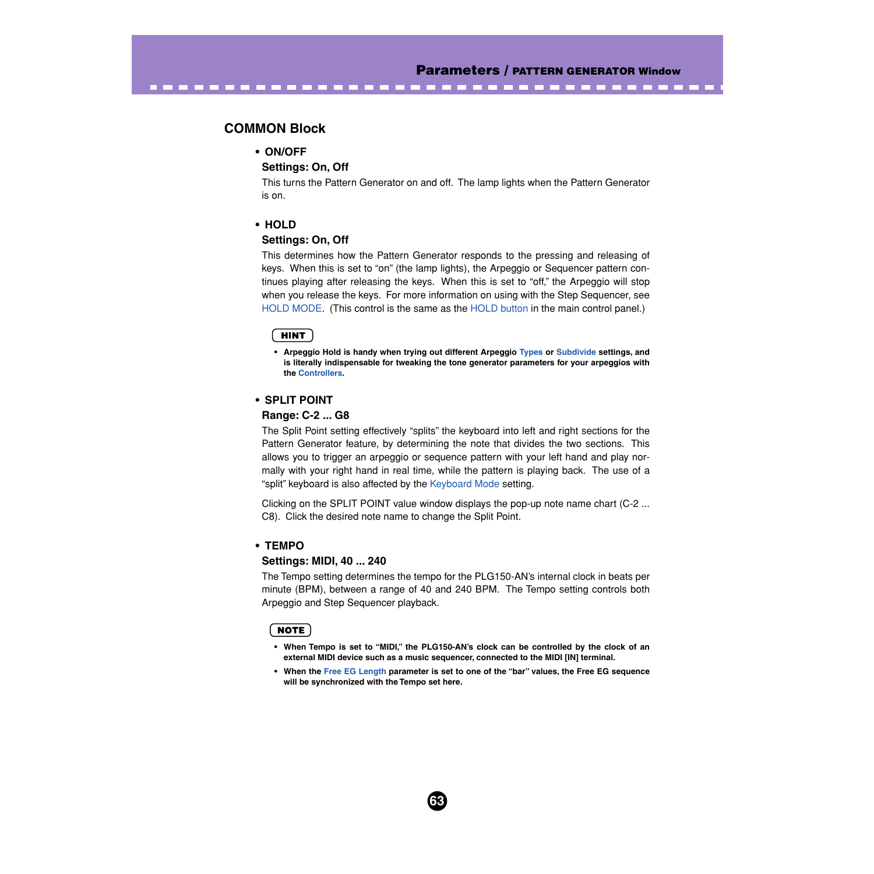---------

# **COMMON Block**

## **• ON/OFF**

## **Settings: On, Off**

<span id="page-62-0"></span>................

This turns the Pattern Generator on and off. The lamp lights when the Pattern Generator is on.

# **• HOLD**

#### **Settings: On, Off**

This determines how the Pattern Generator responds to the pressing and releasing of keys. When this is set to "on" (the lamp lights), the Arpeggio or Sequencer pattern continues playing after releasing the keys. When this is set to "off," the Arpeggio will stop when you release the keys. For more information on using with the Step Sequencer, see [HOLD MODE.](#page-67-0) (This control is the same as the [HOLD button](#page-22-0) in the main control panel.)

#### **HINT**

**• Arpeggio Hold is handy when trying out different Arpeggio [Types](#page-64-0) or [Subdivide](#page-64-0) settings, and is literally indispensable for tweaking the tone generator parameters for your arpeggios with the [Controllers](#page-52-0).**

### **• SPLIT POINT**

#### **Range: C-2 ... G8**

The Split Point setting effectively "splits" the keyboard into left and right sections for the Pattern Generator feature, by determining the note that divides the two sections. This allows you to trigger an arpeggio or sequence pattern with your left hand and play normally with your right hand in real time, while the pattern is playing back. The use of a "split" keyboard is also affected by the [Keyboard Mode](#page-64-0) setting.

Clicking on the SPLIT POINT value window displays the pop-up note name chart (C-2 ... C8). Click the desired note name to change the Split Point.

#### **• TEMPO**

#### **Settings: MIDI, 40 ... 240**

The Tempo setting determines the tempo for the PLG150-AN's internal clock in beats per minute (BPM), between a range of 40 and 240 BPM. The Tempo setting controls both Arpeggio and Step Sequencer playback.

#### NOTE

- **When Tempo is set to "MIDI," the PLG150-AN's clock can be controlled by the clock of an external MIDI device such as a music sequencer, connected to the MIDI [IN] terminal.**
- **When the [Free EG Length](#page-56-0) parameter is set to one of the "bar" values, the Free EG sequence will be synchronized with the Tempo set here.**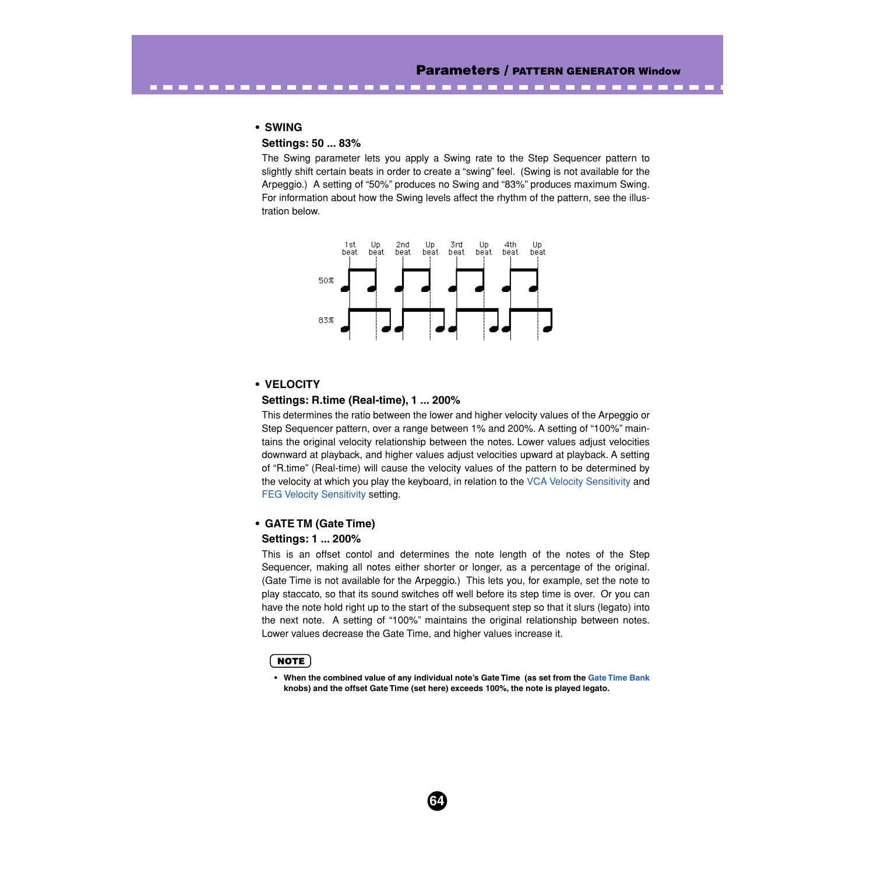---------

#### **• SWING**

## **Settings: 50 ... 83%**

<span id="page-63-0"></span>. . . . . . . . . . . .

The Swing parameter lets you apply a Swing rate to the Step Sequencer pattern to slightly shift certain beats in order to create a "swing" feel. (Swing is not available for the Arpeggio.) A setting of "50%" produces no Swing and "83%" produces maximum Swing. For information about how the Swing levels affect the rhythm of the pattern, see the illustration below.



#### **• VELOCITY**

#### **Settings: R.time (Real-time), 1 ... 200%**

This determines the ratio between the lower and higher velocity values of the Arpeggio or Step Sequencer pattern, over a range between 1% and 200%. A setting of "100%" maintains the original velocity relationship between the notes. Lower values adjust velocities downward at playback, and higher values adjust velocities upward at playback. A setting of "R.time" (Real-time) will cause the velocity values of the pattern to be determined by the velocity at which you play the keyboard, in relation to the [VCA Velocity Sensitivity](#page-41-0) and [FEG Velocity Sensitivity](#page-24-0) setting.

#### **• GATE TM (Gate Time)**

#### **Settings: 1 ... 200%**

This is an offset contol and determines the note length of the notes of the Step Sequencer, making all notes either shorter or longer, as a percentage of the original. (Gate Time is not available for the Arpeggio.) This lets you, for example, set the note to play staccato, so that its sound switches off well before its step time is over. Or you can have the note hold right up to the start of the subsequent step so that it slurs (legato) into the next note. A setting of "100%" maintains the original relationship between notes. Lower values decrease the Gate Time, and higher values increase it.

#### **NOTE**

**• When the combined value of any individual note's Gate Time (as set from the [Gate Time Bank](#page-69-0) knobs) and the offset Gate Time (set here) exceeds 100%, the note is played legato.**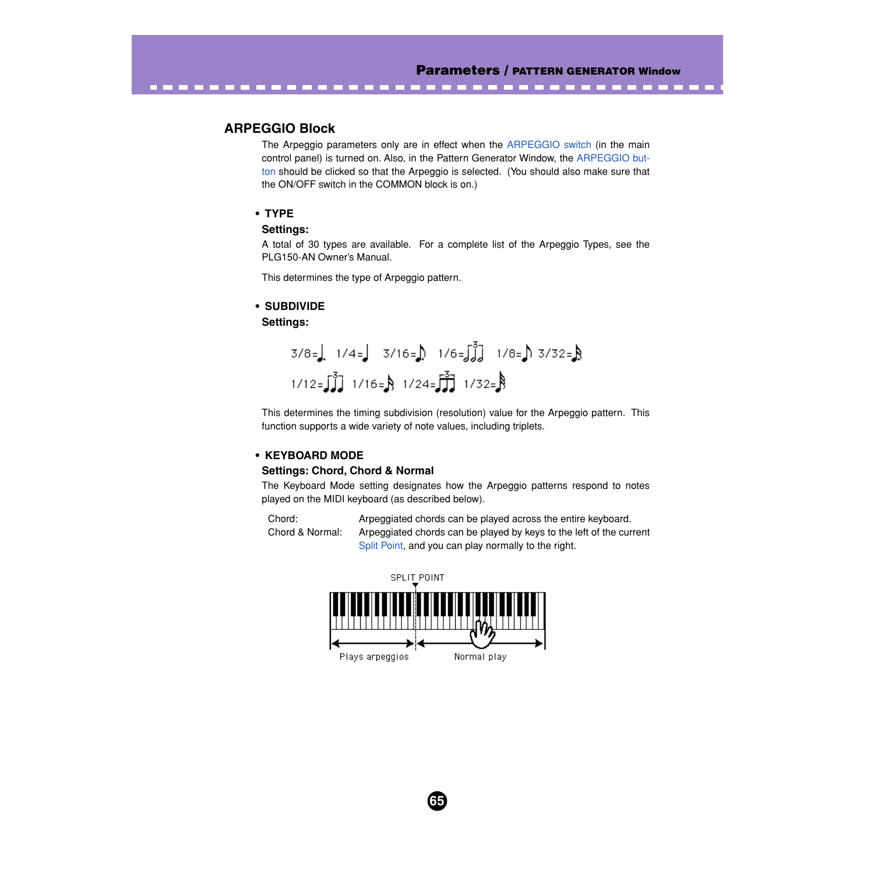--------

# **ARPEGGIO Block**

<span id="page-64-0"></span>. . . . . . . . . .

The Arpeggio parameters only are in effect when the [ARPEGGIO switch](#page-22-0) (in the main control panel) is turned on. Also, in the Pattern Generator Window, the [ARPEGGIO but](#page-61-0)[ton](#page-61-0) should be clicked so that the Arpeggio is selected. (You should also make sure that the ON/OFF switch in the COMMON block is on.)

## **• TYPE**

## **Settings:**

A total of 30 types are available. For a complete list of the Arpeggio Types, see the PLG150-AN Owner's Manual.

This determines the type of Arpeggio pattern.

## **• SUBDIVIDE**

### **Settings:**

$$
3/8 =
$$
 1/4 = 3/16 = 1/6 = 3 $\sqrt{3}$  1/8 = 3/32 = 8  
1/12 = 3  $\sqrt{3}$  1/16 = 8 1/24 = 3  $\sqrt{3}$  1/32 = 8

This determines the timing subdivision (resolution) value for the Arpeggio pattern. This function supports a wide variety of note values, including triplets.

## **• KEYBOARD MODE**

## **Settings: Chord, Chord & Normal**

The Keyboard Mode setting designates how the Arpeggio patterns respond to notes played on the MIDI keyboard (as described below).

Chord: Arpeggiated chords can be played across the entire keyboard. Chord & Normal: Arpeggiated chords can be played by keys to the left of the current [Split Point](#page-62-0), and you can play normally to the right.

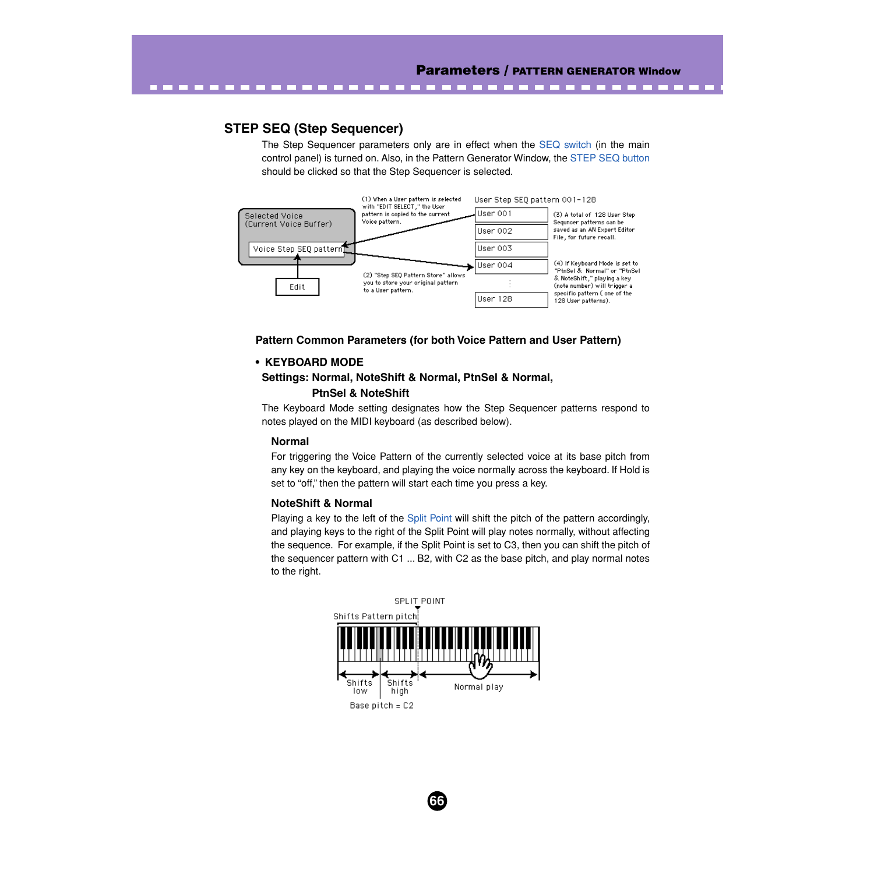# <span id="page-65-0"></span>**STEP SEQ (Step Sequencer)**

The Step Sequencer parameters only are in effect when the [SEQ switch](#page-22-0) (in the main control panel) is turned on. Also, in the Pattern Generator Window, the [STEP SEQ button](#page-61-0) should be clicked so that the Step Sequencer is selected.



## **Pattern Common Parameters (for both Voice Pattern and User Pattern)**

## **• KEYBOARD MODE**

# **Settings: Normal, NoteShift & Normal, PtnSel & Normal, PtnSel & NoteShift**

The Keyboard Mode setting designates how the Step Sequencer patterns respond to notes played on the MIDI keyboard (as described below).

#### **Normal**

For triggering the Voice Pattern of the currently selected voice at its base pitch from any key on the keyboard, and playing the voice normally across the keyboard. If Hold is set to "off," then the pattern will start each time you press a key.

## **NoteShift & Normal**

Playing a key to the left of the [Split Point](#page-62-0) will shift the pitch of the pattern accordingly, and playing keys to the right of the Split Point will play notes normally, without affecting the sequence. For example, if the Split Point is set to C3, then you can shift the pitch of the sequencer pattern with C1 ... B2, with C2 as the base pitch, and play normal notes to the right.

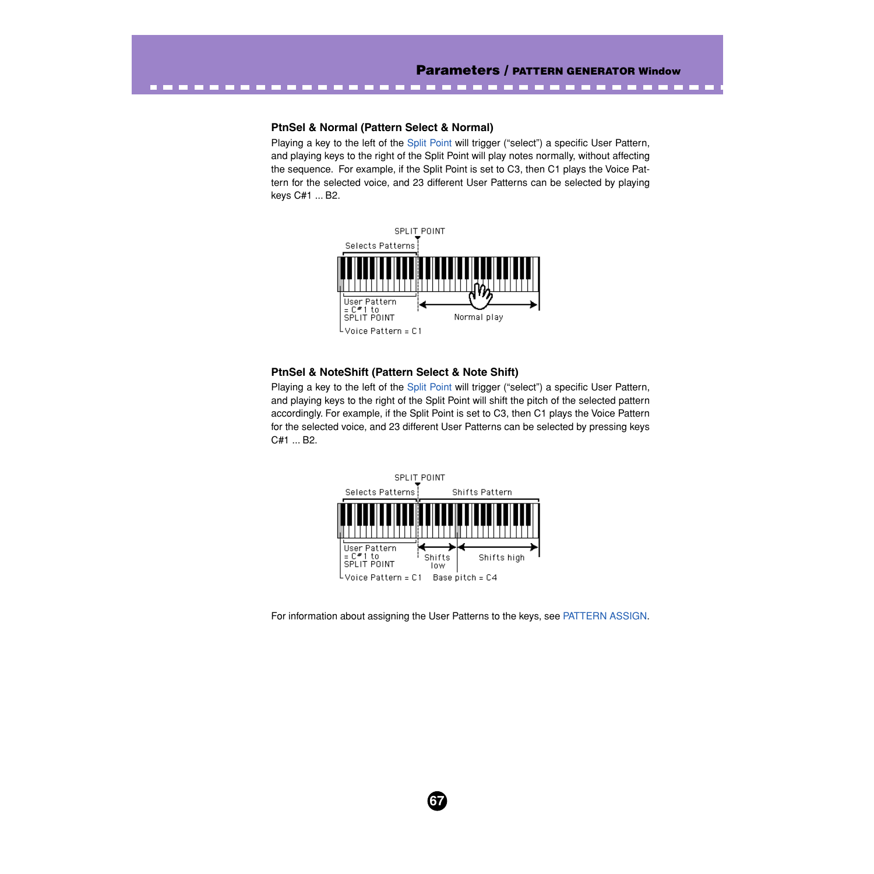#### **PtnSel & Normal (Pattern Select & Normal)**

Playing a key to the left of the [Split Point](#page-62-0) will trigger ("select") a specific User Pattern, and playing keys to the right of the Split Point will play notes normally, without affecting the sequence. For example, if the Split Point is set to C3, then C1 plays the Voice Pattern for the selected voice, and 23 different User Patterns can be selected by playing keys C#1 ... B2.



## **PtnSel & NoteShift (Pattern Select & Note Shift)**

Playing a key to the left of the [Split Point](#page-62-0) will trigger ("select") a specific User Pattern, and playing keys to the right of the Split Point will shift the pitch of the selected pattern accordingly. For example, if the Split Point is set to C3, then C1 plays the Voice Pattern for the selected voice, and 23 different User Patterns can be selected by pressing keys C#1 ... B2.



**67**

For information about assigning the User Patterns to the keys, see [PATTERN ASSIGN](#page-67-0).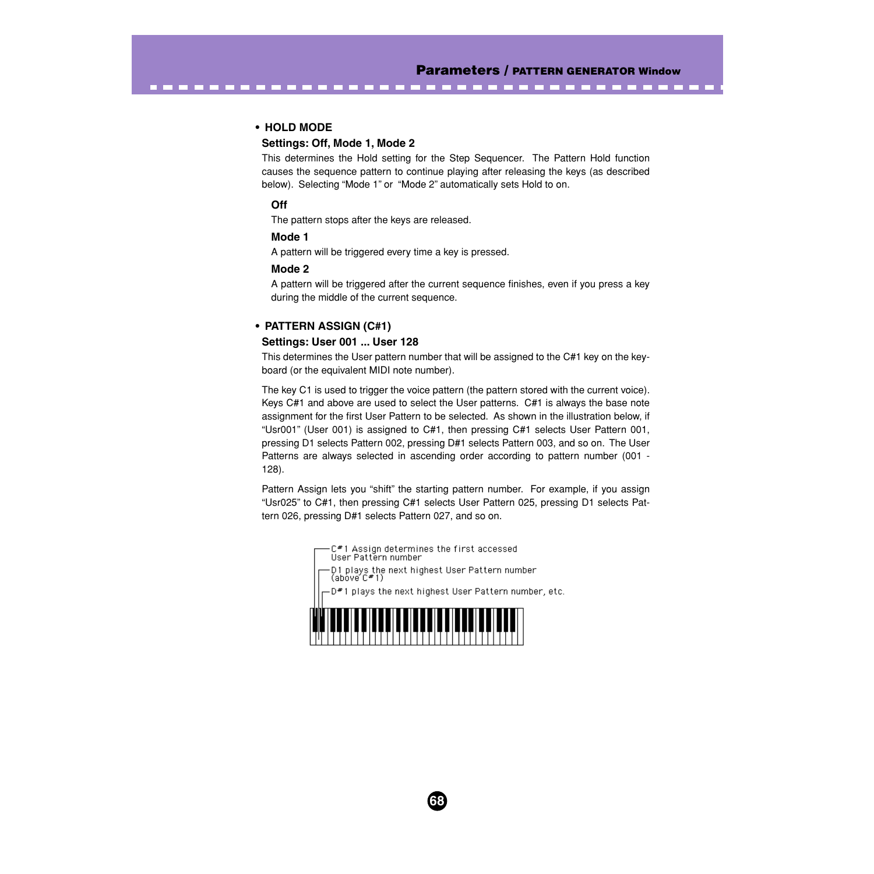--------

### **• HOLD MODE**

<span id="page-67-0"></span>-------------

#### **Settings: Off, Mode 1, Mode 2**

This determines the Hold setting for the Step Sequencer. The Pattern Hold function causes the sequence pattern to continue playing after releasing the keys (as described below). Selecting "Mode 1" or "Mode 2" automatically sets Hold to on.

-----

### **Off**

The pattern stops after the keys are released.

#### **Mode 1**

A pattern will be triggered every time a key is pressed.

#### **Mode 2**

A pattern will be triggered after the current sequence finishes, even if you press a key during the middle of the current sequence.

### **• PATTERN ASSIGN (C#1)**

#### **Settings: User 001 ... User 128**

This determines the User pattern number that will be assigned to the C#1 key on the keyboard (or the equivalent MIDI note number).

The key C1 is used to trigger the voice pattern (the pattern stored with the current voice). Keys C#1 and above are used to select the User patterns. C#1 is always the base note assignment for the first User Pattern to be selected. As shown in the illustration below, if "Usr001" (User 001) is assigned to C#1, then pressing C#1 selects User Pattern 001, pressing D1 selects Pattern 002, pressing D#1 selects Pattern 003, and so on. The User Patterns are always selected in ascending order according to pattern number (001 - 128).

Pattern Assign lets you "shift" the starting pattern number. For example, if you assign "Usr025" to C#1, then pressing C#1 selects User Pattern 025, pressing D1 selects Pattern 026, pressing D#1 selects Pattern 027, and so on.

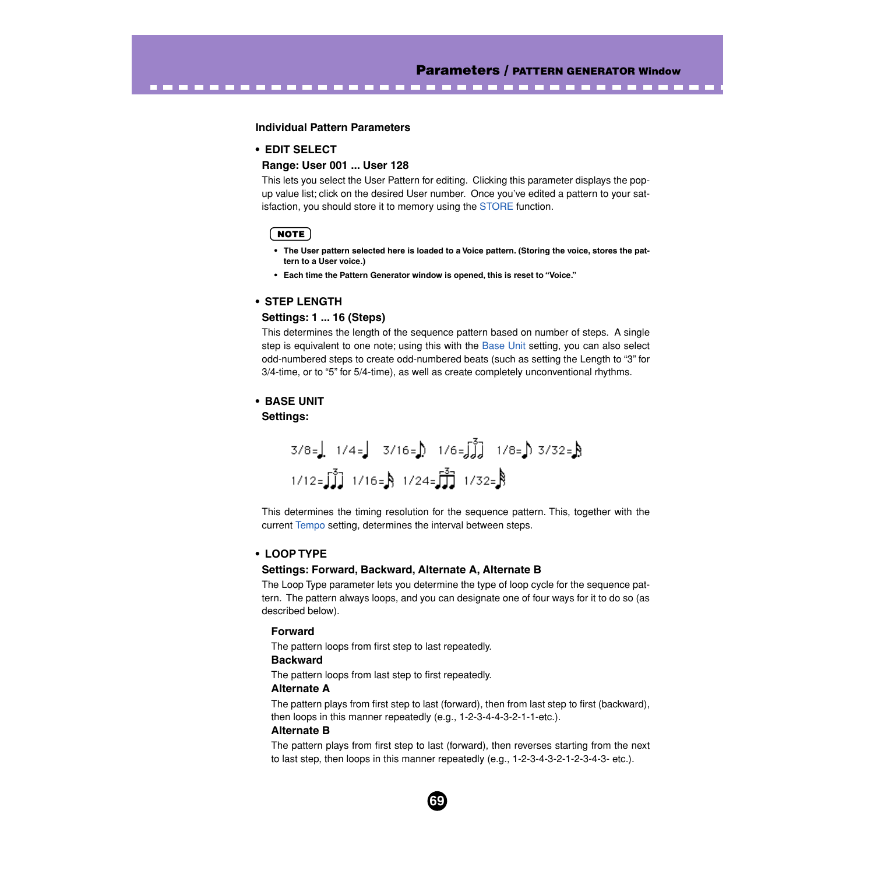#### **Individual Pattern Parameters**

## **• EDIT SELECT**

## **Range: User 001 ... User 128**

This lets you select the User Pattern for editing. Clicking this parameter displays the popup value list; click on the desired User number. Once you've edited a pattern to your satisfaction, you should store it to memory using the [STORE](#page-69-0) function.

-------------------------------------

#### **NOTE**

- **The User pattern selected here is loaded to a Voice pattern. (Storing the voice, stores the pattern to a User voice.)**
- **Each time the Pattern Generator window is opened, this is reset to "Voice."**

#### **• STEP LENGTH**

## **Settings: 1 ... 16 (Steps)**

This determines the length of the sequence pattern based on number of steps. A single step is equivalent to one note; using this with the Base Unit setting, you can also select odd-numbered steps to create odd-numbered beats (such as setting the Length to "3" for 3/4-time, or to "5" for 5/4-time), as well as create completely unconventional rhythms.

## **• BASE UNIT Settings:**

$$
3/8 =
$$
 1/4 = 3/16 = 1/6 = 3/3 = 1/8 = 3/32 = 8  
1/12 = 3/3 = 1/16 = 1/24 = 3/3 = 8

This determines the timing resolution for the sequence pattern. This, together with the current [Tempo](#page-62-0) setting, determines the interval between steps.

#### **• LOOP TYPE**

#### **Settings: Forward, Backward, Alternate A, Alternate B**

The Loop Type parameter lets you determine the type of loop cycle for the sequence pattern. The pattern always loops, and you can designate one of four ways for it to do so (as described below).

#### **Forward**

The pattern loops from first step to last repeatedly.

## **Backward**

The pattern loops from last step to first repeatedly.

#### **Alternate A**

The pattern plays from first step to last (forward), then from last step to first (backward), then loops in this manner repeatedly (e.g., 1-2-3-4-4-3-2-1-1-etc.).

#### **Alternate B**

The pattern plays from first step to last (forward), then reverses starting from the next to last step, then loops in this manner repeatedly (e.g., 1-2-3-4-3-2-1-2-3-4-3- etc.).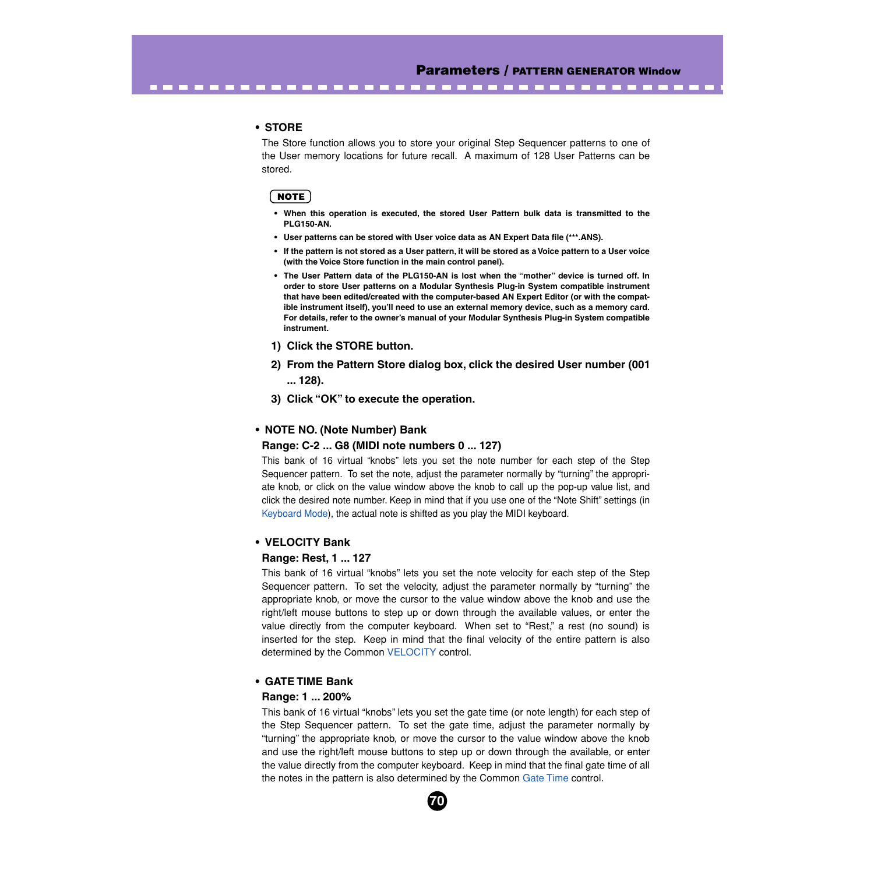--------

### **• STORE**

<span id="page-69-0"></span>--------------------

The Store function allows you to store your original Step Sequencer patterns to one of the User memory locations for future recall. A maximum of 128 User Patterns can be stored.

## $NOTE$

- **When this operation is executed, the stored User Pattern bulk data is transmitted to the PLG150-AN.**
- **User patterns can be stored with User voice data as AN Expert Data file (\*\*\*.ANS).**
- **If the pattern is not stored as a User pattern, it will be stored as a Voice pattern to a User voice (with the Voice Store function in the main control panel).**
- **The User Pattern data of the PLG150-AN is lost when the "mother" device is turned off. In order to store User patterns on a Modular Synthesis Plug-in System compatible instrument that have been edited/created with the computer-based AN Expert Editor (or with the compatible instrument itself), you'll need to use an external memory device, such as a memory card. For details, refer to the owner's manual of your Modular Synthesis Plug-in System compatible instrument.**
- **1) Click the STORE button.**
- **2) From the Pattern Store dialog box, click the desired User number (001 ... 128).**
- **3) Click "OK" to execute the operation.**

#### **• NOTE NO. (Note Number) Bank**

#### **Range: C-2 ... G8 (MIDI note numbers 0 ... 127)**

This bank of 16 virtual "knobs" lets you set the note number for each step of the Step Sequencer pattern. To set the note, adjust the parameter normally by "turning" the appropriate knob, or click on the value window above the knob to call up the pop-up value list, and click the desired note number. Keep in mind that if you use one of the "Note Shift" settings (in [Keyboard Mode\)](#page-65-0), the actual note is shifted as you play the MIDI keyboard.

#### **• VELOCITY Bank**

#### **Range: Rest, 1 ... 127**

This bank of 16 virtual "knobs" lets you set the note velocity for each step of the Step Sequencer pattern. To set the velocity, adjust the parameter normally by "turning" the appropriate knob, or move the cursor to the value window above the knob and use the right/left mouse buttons to step up or down through the available values, or enter the value directly from the computer keyboard. When set to "Rest," a rest (no sound) is inserted for the step. Keep in mind that the final velocity of the entire pattern is also determined by the Common [VELOCITY](#page-63-0) control.

### **• GATE TIME Bank**

#### **Range: 1 ... 200%**

This bank of 16 virtual "knobs" lets you set the gate time (or note length) for each step of the Step Sequencer pattern. To set the gate time, adjust the parameter normally by "turning" the appropriate knob, or move the cursor to the value window above the knob and use the right/left mouse buttons to step up or down through the available, or enter the value directly from the computer keyboard. Keep in mind that the final gate time of all the notes in the pattern is also determined by the Common [Gate Time](#page-63-0) control.

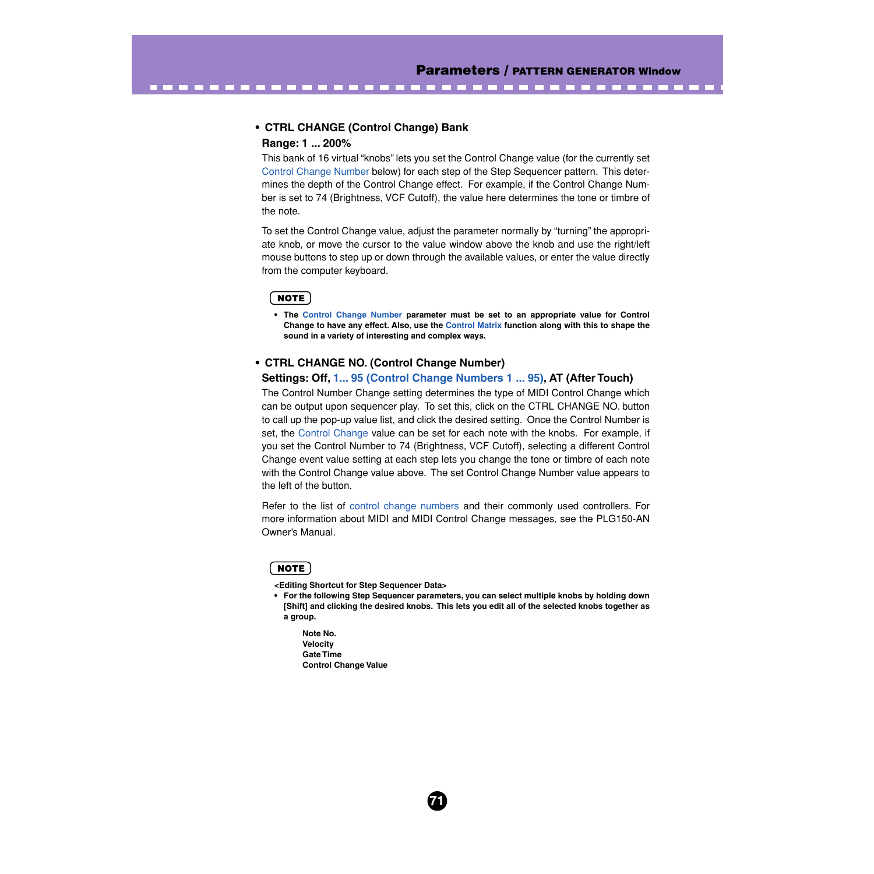## **• CTRL CHANGE (Control Change) Bank**

----------------------------

### **Range: 1 ... 200%**

This bank of 16 virtual "knobs" lets you set the Control Change value (for the currently set Control Change Number below) for each step of the Step Sequencer pattern. This determines the depth of the Control Change effect. For example, if the Control Change Number is set to 74 (Brightness, VCF Cutoff), the value here determines the tone or timbre of the note.

To set the Control Change value, adjust the parameter normally by "turning" the appropriate knob, or move the cursor to the value window above the knob and use the right/left mouse buttons to step up or down through the available values, or enter the value directly from the computer keyboard.

### **NOTE**

**• The Control Change Number parameter must be set to an appropriate value for Control Change to have any effect. Also, use the [Control Matrix](#page-52-0) function along with this to shape the sound in a variety of interesting and complex ways.**

### **• CTRL CHANGE NO. (Control Change Number)**

### **Settings: Off, [1... 95 \(Control Change Numbers 1 ... 95\)](#page-85-0), AT (After Touch)**

The Control Number Change setting determines the type of MIDI Control Change which can be output upon sequencer play. To set this, click on the CTRL CHANGE NO. button to call up the pop-up value list, and click the desired setting. Once the Control Number is set, the Control Change value can be set for each note with the knobs. For example, if you set the Control Number to 74 (Brightness, VCF Cutoff), selecting a different Control Change event value setting at each step lets you change the tone or timbre of each note with the Control Change value above. The set Control Change Number value appears to the left of the button.

Refer to the list of [control change numbers](#page-85-0) and their commonly used controllers. For more information about MIDI and MIDI Control Change messages, see the PLG150-AN Owner's Manual.

### **NOTE**

- **<Editing Shortcut for Step Sequencer Data>**
- **For the following Step Sequencer parameters, you can select multiple knobs by holding down [Shift] and clicking the desired knobs. This lets you edit all of the selected knobs together as a group.**

**71**

**Note No. Velocity Gate Time Control Change Value**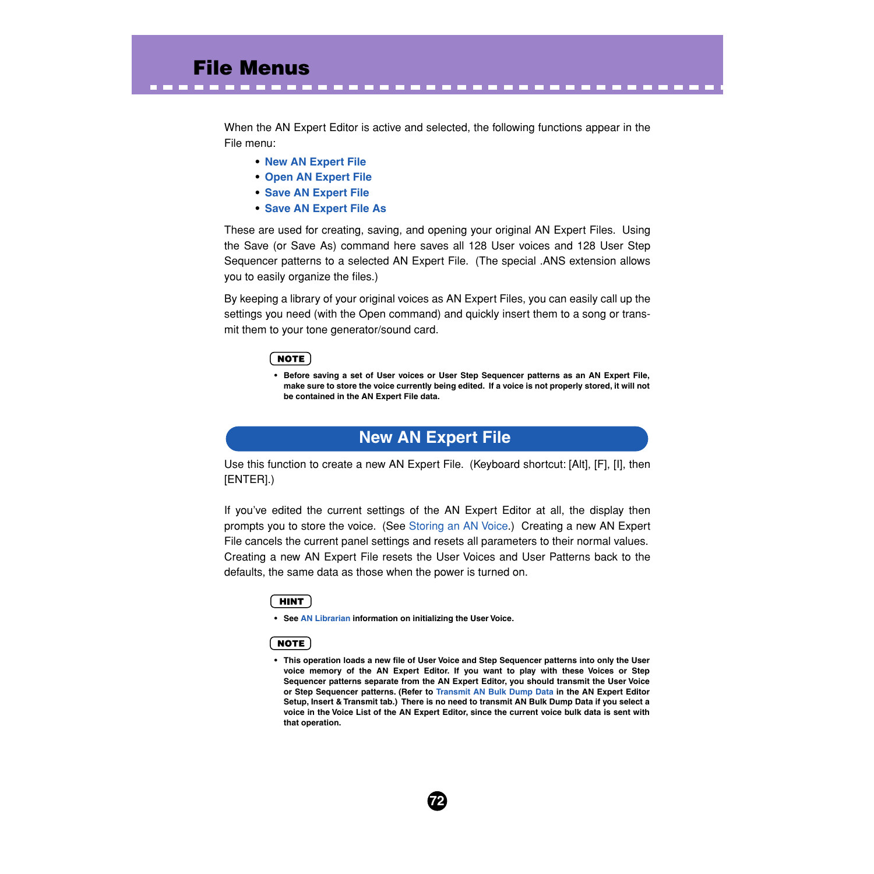When the AN Expert Editor is active and selected, the following functions appear in the File menu:

- **• New AN Expert File**
- **• [Open AN Expert File](#page-72-0)**
- **• [Save AN Expert File](#page-73-0)**
- **• [Save AN Expert File As](#page-73-0)**

These are used for creating, saving, and opening your original AN Expert Files. Using the Save (or Save As) command here saves all 128 User voices and 128 User Step Sequencer patterns to a selected AN Expert File. (The special .ANS extension allows you to easily organize the files.)

By keeping a library of your original voices as AN Expert Files, you can easily call up the settings you need (with the Open command) and quickly insert them to a song or transmit them to your tone generator/sound card.

## NOTE

**• Before saving a set of User voices or User Step Sequencer patterns as an AN Expert File, make sure to store the voice currently being edited. If a voice is not properly stored, it will not be contained in the AN Expert File data.**

# **New AN Expert File**

Use this function to create a new AN Expert File. (Keyboard shortcut: [Alt], [F], [I], then [ENTER].)

If you've edited the current settings of the AN Expert Editor at all, the display then prompts you to store the voice. (See [Storing an AN Voice](#page-7-0).) Creating a new AN Expert File cancels the current panel settings and resets all parameters to their normal values. Creating a new AN Expert File resets the User Voices and User Patterns back to the defaults, the same data as those when the power is turned on.

## **HINT**

**• See [AN Librarian](#page-76-0) information on initializing the User Voice.**

## **NOTE**

**• This operation loads a new file of User Voice and Step Sequencer patterns into only the User voice memory of the AN Expert Editor. If you want to play with these Voices or Step Sequencer patterns separate from the AN Expert Editor, you should transmit the User Voice or Step Sequencer patterns. (Refer to [Transmit AN Bulk Dump Data](#page-89-0) in the AN Expert Editor Setup, Insert & Transmit tab.) There is no need to transmit AN Bulk Dump Data if you select a voice in the Voice List of the AN Expert Editor, since the current voice bulk data is sent with that operation.**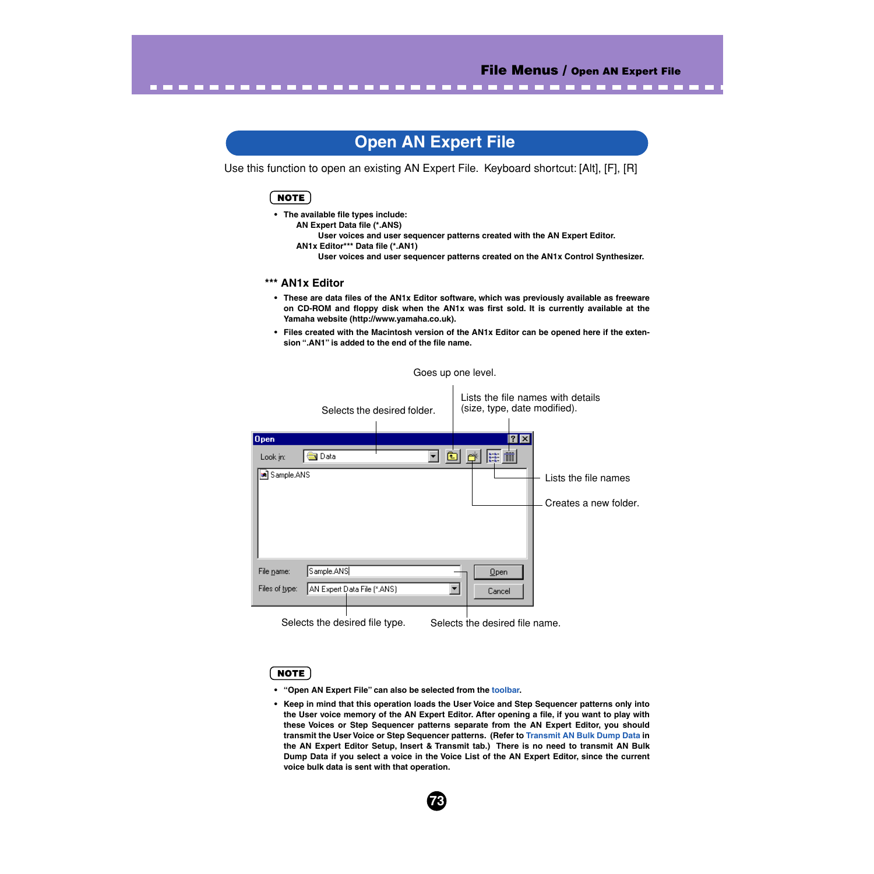--------

# **Open AN Expert File**

Use this function to open an existing AN Expert File. Keyboard shortcut: [Alt], [F], [R]

# **NOTE**

**• The available file types include:**

**AN Expert Data file (\*.ANS)** 

<span id="page-72-0"></span>-------------

**User voices and user sequencer patterns created with the AN Expert Editor. AN1x Editor\*\*\* Data file (\*.AN1) User voices and user sequencer patterns created on the AN1x Control Synthesizer.**

### **\*\*\* AN1x Editor**

- **These are data files of the AN1x Editor software, which was previously available as freeware on CD-ROM and floppy disk when the AN1x was first sold. It is currently available at the Yamaha website (http://www.yamaha.co.uk).**
- **Files created with the Macintosh version of the AN1x Editor can be opened here if the extension ".AN1" is added to the end of the file name.**

Goes up one level.

|                |                             | Selects the desired folder. | (size, type, date modified).                       |              | Lists the file names with details |
|----------------|-----------------------------|-----------------------------|----------------------------------------------------|--------------|-----------------------------------|
| <b>Open</b>    |                             |                             |                                                    | $ ?  \times$ |                                   |
| Look in:       | Data                        |                             | $\left \sum_{n=n+1}^{n+n+1}\prod_{i=1}^{n}\right $ |              |                                   |
| 3 Sample.ANS   |                             |                             |                                                    |              | Lists the file names              |
|                |                             |                             |                                                    |              | Creates a new folder.             |
|                |                             |                             |                                                    |              |                                   |
|                |                             |                             |                                                    |              |                                   |
| File name:     | Sample.ANS                  |                             | Qpen                                               |              |                                   |
| Files of type: | AN Expert Data File [*.ANS] |                             | Cancel                                             |              |                                   |
|                |                             |                             |                                                    |              |                                   |

Selects the desired file type. Selects the desired file name.

#### NOTE

- **"Open AN Expert File" can also be selected from the [toolbar.](#page-14-0)**
- **Keep in mind that this operation loads the User Voice and Step Sequencer patterns only into the User voice memory of the AN Expert Editor. After opening a file, if you want to play with these Voices or Step Sequencer patterns separate from the AN Expert Editor, you should transmit the User Voice or Step Sequencer patterns. (Refer to [Transmit AN Bulk Dump Data](#page-89-0) in the AN Expert Editor Setup, Insert & Transmit tab.) There is no need to transmit AN Bulk Dump Data if you select a voice in the Voice List of the AN Expert Editor, since the current voice bulk data is sent with that operation.**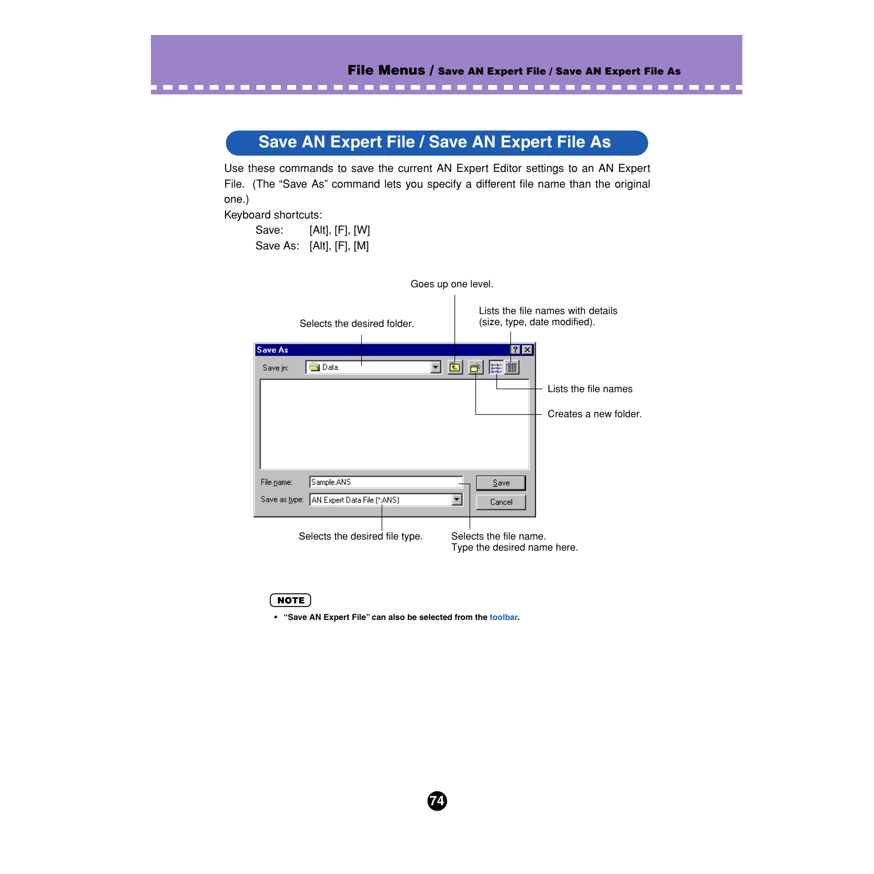# **Save AN Expert File / Save AN Expert File As**

<span id="page-73-0"></span>----------------------------------

Use these commands to save the current AN Expert Editor settings to an AN Expert File. (The "Save As" command lets you specify a different file name than the original one.)

Keyboard shortcuts:

Save: [Alt], [F], [W] Save As: [Alt], [F], [M]

| Goes up one level.                        |                                                                   |
|-------------------------------------------|-------------------------------------------------------------------|
| Selects the desired folder.               | Lists the file names with details<br>(size, type, date modified). |
| <b>Save As</b>                            | $?$ $\times$                                                      |
| <b>J</b> Data<br>Save in:                 | $\mathbb{R}^n$                                                    |
|                                           | Lists the file names                                              |
|                                           | Creates a new folder.                                             |
|                                           |                                                                   |
|                                           |                                                                   |
| Sample.ANS<br>File name:                  | Save                                                              |
| Save as type: AN Expert Data File (*.ANS) | Cancel                                                            |
|                                           |                                                                   |
|                                           |                                                                   |
| Selects the desired file type.            | Selects the file name.                                            |
|                                           | Type the desired name here.                                       |

# $NOTE$

**• "Save AN Expert File" can also be selected from the [toolbar.](#page-14-0)**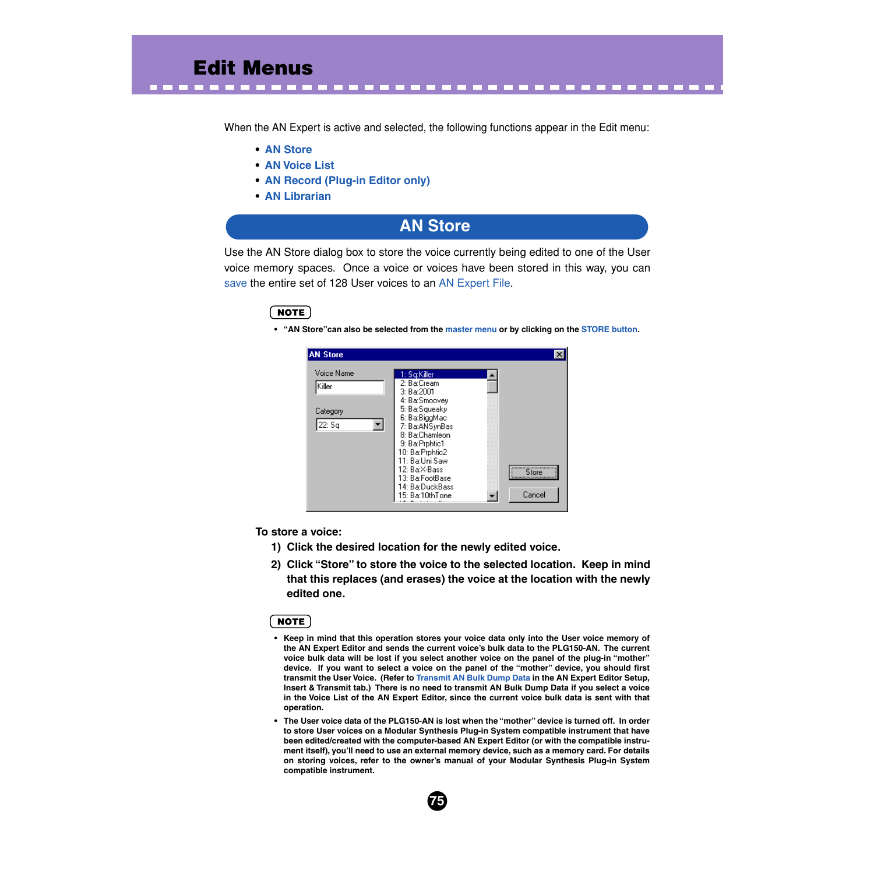When the AN Expert is active and selected, the following functions appear in the Edit menu:

-----------------------

- **• AN Store**
- **• [AN Voice List](#page-75-0)**
- **• [AN Record \(Plug-in Editor only\)](#page-76-0)**
- **• [AN Librarian](#page-76-0)**

# **AN Store**

Use the AN Store dialog box to store the voice currently being edited to one of the User voice memory spaces. Once a voice or voices have been stored in this way, you can [save](#page-73-0) the entire set of 128 User voices to an [AN Expert File](#page-73-0).

## **NOTE**

**• "AN Store"can also be selected from the [master menu](#page-13-0) or by clicking on the [STORE button.](#page-17-0)** 



**To store a voice:**

- **1) Click the desired location for the newly edited voice.**
- **2) Click "Store" to store the voice to the selected location. Keep in mind that this replaces (and erases) the voice at the location with the newly edited one.**

## NOTE

- **Keep in mind that this operation stores your voice data only into the User voice memory of the AN Expert Editor and sends the current voice's bulk data to the PLG150-AN. The current voice bulk data will be lost if you select another voice on the panel of the plug-in "mother" device. If you want to select a voice on the panel of the "mother" device, you should first transmit the User Voice. (Refer to [Transmit AN Bulk Dump Data](#page-89-0) in the AN Expert Editor Setup, Insert & Transmit tab.) There is no need to transmit AN Bulk Dump Data if you select a voice in the Voice List of the AN Expert Editor, since the current voice bulk data is sent with that operation.**
- **The User voice data of the PLG150-AN is lost when the "mother" device is turned off. In order to store User voices on a Modular Synthesis Plug-in System compatible instrument that have been edited/created with the computer-based AN Expert Editor (or with the compatible instrument itself), you'll need to use an external memory device, such as a memory card. For details on storing voices, refer to the owner's manual of your Modular Synthesis Plug-in System compatible instrument.**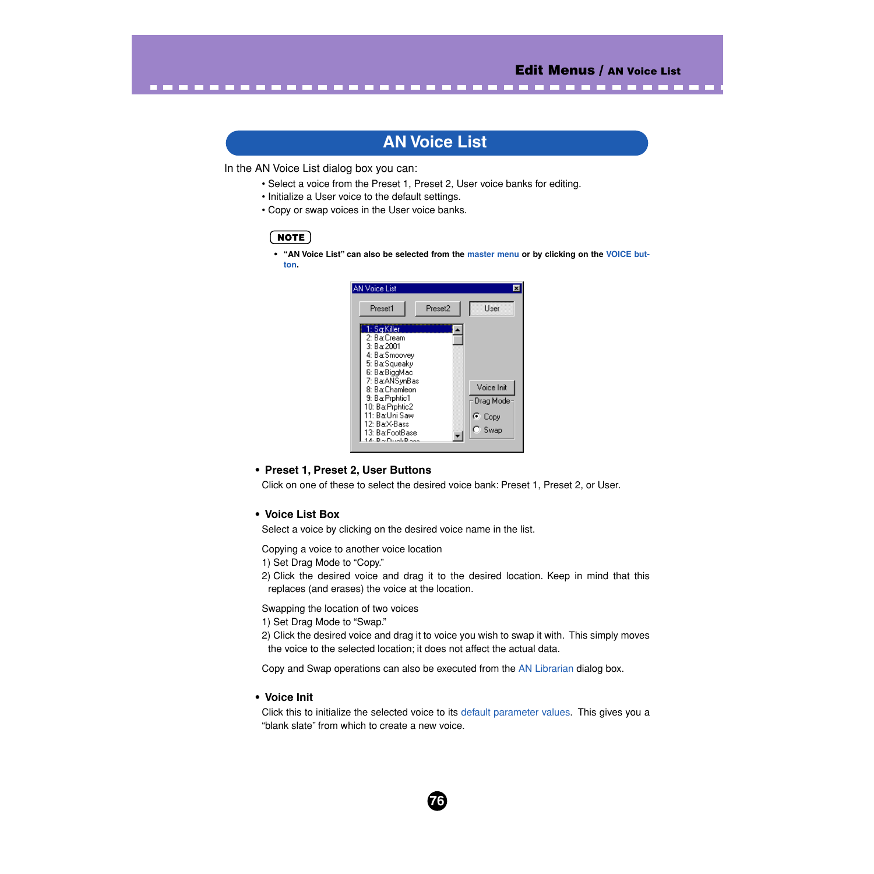# **AN Voice List**

<span id="page-75-0"></span>----------------------------------

In the AN Voice List dialog box you can:

- Select a voice from the Preset 1, Preset 2, User voice banks for editing.
- Initialize a User voice to the default settings.
- Copy or swap voices in the User voice banks.

# **NOTE**

**• "AN Voice List" can also be selected from the [master menu](#page-13-0) or by clicking on the [VOICE but](#page-16-0)[ton.](#page-16-0)** 



# **• Preset 1, Preset 2, User Buttons**

Click on one of these to select the desired voice bank: Preset 1, Preset 2, or User.

# **• Voice List Box**

Select a voice by clicking on the desired voice name in the list.

Copying a voice to another voice location

- 1) Set Drag Mode to "Copy."
- 2) Click the desired voice and drag it to the desired location. Keep in mind that this replaces (and erases) the voice at the location.

Swapping the location of two voices

- 1) Set Drag Mode to "Swap."
- 2) Click the desired voice and drag it to voice you wish to swap it with. This simply moves the voice to the selected location; it does not affect the actual data.

Copy and Swap operations can also be executed from the [AN Librarian](#page-76-0) dialog box.

#### **• Voice Init**

Click this to initialize the selected voice to its [default parameter values.](#page-6-0) This gives you a "blank slate" from which to create a new voice.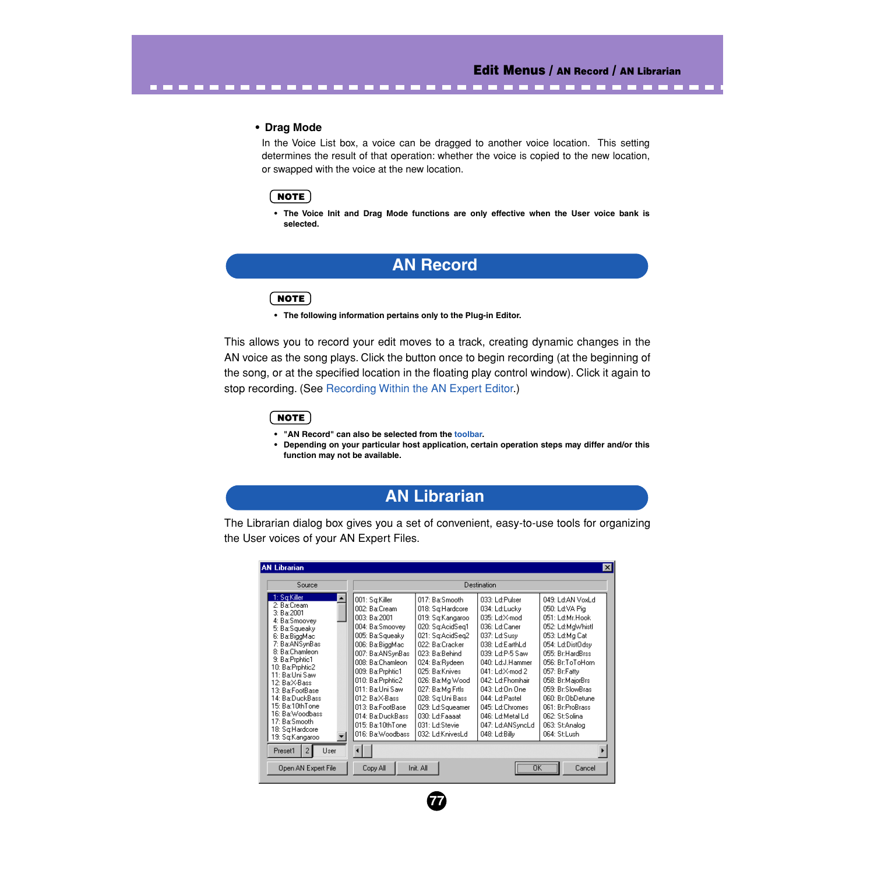-------------

#### **• Drag Mode**

<span id="page-76-0"></span>..................

In the Voice List box, a voice can be dragged to another voice location. This setting determines the result of that operation: whether the voice is copied to the new location, or swapped with the voice at the new location.

# NOTE

**• The Voice Init and Drag Mode functions are only effective when the User voice bank is selected.**

# **AN Record**

# $NOTE$

**• The following information pertains only to the Plug-in Editor.**

This allows you to record your edit moves to a track, creating dynamic changes in the AN voice as the song plays. Click the button once to begin recording (at the beginning of the song, or at the specified location in the floating play control window). Click it again to stop recording. (See [Recording Within the AN Expert Editor](#page-11-0).)

#### $NOTE$

- **"AN Record" can also be selected from the [toolbar.](#page-14-0)**
- **Depending on your particular host application, certain operation steps may differ and/or this function may not be available.**

# **AN Librarian**

The Librarian dialog box gives you a set of convenient, easy-to-use tools for organizing the User voices of your AN Expert Files.

| <b>AN Librarian</b>                                                                                                                                                                                                                                                                                                                                             |                                                                                                                                                                                                                                                                                                                 |                                                                                                                                                                                                                                                                                                                |                                                                                                                                                                                                                                                                                                    | Ι×Ι                                                                                                                                                                                                                                                                                                                |
|-----------------------------------------------------------------------------------------------------------------------------------------------------------------------------------------------------------------------------------------------------------------------------------------------------------------------------------------------------------------|-----------------------------------------------------------------------------------------------------------------------------------------------------------------------------------------------------------------------------------------------------------------------------------------------------------------|----------------------------------------------------------------------------------------------------------------------------------------------------------------------------------------------------------------------------------------------------------------------------------------------------------------|----------------------------------------------------------------------------------------------------------------------------------------------------------------------------------------------------------------------------------------------------------------------------------------------------|--------------------------------------------------------------------------------------------------------------------------------------------------------------------------------------------------------------------------------------------------------------------------------------------------------------------|
| Source                                                                                                                                                                                                                                                                                                                                                          | Destination                                                                                                                                                                                                                                                                                                     |                                                                                                                                                                                                                                                                                                                |                                                                                                                                                                                                                                                                                                    |                                                                                                                                                                                                                                                                                                                    |
| 1: Sq:Killer<br>2: Ba:Cream<br>3: Ba:2001<br>4: Ba:Smoovey<br>5: Ba:Squeaky<br>6: Ba:BiggMac<br>7: Ba:ANSynBas<br>8: Ba:Chamleon<br>9: Ba: Prphtic1<br>10: Ba:Prphtic2<br>11: Ba:Uni Saw<br>12: Ba:X-Bass<br>13: Ba:FootBase<br>14: Ba:DuckBass<br>15: Ba:10thTone<br>16: Ba:Woodbass<br>17: Ba:Smooth<br>18: Sq:Hardcore<br>19: Sq:Kangaroo<br>Preset1<br>User | 001: Sq:Killer<br>002: Ba:Cream<br>003: Ba:2001<br>004: Ba:Smoovev<br>005: Ba:Squeaky<br>006: Ba:BiggMac<br>007: Ba:ANSynBas<br>008: Ba:Chamleon<br>009: Ba:Prphtic1<br>010: Ba: Prphtic2<br>011: Ba:Uni Saw<br>012: Ba:X-Bass<br>013: Ba:FootBase<br>014: Ba:DuckBass<br>015: Ba:10thTone<br>016: Ba: Woodbass | 017: Ba:Smooth<br>018: Sq:Hardcore<br>019: Sg:Kangaroo<br>020: Sq:AcidSeq1<br>021: Sa:AcidSea2<br>022: Ba:Cracker<br>023: Ba:Behind<br>024: Ba:Rydeen<br>025: Ba:Knives<br>026: Ba:Mg Wood<br>027: Ba:Mg Frtls<br>028: Sa:Uni Bass<br>029: Ld:Squeamer<br>030: Ld:Faaaat<br>031: Ld:Stevie<br>032: Ld:KnivesLd | 033: Ld:Pulser<br>034: Ld:Lucky<br>035: Ld:X-mod<br>036: Ld:Caner<br>037: Ld:Susy<br>038: Ld:EarthLd<br>039: Ld:P-5 Saw<br>040: Ld:J.Hammer<br>041: Ld:X-mod 2<br>042: Ld:Fhomhair<br>043: Ld:On One<br>044: Ld:Pastel<br>045: Ld:Chromes<br>046: Ld:Metal Ld<br>047: Ld:ANSyncLd<br>048: Ld:Billy | 049: Ld:AN VoxLd<br>050: Ld:VA Pia<br>051: Ld:Mr.Hook<br>052: Ld:MgWhistl<br>053: Ld:Mg Cat<br>054: Ld:DistOdsy<br>055: Br:HardBrss<br>056: Br:ToToHorn<br>057: Br:Fatty<br>058: Br:MajorBrs<br>059: Br:SlowBras<br>060: Br:ObDetune<br>061: Br:ProBrass<br><b>O62: ShSolina</b><br>063: St:Analog<br>064: St:Lush |
| Open AN Expert File                                                                                                                                                                                                                                                                                                                                             | Copy All                                                                                                                                                                                                                                                                                                        | Init, All                                                                                                                                                                                                                                                                                                      |                                                                                                                                                                                                                                                                                                    | $\overline{OK}$<br>Cancel                                                                                                                                                                                                                                                                                          |

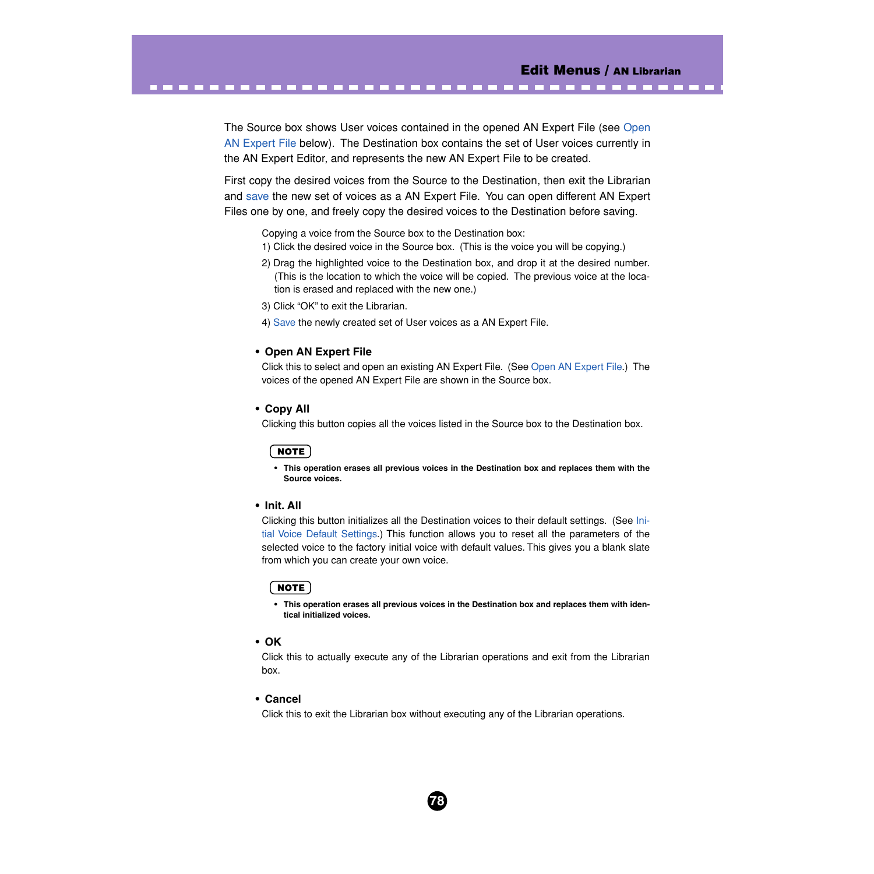The Source box shows User voices contained in the opened AN Expert File (see Open AN Expert File below). The Destination box contains the set of User voices currently in the AN Expert Editor, and represents the new AN Expert File to be created.

-----------------------------------

First copy the desired voices from the Source to the Destination, then exit the Librarian and [save](#page-73-0) the new set of voices as a AN Expert File. You can open different AN Expert Files one by one, and freely copy the desired voices to the Destination before saving.

Copying a voice from the Source box to the Destination box:

- 1) Click the desired voice in the Source box. (This is the voice you will be copying.)
- 2) Drag the highlighted voice to the Destination box, and drop it at the desired number. (This is the location to which the voice will be copied. The previous voice at the location is erased and replaced with the new one.)
- 3) Click "OK" to exit the Librarian.
- 4) [Save](#page-73-0) the newly created set of User voices as a AN Expert File.

#### **• Open AN Expert File**

Click this to select and open an existing AN Expert File. (See [Open AN Expert File.](#page-72-0)) The voices of the opened AN Expert File are shown in the Source box.

## **• Copy All**

Clicking this button copies all the voices listed in the Source box to the Destination box.

## NOTE

**• This operation erases all previous voices in the Destination box and replaces them with the Source voices.**

#### **• Init. All**

Clicking this button initializes all the Destination voices to their default settings. (See [Ini](#page-6-0)[tial Voice Default Settings.](#page-6-0)) This function allows you to reset all the parameters of the selected voice to the factory initial voice with default values. This gives you a blank slate from which you can create your own voice.

## **NOTE**

**• This operation erases all previous voices in the Destination box and replaces them with identical initialized voices.**

#### **• OK**

Click this to actually execute any of the Librarian operations and exit from the Librarian box.

#### **• Cancel**

Click this to exit the Librarian box without executing any of the Librarian operations.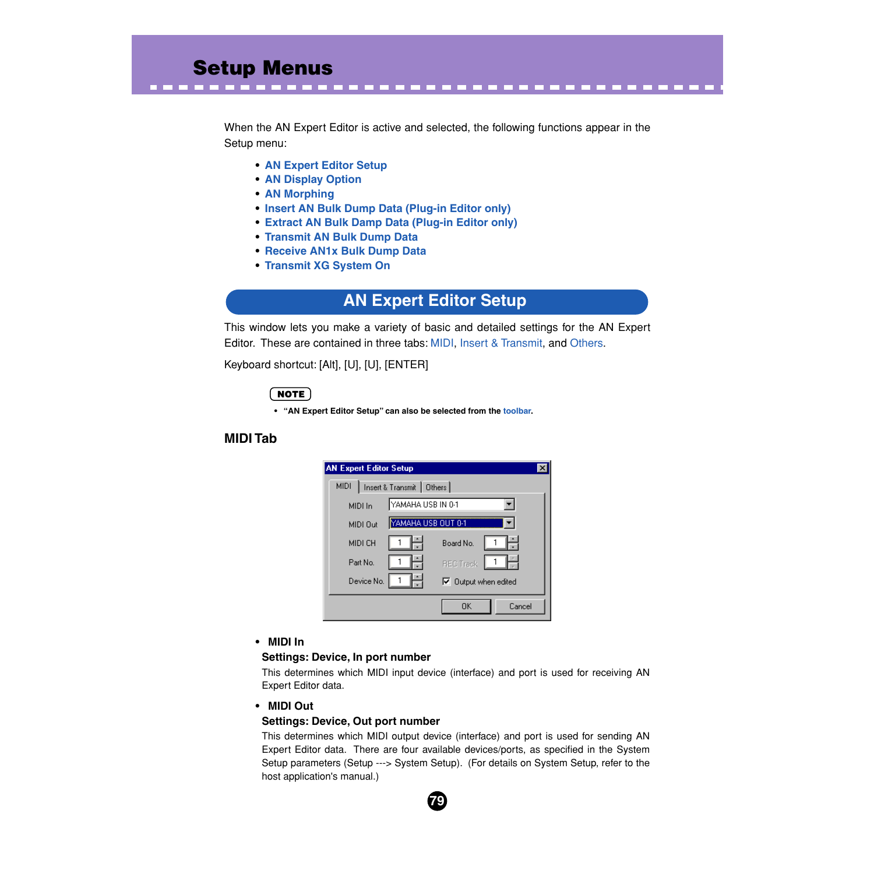<span id="page-78-0"></span>When the AN Expert Editor is active and selected, the following functions appear in the Setup menu:

------------------------------

- **• AN Expert Editor Setup**
- **• [AN Display Option](#page-83-0)**
- **• [AN Morphing](#page-84-0)**
- **• [Insert AN Bulk Dump Data \(Plug-in Editor only\)](#page-87-0)**
- **• [Extract AN Bulk Damp Data \(Plug-in Editor only\)](#page-88-0)**
- **• [Transmit AN Bulk Dump Data](#page-89-0)**
- **• [Receive AN1x Bulk Dump Data](#page-90-0)**
- **• [Transmit XG System On](#page-92-0)**

# **AN Expert Editor Setup**

This window lets you make a variety of basic and detailed settings for the AN Expert Editor. These are contained in three tabs: MIDI, [Insert & Transmit](#page-80-0), and [Others](#page-82-0).

Keyboard shortcut: [Alt], [U], [U], [ENTER]

# $NOTE$

**• "AN Expert Editor Setup" can also be selected from the [toolbar](#page-14-0).**

# **MIDI Tab**

| <b>AN Expert Editor Setup</b>             |                             |  |
|-------------------------------------------|-----------------------------|--|
| <b>MIDI</b><br>Insert & Transmit   Others |                             |  |
| MIDI In                                   | YAMAHA USB IN 0-1           |  |
| MIDI Out                                  | YAMAHA USB OUT 0-1          |  |
| MIDI CH                                   | Board No.                   |  |
| Part No.                                  | <b>REC Track</b>            |  |
| Device No.                                | $\nabla$ Dutput when edited |  |
|                                           | 0K<br>Cancel                |  |

## **• MIDI In**

## **Settings: Device, In port number**

This determines which MIDI input device (interface) and port is used for receiving AN Expert Editor data.

## **• MIDI Out**

## **Settings: Device, Out port number**

This determines which MIDI output device (interface) and port is used for sending AN Expert Editor data. There are four available devices/ports, as specified in the System Setup parameters (Setup ---> System Setup). (For details on System Setup, refer to the host application's manual.)

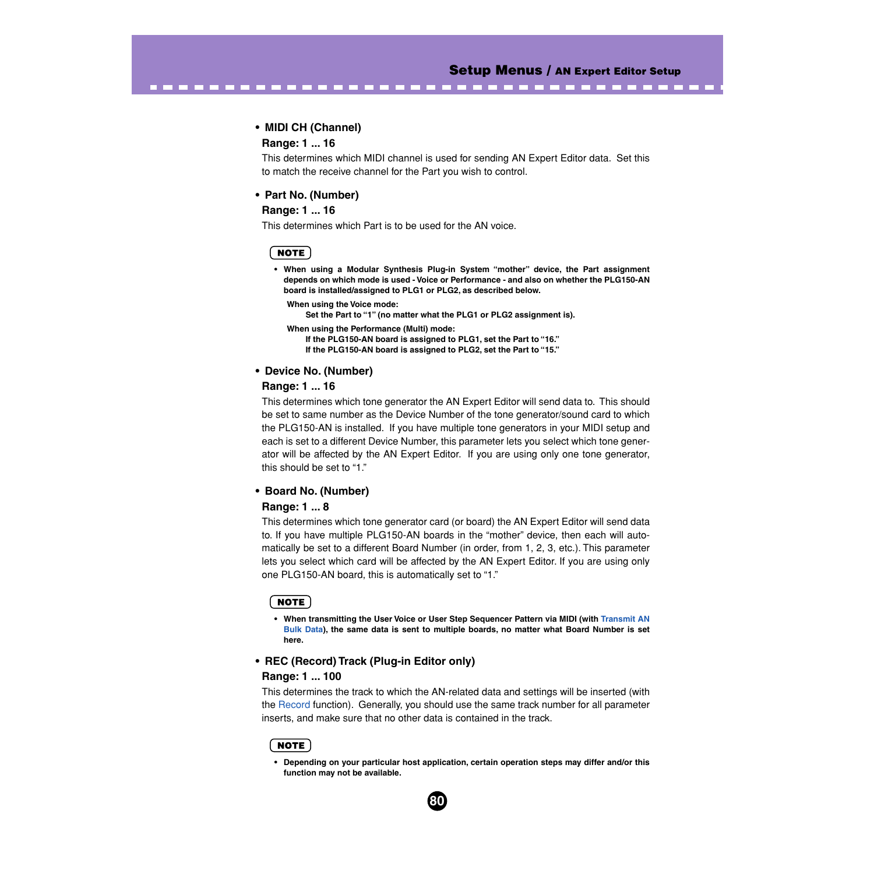### **• MIDI CH (Channel)**

#### **Range: 1 ... 16**

This determines which MIDI channel is used for sending AN Expert Editor data. Set this to match the receive channel for the Part you wish to control.

-------------------------------------

#### **• Part No. (Number)**

#### **Range: 1 ... 16**

This determines which Part is to be used for the AN voice.

#### **NOTE**

**• When using a Modular Synthesis Plug-in System "mother" device, the Part assignment depends on which mode is used - Voice or Performance - and also on whether the PLG150-AN board is installed/assigned to PLG1 or PLG2, as described below.**

```
When using the Voice mode:
```
**Set the Part to "1" (no matter what the PLG1 or PLG2 assignment is).**

**When using the Performance (Multi) mode: If the PLG150-AN board is assigned to PLG1, set the Part to "16." If the PLG150-AN board is assigned to PLG2, set the Part to "15."**

#### **• Device No. (Number)**

#### **Range: 1 ... 16**

This determines which tone generator the AN Expert Editor will send data to. This should be set to same number as the Device Number of the tone generator/sound card to which the PLG150-AN is installed. If you have multiple tone generators in your MIDI setup and each is set to a different Device Number, this parameter lets you select which tone generator will be affected by the AN Expert Editor. If you are using only one tone generator, this should be set to "1."

#### **• Board No. (Number)**

#### **Range: 1 ... 8**

This determines which tone generator card (or board) the AN Expert Editor will send data to. If you have multiple PLG150-AN boards in the "mother" device, then each will automatically be set to a different Board Number (in order, from 1, 2, 3, etc.). This parameter lets you select which card will be affected by the AN Expert Editor. If you are using only one PLG150-AN board, this is automatically set to "1."

## NOTE

**• When transmitting the User Voice or User Step Sequencer Pattern via MIDI (with [Transmit AN](#page-89-0) [Bulk Data\)](#page-89-0), the same data is sent to multiple boards, no matter what Board Number is set here.**

#### **• REC (Record) Track (Plug-in Editor only)**

#### **Range: 1 ... 100**

This determines the track to which the AN-related data and settings will be inserted (with the [Record](#page-76-0) function). Generally, you should use the same track number for all parameter inserts, and make sure that no other data is contained in the track.

#### **NOTE**

**• Depending on your particular host application, certain operation steps may differ and/or this function may not be available.**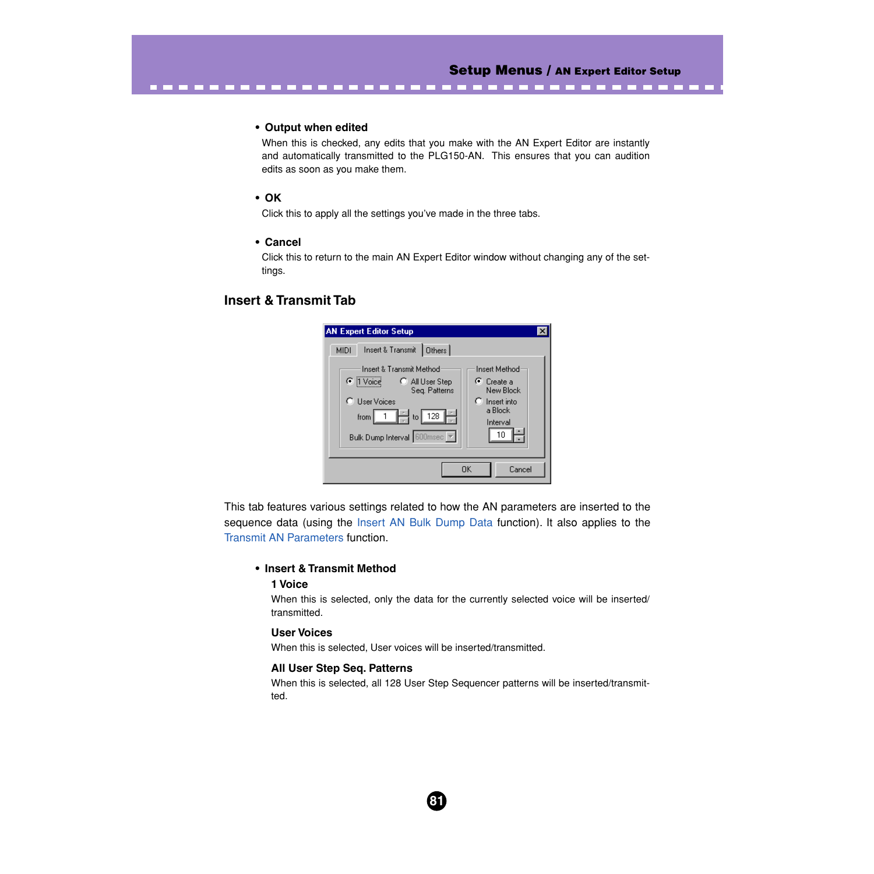## **• Output when edited**

When this is checked, any edits that you make with the AN Expert Editor are instantly and automatically transmitted to the PLG150-AN. This ensures that you can audition edits as soon as you make them.

<span id="page-80-0"></span>-------------------------------------

# **• OK**

Click this to apply all the settings you've made in the three tabs.

### **• Cancel**

Click this to return to the main AN Expert Editor window without changing any of the settings.

# **Insert & Transmit Tab**

| <b>AN Expert Editor Setup</b>                                                                                                                                                      |                                                                                                |
|------------------------------------------------------------------------------------------------------------------------------------------------------------------------------------|------------------------------------------------------------------------------------------------|
| Insert & Transmit<br>Others<br><b>MIDI</b><br>Insert & Transmit Method<br>$\bullet$ [1 Voice]<br>C All User Step<br>Seg. Patterns<br>C User Voices<br>$\Box$ to $\Box$ 128<br>from | <b>Insert Method</b><br>⊕ Create a<br>New Block<br>$\Gamma$ Insert into<br>a Block<br>Interval |
| Bulk Dump Interval 600msec                                                                                                                                                         | 10                                                                                             |
|                                                                                                                                                                                    | OK<br>Cancel                                                                                   |

This tab features various settings related to how the AN parameters are inserted to the sequence data (using the [Insert AN Bulk Dump Data](#page-87-0) function). It also applies to the [Transmit AN Parameters](#page-89-0) function.

# **• Insert & Transmit Method**

## **1 Voice**

When this is selected, only the data for the currently selected voice will be inserted/ transmitted.

## **User Voices**

When this is selected, User voices will be inserted/transmitted.

#### **All User Step Seq. Patterns**

When this is selected, all 128 User Step Sequencer patterns will be inserted/transmitted.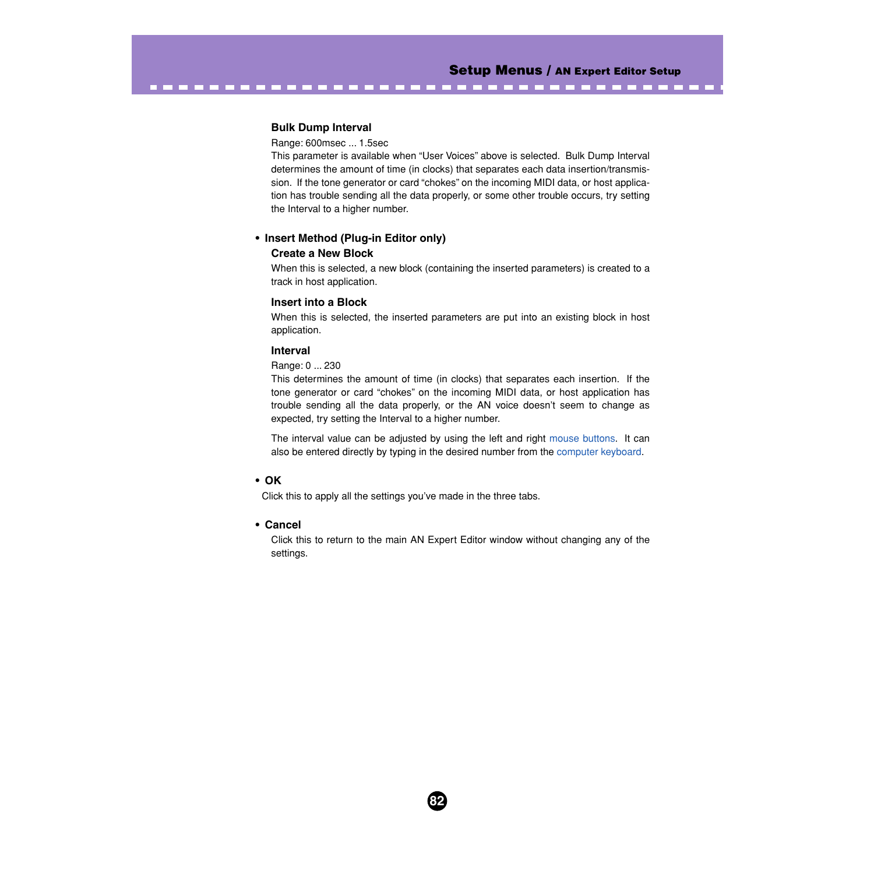### **Bulk Dump Interval**

#### Range: 600msec ... 1.5sec

This parameter is available when "User Voices" above is selected. Bulk Dump Interval determines the amount of time (in clocks) that separates each data insertion/transmission. If the tone generator or card "chokes" on the incoming MIDI data, or host application has trouble sending all the data properly, or some other trouble occurs, try setting the Interval to a higher number.

-------------------------------------

# **• Insert Method (Plug-in Editor only)**

#### **Create a New Block**

When this is selected, a new block (containing the inserted parameters) is created to a track in host application.

#### **Insert into a Block**

When this is selected, the inserted parameters are put into an existing block in host application.

#### **Interval**

#### Range: 0 ... 230

This determines the amount of time (in clocks) that separates each insertion. If the tone generator or card "chokes" on the incoming MIDI data, or host application has trouble sending all the data properly, or the AN voice doesn't seem to change as expected, try setting the Interval to a higher number.

The interval value can be adjusted by using the left and right [mouse buttons](#page-19-0). It can also be entered directly by typing in the desired number from the [computer keyboard](#page-19-0).

## **• OK**

Click this to apply all the settings you've made in the three tabs.

#### **• Cancel**

Click this to return to the main AN Expert Editor window without changing any of the settings.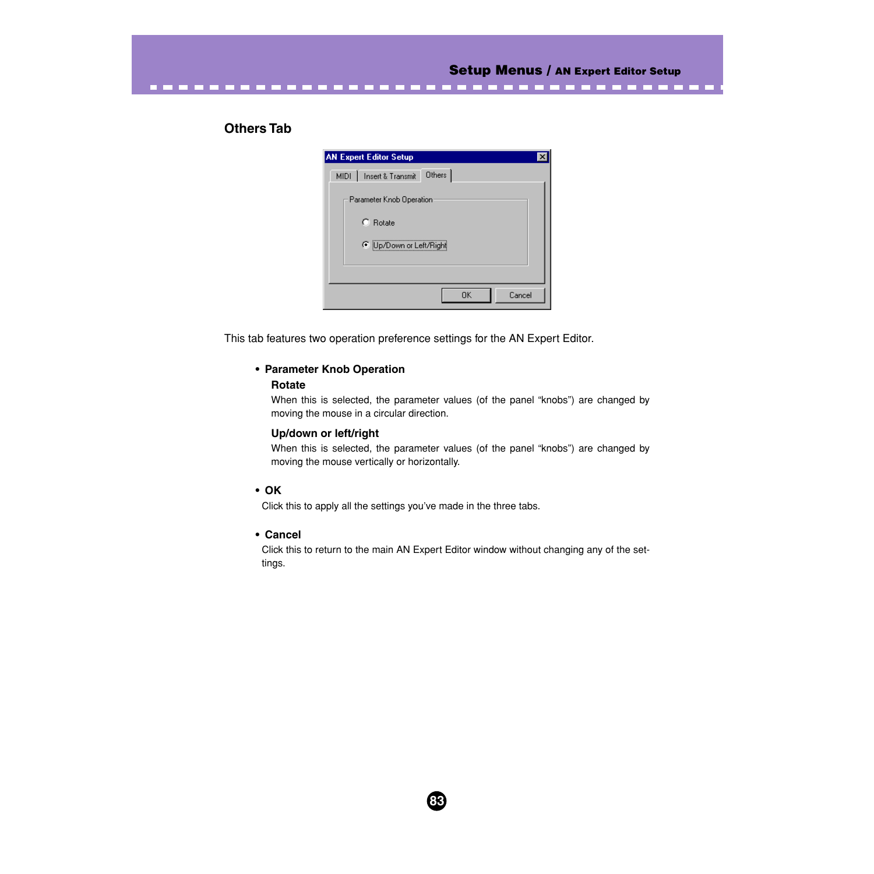# **Others Tab**

| <b>AN Expert Editor Setup</b>        |
|--------------------------------------|
| Others<br>Insert & Transmit<br>MIDI- |
| Parameter Knob Operation             |
| $C$ Rotate                           |
| Up/Down or Left/Right                |
|                                      |
| Cancel<br>OK                         |

<span id="page-82-0"></span>---------------------------------

This tab features two operation preference settings for the AN Expert Editor.

# **• Parameter Knob Operation**

## **Rotate**

When this is selected, the parameter values (of the panel "knobs") are changed by moving the mouse in a circular direction.

### **Up/down or left/right**

When this is selected, the parameter values (of the panel "knobs") are changed by moving the mouse vertically or horizontally.

## **• OK**

Click this to apply all the settings you've made in the three tabs.

## **• Cancel**

Click this to return to the main AN Expert Editor window without changing any of the settings.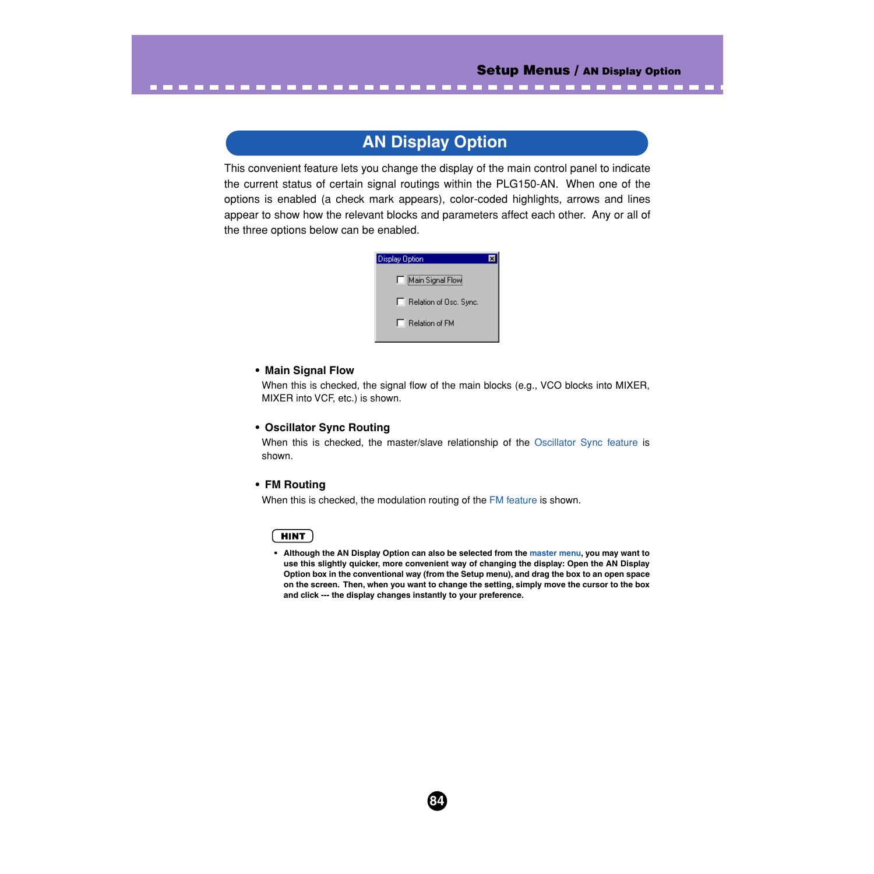# **AN Display Option**

<span id="page-83-0"></span>This convenient feature lets you change the display of the main control panel to indicate the current status of certain signal routings within the PLG150-AN. When one of the options is enabled (a check mark appears), color-coded highlights, arrows and lines appear to show how the relevant blocks and parameters affect each other. Any or all of the three options below can be enabled.

| <b>Display Option</b>  |  |
|------------------------|--|
| Main Signal Flow       |  |
| Relation of Osc. Sync. |  |
| $\Box$ Relation of FM  |  |

## **• Main Signal Flow**

When this is checked, the signal flow of the main blocks (e.g., VCO blocks into MIXER, MIXER into VCF, etc.) is shown.

#### **• Oscillator Sync Routing**

When this is checked, the master/slave relationship of the [Oscillator Sync feature](#page-30-0) is shown.

#### **• FM Routing**

When this is checked, the modulation routing of the [FM feature](#page-31-0) is shown.

## **HINT**

**• Although the AN Display Option can also be selected from the [master menu,](#page-13-0) you may want to use this slightly quicker, more convenient way of changing the display: Open the AN Display Option box in the conventional way (from the Setup menu), and drag the box to an open space on the screen. Then, when you want to change the setting, simply move the cursor to the box and click --- the display changes instantly to your preference.**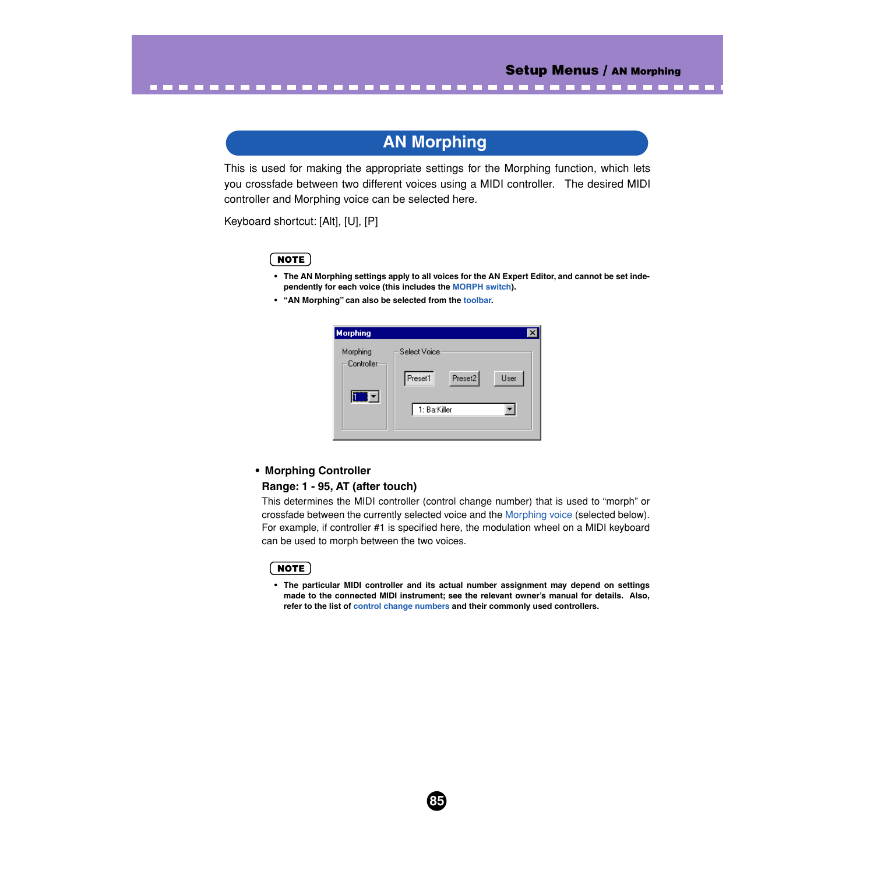# **AN Morphing**

This is used for making the appropriate settings for the Morphing function, which lets you crossfade between two different voices using a MIDI controller. The desired MIDI controller and Morphing voice can be selected here.

Keyboard shortcut: [Alt], [U], [P]

# NOTE

- **The AN Morphing settings apply to all voices for the AN Expert Editor, and cannot be set independently for each voice (this includes the [MORPH switch](#page-44-0)).**
- **"AN Morphing" can also be selected from the [toolbar.](#page-14-0)**

<span id="page-84-0"></span>--------------

| <b>Morphing</b>        |                    |      |
|------------------------|--------------------|------|
| Morphing<br>Controller | Select Voice:      |      |
|                        | Preset2<br>Preset1 | User |
|                        | 1: Ba:Killer       |      |
|                        |                    |      |

#### **• Morphing Controller**

#### **Range: 1 - 95, AT (after touch)**

This determines the MIDI controller (control change number) that is used to "morph" or crossfade between the currently selected voice and the [Morphing voice](#page-86-0) (selected below). For example, if controller #1 is specified here, the modulation wheel on a MIDI keyboard can be used to morph between the two voices.

#### **NOTE**

**• The particular MIDI controller and its actual number assignment may depend on settings made to the connected MIDI instrument; see the relevant owner's manual for details. Also, refer to the list of [control change numbers](#page-85-0) and their commonly used controllers.**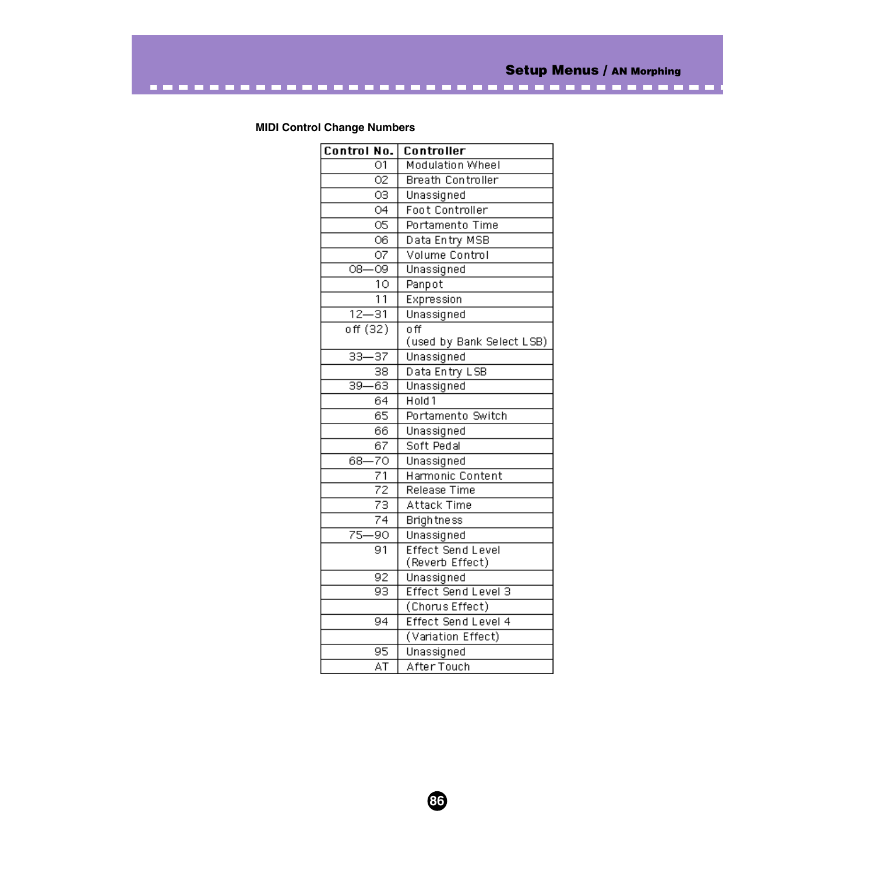# <span id="page-85-0"></span>**MIDI Control Change Numbers**

| Control No.                        | Controller                |
|------------------------------------|---------------------------|
| $\overline{01}$                    | <b>Modulation Wheel</b>   |
| $\overline{02}$                    | <b>Breath Controller</b>  |
| OЗ                                 | Unassigned                |
| $\overline{04}$                    | <b>Foot Controller</b>    |
| 05                                 | Portamento Time           |
| 06                                 | Data Entry MSB            |
| $\overline{O7}$                    | Volume Control            |
| $\overline{09}$<br>$\overline{OB}$ | Unassigned                |
| 10                                 | Panpot                    |
| $\overline{11}$                    | Expression                |
| $12 - 31$                          | Unassigned                |
| off(32)                            | $\overline{\mathsf{off}}$ |
|                                    | (used by Bank Select LSB) |
| $33 - 37$                          | Unassigned                |
| 38                                 | Data Entry LSB            |
| $-63$<br>$\overline{39}$           | Unassigned                |
| 64                                 | $H$ old 1                 |
| $\overline{65}$                    | Portamento Switch         |
| 66                                 | Unassigned                |
| 67                                 | Soft Pedal                |
| 68-70                              | Unassigned                |
| 71                                 | Harmonic Content          |
| $\overline{72}$                    | Release Time              |
| $\overline{73}$                    | Attack Time               |
| $\overline{74}$                    | <b>Brightness</b>         |
| $75-$<br>-90                       | Unassigned                |
| $\overline{91}$                    | <b>Effect Send Level</b>  |
|                                    | (Reverb Effect)           |
| 92                                 | Unassigned                |
| 93                                 | Effect Send Level 3       |
|                                    | (Chorus Effect)           |
| 94                                 | Effect Send Level 4       |
|                                    | (Variation Effect)        |
| 95                                 | Unassigned                |
| ÄŤ                                 | After Touch               |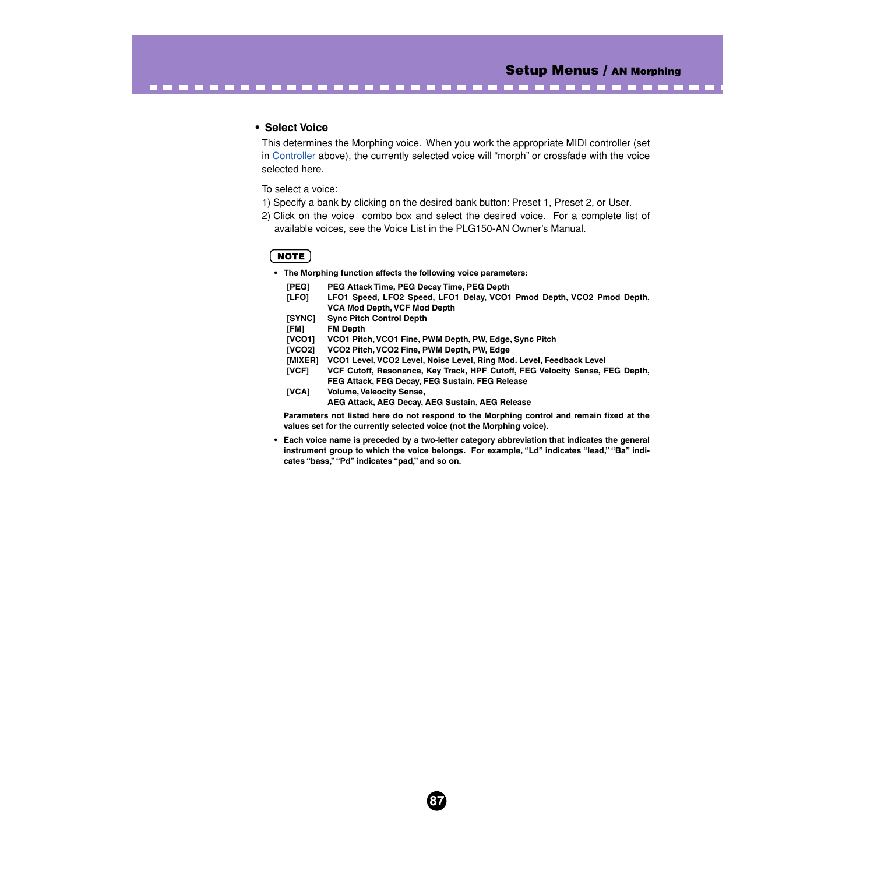$\sim 100$  and  $\sim 100$ 

#### **• Select Voice**

<span id="page-86-0"></span>-----------------

This determines the Morphing voice. When you work the appropriate MIDI controller (set in [Controller](#page-84-0) above), the currently selected voice will "morph" or crossfade with the voice selected here.

------

To select a voice:

- 1) Specify a bank by clicking on the desired bank button: Preset 1, Preset 2, or User.
- 2) Click on the voice combo box and select the desired voice. For a complete list of available voices, see the Voice List in the PLG150-AN Owner's Manual.

# $NOTE$

**• The Morphing function affects the following voice parameters:**

| [PEG]<br>[LFO] | PEG Attack Time, PEG Decay Time, PEG Depth<br>LFO1 Speed, LFO2 Speed, LFO1 Delay, VCO1 Pmod Depth, VCO2 Pmod Depth,<br><b>VCA Mod Depth, VCF Mod Depth</b> |
|----------------|------------------------------------------------------------------------------------------------------------------------------------------------------------|
| [SYNC]         | <b>Sync Pitch Control Depth</b>                                                                                                                            |
| [FM]           | <b>FM Depth</b>                                                                                                                                            |
| <b>[VCO1]</b>  | VCO1 Pitch, VCO1 Fine, PWM Depth, PW, Edge, Sync Pitch                                                                                                     |
| <b>[VCO2]</b>  | VCO2 Pitch, VCO2 Fine, PWM Depth, PW, Edge                                                                                                                 |
| [MIXER]        | VCO1 Level, VCO2 Level, Noise Level, Ring Mod. Level, Feedback Level                                                                                       |
| [VCF]          | VCF Cutoff, Resonance, Key Track, HPF Cutoff, FEG Velocity Sense, FEG Depth,                                                                               |
|                | FEG Attack, FEG Decay, FEG Sustain, FEG Release                                                                                                            |
| [VCA]          | <b>Volume, Veleocity Sense,</b>                                                                                                                            |
|                | AEG Attack, AEG Decay, AEG Sustain, AEG Release                                                                                                            |

**Parameters not listed here do not respond to the Morphing control and remain fixed at the values set for the currently selected voice (not the Morphing voice).**

**• Each voice name is preceded by a two-letter category abbreviation that indicates the general instrument group to which the voice belongs. For example, "Ld" indicates "lead," "Ba" indicates "bass," "Pd" indicates "pad," and so on.**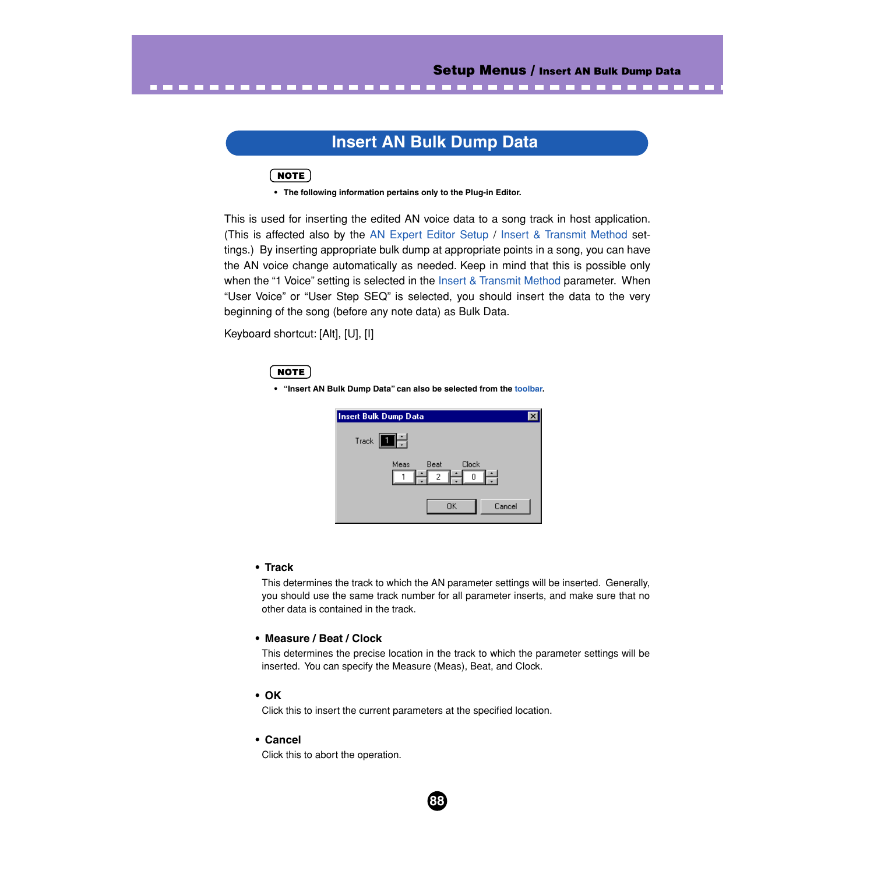# **Insert AN Bulk Dump Data**

<span id="page-87-0"></span> $NOTE$ 

**• The following information pertains only to the Plug-in Editor.**

This is used for inserting the edited AN voice data to a song track in host application. (This is affected also by the [AN Expert Editor Setup /](#page-78-0) [Insert & Transmit Method](#page-80-0) settings.) By inserting appropriate bulk dump at appropriate points in a song, you can have the AN voice change automatically as needed. Keep in mind that this is possible only when the "1 Voice" setting is selected in the [Insert & Transmit Method](#page-80-0) parameter. When "User Voice" or "User Step SEQ" is selected, you should insert the data to the very beginning of the song (before any note data) as Bulk Data.

Keyboard shortcut: [Alt], [U], [I]

# NOTE

**• "Insert AN Bulk Dump Data" can also be selected from the [toolbar.](#page-14-0)**

| Insert Bulk Dump Data                  |  |
|----------------------------------------|--|
| TH.<br>$T$ rack $\overline{a}$         |  |
| Meas<br><b>Clock</b><br>Beat<br>2<br>0 |  |
| OK<br>Cancel                           |  |

## **• Track**

This determines the track to which the AN parameter settings will be inserted. Generally, you should use the same track number for all parameter inserts, and make sure that no other data is contained in the track.

## **• Measure / Beat / Clock**

This determines the precise location in the track to which the parameter settings will be inserted. You can specify the Measure (Meas), Beat, and Clock.

**88**

## **• OK**

Click this to insert the current parameters at the specified location.

#### **• Cancel**

Click this to abort the operation.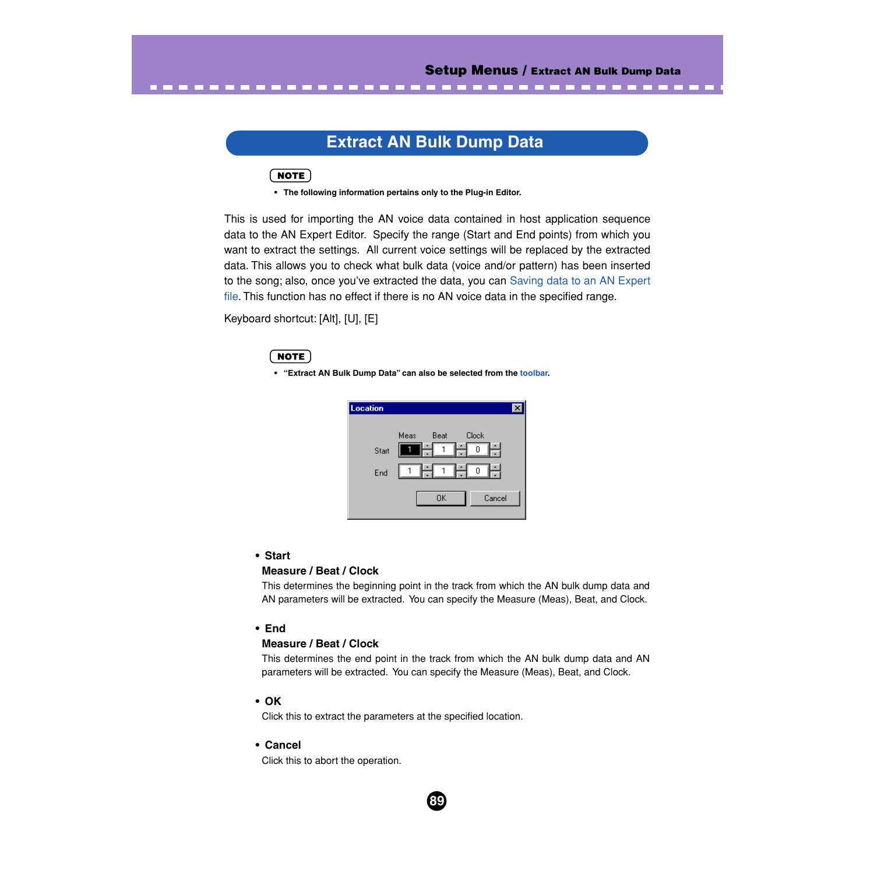# **Extract AN Bulk Dump Data**

. . . .

**CONTRACTOR** 

# $NOTE$

<span id="page-88-0"></span>. . . . . . . . . .

**• The following information pertains only to the Plug-in Editor.**

This is used for importing the AN voice data contained in host application sequence data to the AN Expert Editor. Specify the range (Start and End points) from which you want to extract the settings. All current voice settings will be replaced by the extracted data. This allows you to check what bulk data (voice and/or pattern) has been inserted to the song; also, once you've extracted the data, you can [Saving data to an AN Expert](#page-8-0) [file.](#page-8-0) This function has no effect if there is no AN voice data in the specified range.

Keyboard shortcut: [Alt], [U], [E]

# **NOTE**

**• "Extract AN Bulk Dump Data" can also be selected from the [toolbar.](#page-14-0)**



# **• Start**

# **Measure / Beat / Clock**

This determines the beginning point in the track from which the AN bulk dump data and AN parameters will be extracted. You can specify the Measure (Meas), Beat, and Clock.

# **• End**

# **Measure / Beat / Clock**

This determines the end point in the track from which the AN bulk dump data and AN parameters will be extracted. You can specify the Measure (Meas), Beat, and Clock.

**89**

## **• OK**

Click this to extract the parameters at the specified location.

# **• Cancel**

Click this to abort the operation.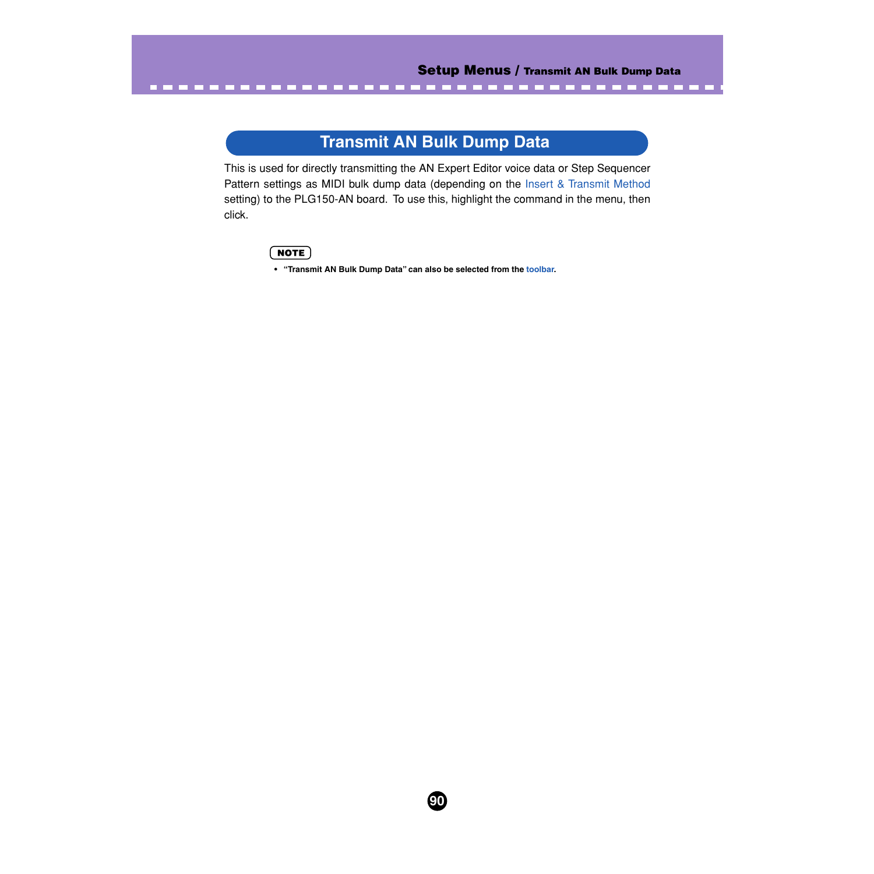# **Transmit AN Bulk Dump Data**

<span id="page-89-0"></span>This is used for directly transmitting the AN Expert Editor voice data or Step Sequencer Pattern settings as MIDI bulk dump data (depending on the [Insert & Transmit Method](#page-80-0) setting) to the PLG150-AN board. To use this, highlight the command in the menu, then click.

**90**

# NOTE)

**• "Transmit AN Bulk Dump Data" can also be selected from the [toolbar.](#page-14-0)**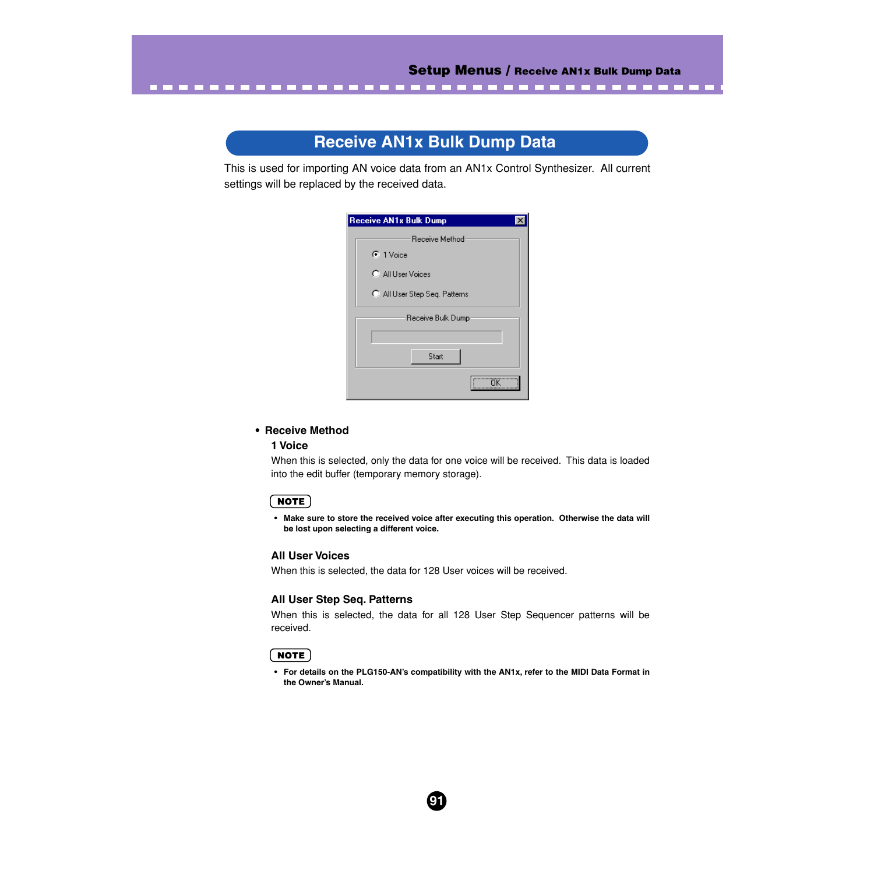# **Receive AN1x Bulk Dump Data**

--------------------------------

This is used for importing AN voice data from an AN1x Control Synthesizer. All current settings will be replaced by the received data.

| <b>Receive AN1x Bulk Dump</b> |
|-------------------------------|
| Receive Method                |
| $\odot$ 1 Voice               |
| C All User Voices             |
| C All User Step Seq. Patterns |
| Receive Bulk Dump             |
|                               |
| Start                         |
| ΠK                            |

#### **• Receive Method**

#### **1 Voice**

<span id="page-90-0"></span>- -

When this is selected, only the data for one voice will be received. This data is loaded into the edit buffer (temporary memory storage).

#### $NOTE$

**• Make sure to store the received voice after executing this operation. Otherwise the data will be lost upon selecting a different voice.**

#### **All User Voices**

When this is selected, the data for 128 User voices will be received.

## **All User Step Seq. Patterns**

When this is selected, the data for all 128 User Step Sequencer patterns will be received.

#### $NOTE$

**• For details on the PLG150-AN's compatibility with the AN1x, refer to the MIDI Data Format in the Owner's Manual.**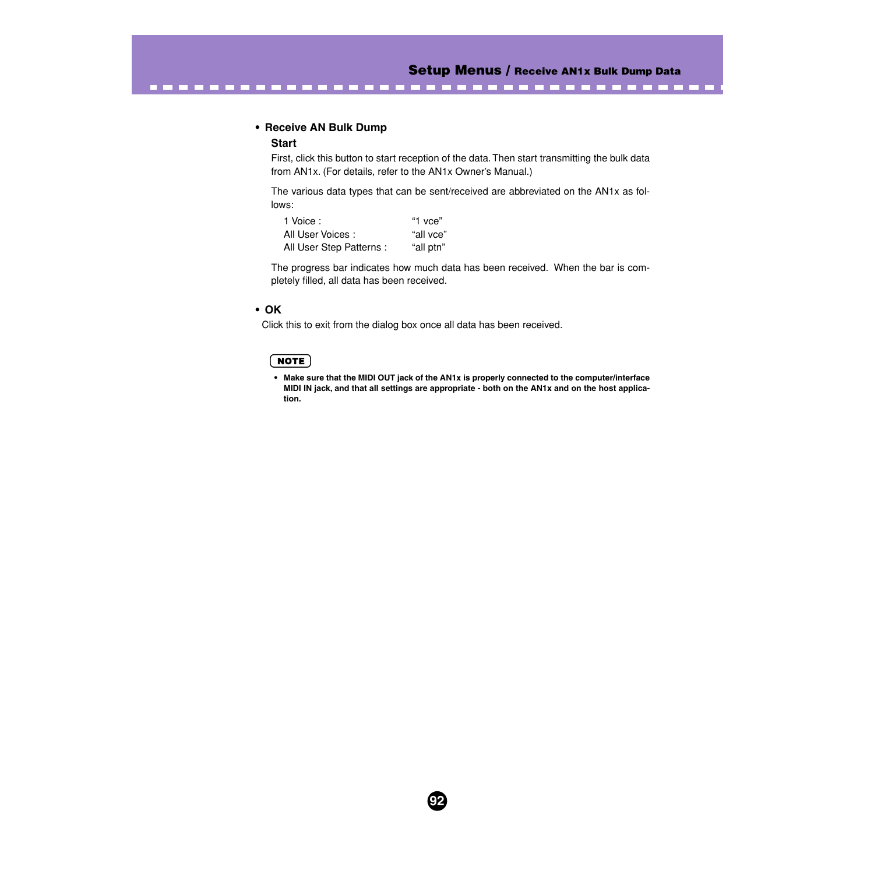. . . . . .

#### **• Receive AN Bulk Dump**

#### **Start**

First, click this button to start reception of the data. Then start transmitting the bulk data from AN1x. (For details, refer to the AN1x Owner's Manual.)

The various data types that can be sent/received are abbreviated on the AN1x as follows:

| 1 Voice:                 | "1 vce"   |
|--------------------------|-----------|
| All User Voices:         | "all vce" |
| All User Step Patterns : | "all ptn" |

-------------------------------

The progress bar indicates how much data has been received. When the bar is completely filled, all data has been received.

#### **• OK**

Click this to exit from the dialog box once all data has been received.

#### $NOTE$

**• Make sure that the MIDI OUT jack of the AN1x is properly connected to the computer/interface MIDI IN jack, and that all settings are appropriate - both on the AN1x and on the host application.**